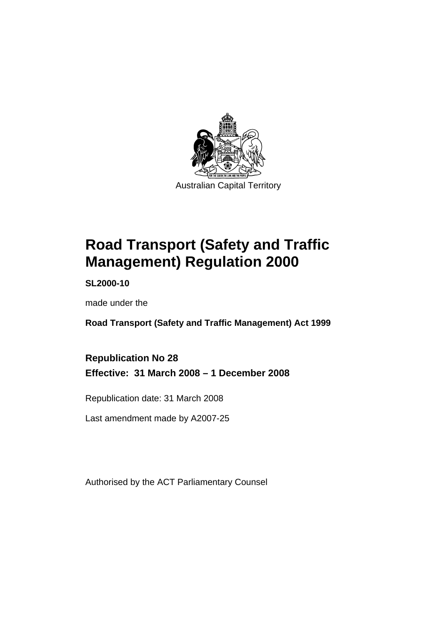

# **[Road Transport \(Safety and Traffic](#page-10-0)  [Management\) Regulation 2000](#page-10-0)**

**SL2000-10** 

made under the

**[Road Transport \(Safety and Traffic Management\) Act 1999](#page-10-0)** 

**Republication No 28 Effective: 31 March 2008 – 1 December 2008** 

Republication date: 31 March 2008

Last amendment made by A2007-25

Authorised by the ACT Parliamentary Counsel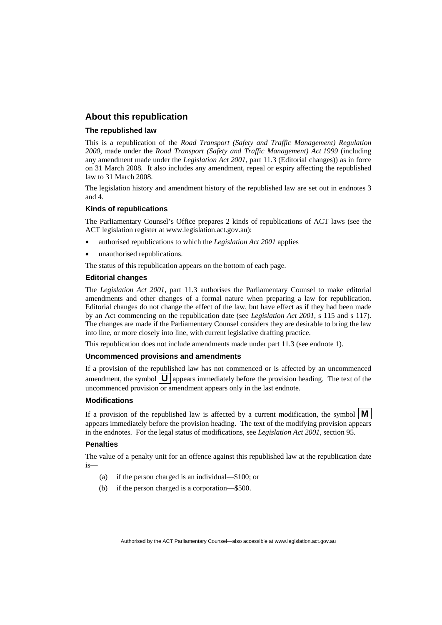#### **About this republication**

#### **The republished law**

This is a republication of the *Road Transport (Safety and Traffic Management) Regulation 2000*, made under the *[Road Transport \(Safety and Traffic Management\) Act 1999](#page-10-0)* (including any amendment made under the *Legislation Act 2001*, part 11.3 (Editorial changes)) as in force on 31 March 2008*.* It also includes any amendment, repeal or expiry affecting the republished law to 31 March 2008.

The legislation history and amendment history of the republished law are set out in endnotes 3 and 4.

#### **Kinds of republications**

The Parliamentary Counsel's Office prepares 2 kinds of republications of ACT laws (see the ACT legislation register at www.legislation.act.gov.au):

- authorised republications to which the *Legislation Act 2001* applies
- unauthorised republications.

The status of this republication appears on the bottom of each page.

#### **Editorial changes**

The *Legislation Act 2001*, part 11.3 authorises the Parliamentary Counsel to make editorial amendments and other changes of a formal nature when preparing a law for republication. Editorial changes do not change the effect of the law, but have effect as if they had been made by an Act commencing on the republication date (see *Legislation Act 2001*, s 115 and s 117). The changes are made if the Parliamentary Counsel considers they are desirable to bring the law into line, or more closely into line, with current legislative drafting practice.

This republication does not include amendments made under part 11.3 (see endnote 1).

#### **Uncommenced provisions and amendments**

If a provision of the republished law has not commenced or is affected by an uncommenced amendment, the symbol  $\mathbf{U}$  appears immediately before the provision heading. The text of the uncommenced provision or amendment appears only in the last endnote.

#### **Modifications**

If a provision of the republished law is affected by a current modification, the symbol  $\vert \mathbf{M} \vert$ appears immediately before the provision heading. The text of the modifying provision appears in the endnotes. For the legal status of modifications, see *Legislation Act 2001*, section 95.

#### **Penalties**

The value of a penalty unit for an offence against this republished law at the republication date  $i<sub>s</sub>$ 

- (a) if the person charged is an individual—\$100; or
- (b) if the person charged is a corporation—\$500.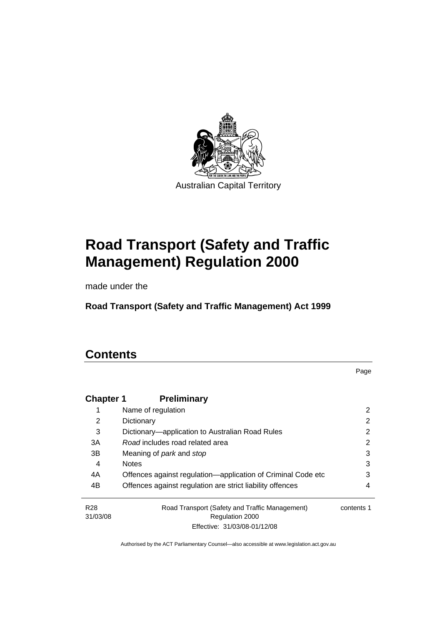

# **[Road Transport \(Safety and Traffic](#page-10-0)  [Management\) Regulation 2000](#page-10-0)**

made under the

**[Road Transport \(Safety and Traffic Management\) Act 1999](#page-10-0)** 

### **Contents**

Page

| <b>Chapter 1</b> | <b>Preliminary</b>                                           |            |
|------------------|--------------------------------------------------------------|------------|
| 1                | Name of regulation                                           | 2          |
| 2                | Dictionary                                                   | 2          |
| 3                | Dictionary-application to Australian Road Rules              | 2          |
| 3A               | Road includes road related area                              | 2          |
| 3B               | Meaning of <i>park</i> and <i>stop</i>                       | 3          |
| 4                | <b>Notes</b>                                                 | 3          |
| 4A               | Offences against regulation-application of Criminal Code etc | 3          |
| 4B               | Offences against regulation are strict liability offences    | 4          |
| R <sub>28</sub>  | Road Transport (Safety and Traffic Management)               | contents 1 |
| 31/03/08         | Regulation 2000                                              |            |
|                  | Effective: 31/03/08-01/12/08                                 |            |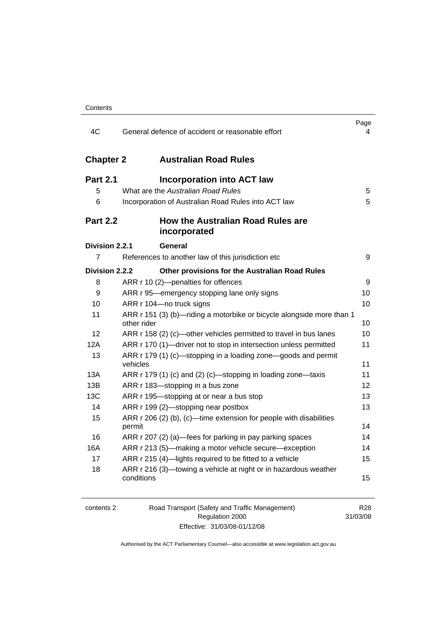| 4C                   | General defence of accident or reasonable effort                                     | Page<br>4 |
|----------------------|--------------------------------------------------------------------------------------|-----------|
| <b>Chapter 2</b>     | <b>Australian Road Rules</b>                                                         |           |
| <b>Part 2.1</b><br>5 | <b>Incorporation into ACT law</b><br>What are the Australian Road Rules              | 5         |
| 6                    | Incorporation of Australian Road Rules into ACT law                                  | 5         |
| <b>Part 2.2</b>      | How the Australian Road Rules are<br>incorporated                                    |           |
| Division 2.2.1       | General                                                                              |           |
| 7                    | References to another law of this jurisdiction etc                                   | 9         |
| Division 2.2.2       | Other provisions for the Australian Road Rules                                       |           |
| 8                    | ARR r 10 (2)-penalties for offences                                                  | 9         |
| 9                    | ARR r 95—emergency stopping lane only signs                                          | 10        |
| 10                   | ARR r 104-no truck signs                                                             | 10        |
| 11                   | ARR r 151 (3) (b)—riding a motorbike or bicycle alongside more than 1<br>other rider | 10        |
| 12                   | ARR r 158 (2) (c)-other vehicles permitted to travel in bus lanes                    | 10        |
| 12A                  | ARR r 170 (1)—driver not to stop in intersection unless permitted                    | 11        |
| 13                   | ARR r 179 (1) (c)—stopping in a loading zone—goods and permit<br>vehicles            | 11        |
| 13A                  | ARR r 179 (1) (c) and (2) (c)—stopping in loading zone—taxis                         | 11        |
| 13B                  | ARR r 183—stopping in a bus zone                                                     | 12        |
| 13C                  | ARR r 195-stopping at or near a bus stop                                             | 13        |
| 14                   | ARR r 199 (2)—stopping near postbox                                                  | 13        |
| 15                   | ARR r 206 (2) (b), (c)—time extension for people with disabilities<br>permit         | 14        |
| 16                   | ARR r 207 (2) (a)-fees for parking in pay parking spaces                             | 14        |
| 16A                  | ARR r 213 (5)—making a motor vehicle secure—exception                                | 14        |
| 17                   | ARR r 215 (4)-lights required to be fitted to a vehicle                              | 15        |
| 18                   | ARR r 216 (3)-towing a vehicle at night or in hazardous weather<br>conditions        | 15        |

| contents 2 | Road Transport (Safety and Traffic Management) | R <sub>28</sub> |
|------------|------------------------------------------------|-----------------|
|            | Regulation 2000                                | 31/03/08        |
|            | Effective: 31/03/08-01/12/08                   |                 |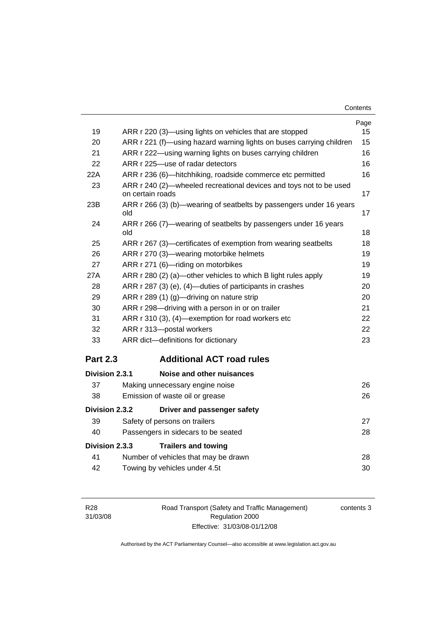| Contents |
|----------|
|----------|

|                 |                                                                                        | Page |
|-----------------|----------------------------------------------------------------------------------------|------|
| 19              | ARR r 220 (3)—using lights on vehicles that are stopped                                | 15   |
| 20              | ARR r 221 (f)—using hazard warning lights on buses carrying children                   | 15   |
| 21              | ARR r 222—using warning lights on buses carrying children                              | 16   |
| 22              | ARR r 225-use of radar detectors                                                       | 16   |
| 22A             | ARR r 236 (6)-hitchhiking, roadside commerce etc permitted                             | 16   |
| 23              | ARR r 240 (2)—wheeled recreational devices and toys not to be used<br>on certain roads | 17   |
| 23B             | ARR r 266 (3) (b)—wearing of seatbelts by passengers under 16 years<br>old             | 17   |
| 24              | ARR r 266 (7)—wearing of seatbelts by passengers under 16 years<br>old                 | 18   |
| 25              | ARR r 267 (3)—certificates of exemption from wearing seatbelts                         | 18   |
| 26              | ARR r 270 (3)-wearing motorbike helmets                                                | 19   |
| 27              | ARR r 271 (6)-riding on motorbikes                                                     | 19   |
| 27A             | ARR r 280 (2) (a)—other vehicles to which B light rules apply                          | 19   |
| 28              | ARR r 287 (3) (e), (4)—duties of participants in crashes                               | 20   |
| 29              | ARR r 289 (1) (g)-driving on nature strip                                              | 20   |
| 30              | ARR r 298-driving with a person in or on trailer                                       | 21   |
| 31              | ARR r 310 (3), (4)-exemption for road workers etc                                      | 22   |
| 32              | ARR r 313-postal workers                                                               | 22   |
| 33              | ARR dict-definitions for dictionary                                                    | 23   |
| <b>Part 2.3</b> | <b>Additional ACT road rules</b>                                                       |      |
| Division 2.3.1  | Noise and other nuisances                                                              |      |
| 37              | Making unnecessary engine noise                                                        | 26   |
| 38              | Emission of waste oil or grease                                                        | 26   |
| Division 2.3.2  | Driver and passenger safety                                                            |      |
| 39              | Safety of persons on trailers                                                          | 27   |
| 40              | Passengers in sidecars to be seated                                                    | 28   |
| Division 2.3.3  | <b>Trailers and towing</b>                                                             |      |
| 41              | Number of vehicles that may be drawn                                                   | 28   |
| 42              | Towing by vehicles under 4.5t                                                          | 30   |

| R28      |
|----------|
| 31/03/08 |

Road Transport (Safety and Traffic Management) Regulation 2000 Effective: 31/03/08-01/12/08

contents 3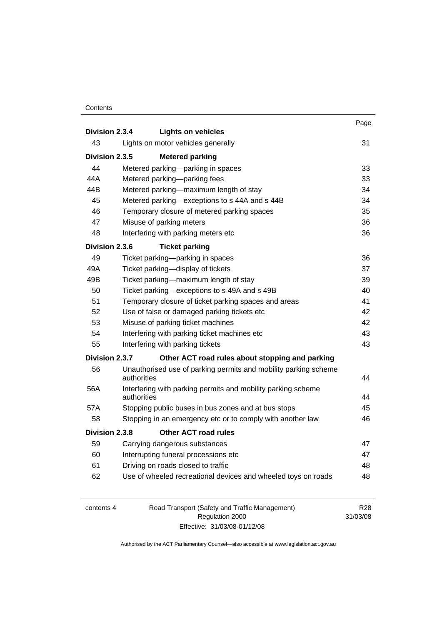|                |                                                            |                                                                 | Page |
|----------------|------------------------------------------------------------|-----------------------------------------------------------------|------|
| Division 2.3.4 |                                                            | <b>Lights on vehicles</b>                                       |      |
| 43             |                                                            | Lights on motor vehicles generally                              | 31   |
| Division 2.3.5 |                                                            | <b>Metered parking</b>                                          |      |
| 44             |                                                            | Metered parking-parking in spaces                               | 33   |
| 44A            |                                                            | Metered parking-parking fees                                    | 33   |
| 44B            |                                                            | Metered parking-maximum length of stay                          | 34   |
| 45             |                                                            | Metered parking-exceptions to s 44A and s 44B                   | 34   |
| 46             |                                                            | Temporary closure of metered parking spaces                     | 35   |
| 47             |                                                            | Misuse of parking meters                                        | 36   |
| 48             |                                                            | Interfering with parking meters etc                             | 36   |
| Division 2.3.6 |                                                            | <b>Ticket parking</b>                                           |      |
| 49             |                                                            | Ticket parking-parking in spaces                                | 36   |
| 49A            |                                                            | Ticket parking-display of tickets                               | 37   |
| 49B            |                                                            | Ticket parking-maximum length of stay                           | 39   |
| 50             |                                                            | Ticket parking—exceptions to s 49A and s 49B                    | 40   |
| 51             | Temporary closure of ticket parking spaces and areas<br>41 |                                                                 |      |
| 52             |                                                            | Use of false or damaged parking tickets etc                     | 42   |
| 53             |                                                            | Misuse of parking ticket machines                               | 42   |
| 54             |                                                            | Interfering with parking ticket machines etc                    | 43   |
| 55             |                                                            | Interfering with parking tickets                                | 43   |
| Division 2.3.7 |                                                            | Other ACT road rules about stopping and parking                 |      |
| 56             | authorities                                                | Unauthorised use of parking permits and mobility parking scheme | 44   |
| 56A            |                                                            |                                                                 |      |
|                | authorities                                                | Interfering with parking permits and mobility parking scheme    | 44   |
| 57A            |                                                            | Stopping public buses in bus zones and at bus stops             | 45   |
| 58             |                                                            | Stopping in an emergency etc or to comply with another law      | 46   |
| Division 2.3.8 |                                                            | <b>Other ACT road rules</b>                                     |      |
| 59             |                                                            | Carrying dangerous substances                                   | 47   |
| 60             |                                                            | Interrupting funeral processions etc                            | 47   |
| 61             |                                                            | Driving on roads closed to traffic                              | 48   |
| 62             |                                                            | Use of wheeled recreational devices and wheeled toys on roads   | 48   |
|                |                                                            |                                                                 |      |

| contents 4 | Road Transport (Safety and Traffic Management) | R28      |
|------------|------------------------------------------------|----------|
|            | Regulation 2000                                | 31/03/08 |
|            | Effective: 31/03/08-01/12/08                   |          |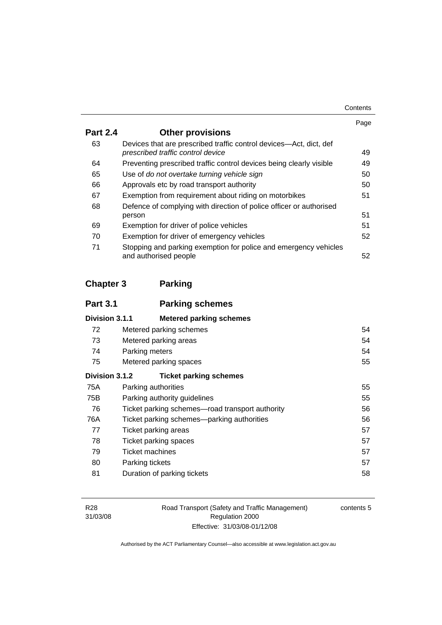| Contents |
|----------|
|----------|

|                 |                                                                                                         | Page |
|-----------------|---------------------------------------------------------------------------------------------------------|------|
| <b>Part 2.4</b> | <b>Other provisions</b>                                                                                 |      |
| 63              | Devices that are prescribed traffic control devices—Act, dict, def<br>prescribed traffic control device | 49   |
| 64              | Preventing prescribed traffic control devices being clearly visible                                     | 49   |
| 65              | Use of do not overtake turning vehicle sign                                                             | 50   |
| 66              | Approvals etc by road transport authority                                                               | 50   |
| 67              | Exemption from requirement about riding on motorbikes                                                   | 51   |
| 68              | Defence of complying with direction of police officer or authorised                                     |      |
|                 | person                                                                                                  | 51   |
| 69              | Exemption for driver of police vehicles                                                                 | 51   |
| 70              | Exemption for driver of emergency vehicles                                                              | 52   |
| 71              | Stopping and parking exemption for police and emergency vehicles<br>and authorised people               | 52   |

### **Chapter 3 Parking**

| <b>Part 3.1</b> | <b>Parking schemes</b>                          |    |
|-----------------|-------------------------------------------------|----|
| Division 3.1.1  | <b>Metered parking schemes</b>                  |    |
| 72              | Metered parking schemes                         | 54 |
| 73              | Metered parking areas                           | 54 |
| 74              | Parking meters                                  | 54 |
| 75              | Metered parking spaces                          | 55 |
| Division 3.1.2  | <b>Ticket parking schemes</b>                   |    |
| 75A             | Parking authorities                             | 55 |
| 75B             | Parking authority guidelines                    | 55 |
| 76              | Ticket parking schemes-road transport authority | 56 |
| 76A             | Ticket parking schemes—parking authorities      | 56 |
| 77              | <b>Ticket parking areas</b>                     | 57 |
| 78              | Ticket parking spaces                           | 57 |
| 79              | Ticket machines                                 | 57 |
| 80              | Parking tickets                                 | 57 |
| 81              | Duration of parking tickets                     | 58 |

Road Transport (Safety and Traffic Management) Regulation 2000 Effective: 31/03/08-01/12/08

contents 5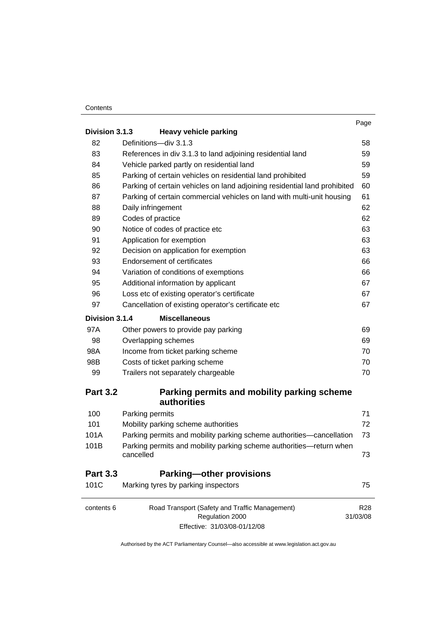|                                               |                                                                           | Page |  |
|-----------------------------------------------|---------------------------------------------------------------------------|------|--|
| Division 3.1.3                                | <b>Heavy vehicle parking</b>                                              | 58   |  |
| 82                                            | Definitions-div 3.1.3                                                     |      |  |
| 83                                            | References in div 3.1.3 to land adjoining residential land                |      |  |
| 84                                            | Vehicle parked partly on residential land                                 | 59   |  |
| 85                                            | Parking of certain vehicles on residential land prohibited                | 59   |  |
| 86                                            | Parking of certain vehicles on land adjoining residential land prohibited | 60   |  |
| 87                                            | Parking of certain commercial vehicles on land with multi-unit housing    | 61   |  |
| 88                                            | Daily infringement                                                        | 62   |  |
| 89                                            | Codes of practice                                                         | 62   |  |
| 90                                            | Notice of codes of practice etc                                           | 63   |  |
| 91                                            | Application for exemption                                                 | 63   |  |
| 92                                            | Decision on application for exemption                                     | 63   |  |
| 93                                            | Endorsement of certificates                                               | 66   |  |
| 94                                            | Variation of conditions of exemptions                                     | 66   |  |
| 95                                            | Additional information by applicant                                       | 67   |  |
| 96                                            | Loss etc of existing operator's certificate                               | 67   |  |
| 97                                            | Cancellation of existing operator's certificate etc                       | 67   |  |
| <b>Division 3.1.4</b><br><b>Miscellaneous</b> |                                                                           |      |  |
| 97A                                           | Other powers to provide pay parking                                       | 69   |  |
| 98                                            | Overlapping schemes                                                       | 69   |  |
| 98A                                           | Income from ticket parking scheme                                         | 70   |  |
| 98B                                           | Costs of ticket parking scheme                                            | 70   |  |
| 99                                            | Trailers not separately chargeable                                        | 70   |  |
| <b>Part 3.2</b>                               | Parking permits and mobility parking scheme<br>authorities                |      |  |
| 100                                           | Parking permits                                                           | 71   |  |
| 101                                           | Mobility parking scheme authorities                                       | 72   |  |
| 101A                                          | Parking permits and mobility parking scheme authorities—cancellation      | 73   |  |
| 101B                                          | Parking permits and mobility parking scheme authorities-return when       |      |  |
|                                               | cancelled                                                                 | 73   |  |
| <b>Part 3.3</b>                               | <b>Parking-other provisions</b>                                           |      |  |
| 101C                                          | Marking tyres by parking inspectors                                       | 75   |  |

contents 6 Road Transport (Safety and Traffic Management) Regulation 2000 Effective: 31/03/08-01/12/08 R28 31/03/08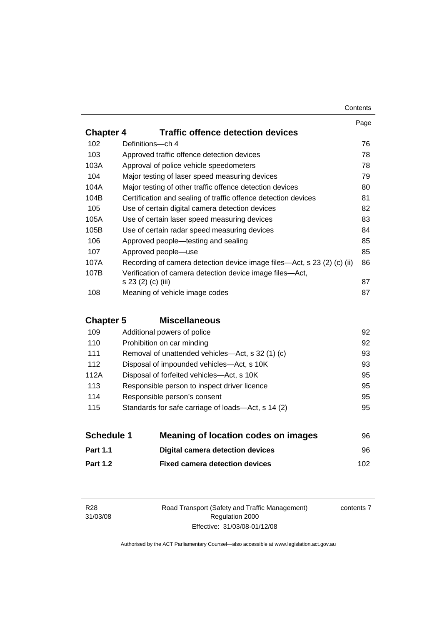|                  |                                                                         | Page |
|------------------|-------------------------------------------------------------------------|------|
| <b>Chapter 4</b> | <b>Traffic offence detection devices</b>                                |      |
| 102              | Definitions-ch 4                                                        | 76   |
| 103              | Approved traffic offence detection devices                              | 78   |
| 103A             | Approval of police vehicle speedometers                                 | 78   |
| 104              | Major testing of laser speed measuring devices                          | 79   |
| 104A             | Major testing of other traffic offence detection devices                | 80   |
| 104B             | Certification and sealing of traffic offence detection devices          | 81   |
| 105              | Use of certain digital camera detection devices                         | 82   |
| 105A             | Use of certain laser speed measuring devices                            | 83   |
| 105B             | Use of certain radar speed measuring devices                            | 84   |
| 106              | Approved people—testing and sealing                                     | 85   |
| 107              | Approved people—use                                                     | 85   |
| 107A             | Recording of camera detection device image files—Act, s 23 (2) (c) (ii) | 86   |
| 107B             | Verification of camera detection device image files-Act,                |      |
|                  | s 23 (2) (c) (iii)                                                      | 87   |
| 108              | Meaning of vehicle image codes                                          | 87   |

### **Chapter 5 Miscellaneous**

| 109  | Additional powers of police                        | 92 |
|------|----------------------------------------------------|----|
| 110  | Prohibition on car minding                         | 92 |
| 111  | Removal of unattended vehicles—Act, s 32 (1) (c)   | 93 |
| 112  | Disposal of impounded vehicles—Act, s 10K          | 93 |
| 112A | Disposal of forfeited vehicles—Act, s 10K          | 95 |
| 113  | Responsible person to inspect driver licence       | 95 |
| 114  | Responsible person's consent                       | 95 |
| 115  | Standards for safe carriage of loads-Act, s 14 (2) | 95 |
|      |                                                    |    |

| <b>Schedule 1</b> | <b>Meaning of location codes on images</b> | 96   |
|-------------------|--------------------------------------------|------|
| <b>Part 1.1</b>   | <b>Digital camera detection devices</b>    | 96.  |
| <b>Part 1.2</b>   | <b>Fixed camera detection devices</b>      | 102. |

Road Transport (Safety and Traffic Management) Regulation 2000 Effective: 31/03/08-01/12/08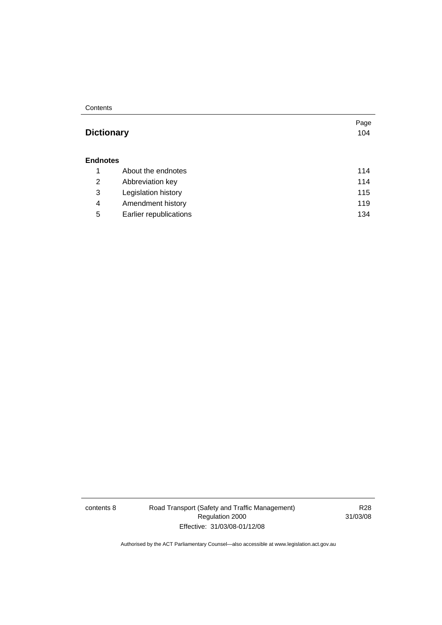#### **Dictionary** [104](#page-113-0)

Page

| <b>Endnotes</b> |                        |     |  |
|-----------------|------------------------|-----|--|
|                 | About the endnotes     | 114 |  |
| 2               | Abbreviation key       | 114 |  |
| 3               | Legislation history    | 115 |  |
| 4               | Amendment history      | 119 |  |
| 5               | Earlier republications | 134 |  |

contents 8 Road Transport (Safety and Traffic Management) Regulation 2000 Effective: 31/03/08-01/12/08

R28 31/03/08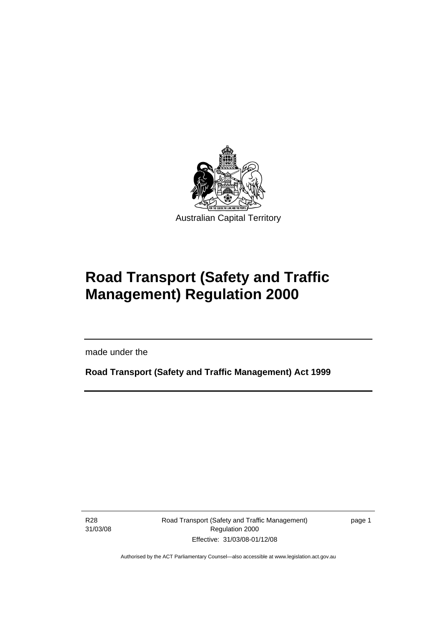<span id="page-10-0"></span>

# **Road Transport (Safety and Traffic Management) Regulation 2000**

made under the

**Road Transport (Safety and Traffic Management) Act 1999** 

R28 31/03/08

Ī

Road Transport (Safety and Traffic Management) Regulation 2000 Effective: 31/03/08-01/12/08

page 1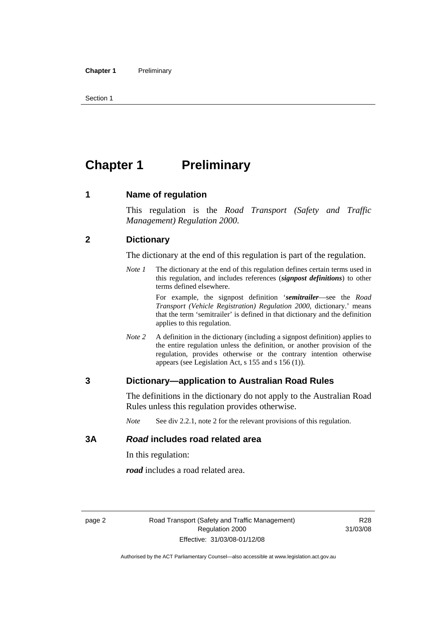<span id="page-11-0"></span>Section 1

## **Chapter 1** Preliminary

#### **1 Name of regulation**

This regulation is the *Road Transport (Safety and Traffic Management) Regulation 2000*.

#### **2 Dictionary**

The dictionary at the end of this regulation is part of the regulation.

*Note 1* The dictionary at the end of this regulation defines certain terms used in this regulation, and includes references (*signpost definitions*) to other terms defined elsewhere.

> For example, the signpost definition '*semitrailer*—see the *Road Transport (Vehicle Registration) Regulation 2000*, dictionary.' means that the term 'semitrailer' is defined in that dictionary and the definition applies to this regulation.

*Note 2* A definition in the dictionary (including a signpost definition) applies to the entire regulation unless the definition, or another provision of the regulation, provides otherwise or the contrary intention otherwise appears (see Legislation Act, s 155 and s 156 (1)).

#### **3 Dictionary—application to Australian Road Rules**

The definitions in the dictionary do not apply to the Australian Road Rules unless this regulation provides otherwise.

*Note* See div 2.2.1, note 2 for the relevant provisions of this regulation.

#### **3A** *Road* **includes road related area**

In this regulation:

*road* includes a road related area.

R28 31/03/08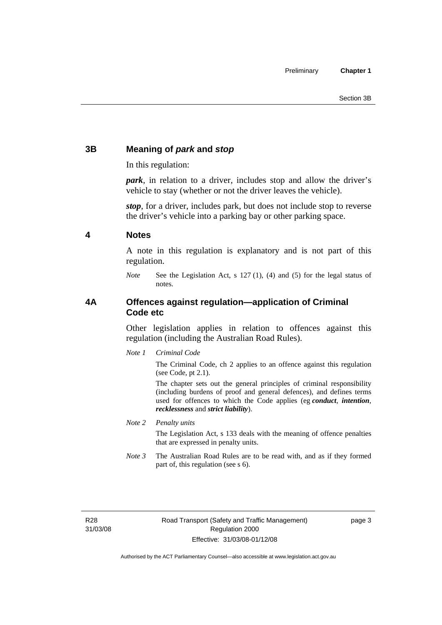#### <span id="page-12-0"></span>**3B Meaning of** *park* **and** *stop*

In this regulation:

*park*, in relation to a driver, includes stop and allow the driver's vehicle to stay (whether or not the driver leaves the vehicle).

*stop*, for a driver, includes park, but does not include stop to reverse the driver's vehicle into a parking bay or other parking space.

#### **4 Notes**

A note in this regulation is explanatory and is not part of this regulation.

*Note* See the Legislation Act, s 127 (1), (4) and (5) for the legal status of notes.

#### **4A Offences against regulation—application of Criminal Code etc**

Other legislation applies in relation to offences against this regulation (including the Australian Road Rules).

*Note 1 Criminal Code*

The Criminal Code, ch 2 applies to an offence against this regulation (see Code, pt 2.1).

The chapter sets out the general principles of criminal responsibility (including burdens of proof and general defences), and defines terms used for offences to which the Code applies (eg *conduct*, *intention*, *recklessness* and *strict liability*).

*Note 2 Penalty units* 

The Legislation Act, s 133 deals with the meaning of offence penalties that are expressed in penalty units.

*Note 3* The Australian Road Rules are to be read with, and as if they formed part of, this regulation (see s 6).

R28 31/03/08 page 3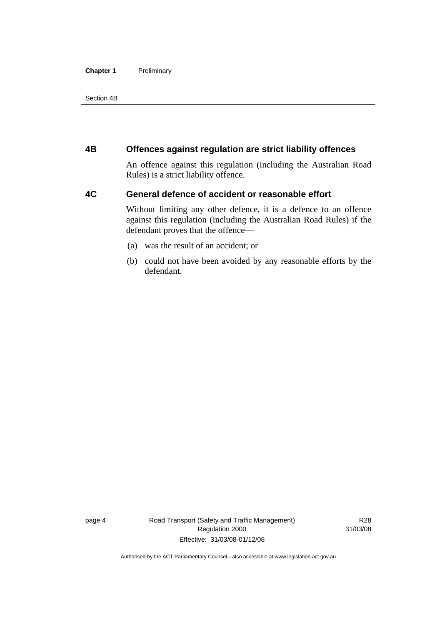#### <span id="page-13-0"></span>**Chapter 1** Preliminary

Section 4B

#### **4B Offences against regulation are strict liability offences**

An offence against this regulation (including the Australian Road Rules) is a strict liability offence.

#### **4C General defence of accident or reasonable effort**

Without limiting any other defence, it is a defence to an offence against this regulation (including the Australian Road Rules) if the defendant proves that the offence—

- (a) was the result of an accident; or
- (b) could not have been avoided by any reasonable efforts by the defendant.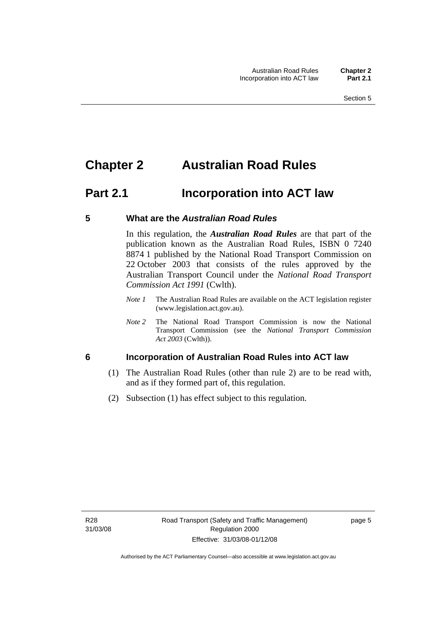### <span id="page-14-0"></span>**Chapter 2 Australian Road Rules**

### **Part 2.1 Incorporation into ACT law**

#### **5 What are the** *Australian Road Rules*

In this regulation, the *Australian Road Rules* are that part of the publication known as the Australian Road Rules, ISBN 0 7240 8874 1 published by the National Road Transport Commission on 22 October 2003 that consists of the rules approved by the Australian Transport Council under the *National Road Transport Commission Act 1991* (Cwlth).

- *Note 1* The Australian Road Rules are available on the ACT legislation register (www.legislation.act.gov.au).
- *Note 2* The National Road Transport Commission is now the National Transport Commission (see the *National Transport Commission Act 2003* (Cwlth)).

#### **6 Incorporation of Australian Road Rules into ACT law**

- (1) The Australian Road Rules (other than rule 2) are to be read with, and as if they formed part of, this regulation.
- (2) Subsection (1) has effect subject to this regulation.

page 5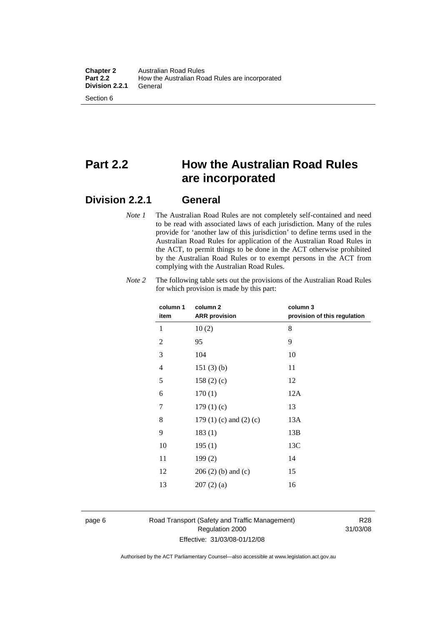### **Part 2.2 How the Australian Road Rules are incorporated**

#### **Division 2.2.1 General**

*Note 1* The Australian Road Rules are not completely self-contained and need to be read with associated laws of each jurisdiction. Many of the rules provide for 'another law of this jurisdiction' to define terms used in the Australian Road Rules for application of the Australian Road Rules in the ACT, to permit things to be done in the ACT otherwise prohibited by the Australian Road Rules or to exempt persons in the ACT from complying with the Australian Road Rules.

| column 1       | column <sub>2</sub>             | column 3                     |
|----------------|---------------------------------|------------------------------|
| item           | <b>ARR</b> provision            | provision of this regulation |
| 1              | 10(2)                           | 8                            |
| $\overline{c}$ | 95                              | 9                            |
| 3              | 104                             | 10                           |
| 4              | 151(3)(b)                       | 11                           |
| 5              | 158(2)(c)                       | 12                           |
| 6              | 170(1)                          | 12A                          |
| 7              | 179(1)(c)                       | 13                           |
| 8              | 179 $(1)$ $(c)$ and $(2)$ $(c)$ | 13A                          |
| 9              | 183(1)                          | 13B                          |
| 10             | 195(1)                          | 13C                          |
| 11             | 199(2)                          | 14                           |
| 12             | $206(2)$ (b) and (c)            | 15                           |
| 13             | 207(2)(a)                       | 16                           |
|                |                                 |                              |

*Note 2* The following table sets out the provisions of the Australian Road Rules for which provision is made by this part:

#### page 6 Road Transport (Safety and Traffic Management) Regulation 2000 Effective: 31/03/08-01/12/08

R28 31/03/08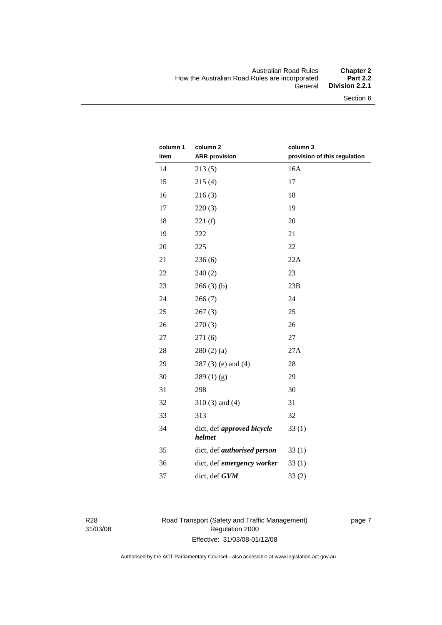#### Australian Road Rules **Chapter 2**  How the Australian Road Rules are incorporated<br>General Division 2.2.1

Section 6

| column 1 | column <sub>2</sub>                  | column 3                     |
|----------|--------------------------------------|------------------------------|
| item     | <b>ARR provision</b>                 | provision of this regulation |
| 14       | 213(5)                               | 16A                          |
| 15       | 215(4)                               | 17                           |
| 16       | 216(3)                               | 18                           |
| 17       | 220(3)                               | 19                           |
| 18       | 221(f)                               | 20                           |
| 19       | 222                                  | 21                           |
| 20       | 225                                  | 22                           |
| 21       | 236(6)                               | 22A                          |
| 22       | 240(2)                               | 23                           |
| 23       | 266(3)(b)                            | 23B                          |
| 24       | 266(7)                               | 24                           |
| 25       | 267(3)                               | 25                           |
| 26       | 270(3)                               | 26                           |
| 27       | 271(6)                               | 27                           |
| 28       | 280(2)(a)                            | 27A                          |
| 29       | $287(3)$ (e) and (4)                 | 28                           |
| 30       | 289(1)(g)                            | 29                           |
| 31       | 298                                  | 30                           |
| 32       | $310(3)$ and $(4)$                   | 31                           |
| 33       | 313                                  | 32                           |
| 34       | dict, def approved bicycle<br>helmet | 33(1)                        |
| 35       | dict, def <i>authorised</i> person   | 33(1)                        |
| 36       | dict, def emergency worker           | 33(1)                        |
| 37       | dict, def GVM                        | 33(2)                        |

R28 31/03/08 Road Transport (Safety and Traffic Management) Regulation 2000 Effective: 31/03/08-01/12/08

page 7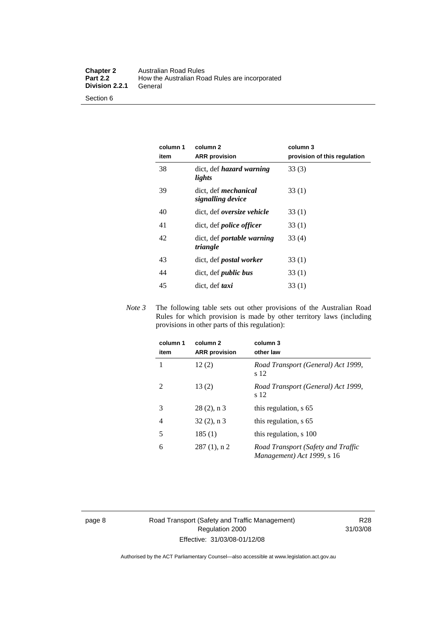| <b>Chapter 2</b>      | Australian Road Rules                          |
|-----------------------|------------------------------------------------|
| <b>Part 2.2</b>       | How the Australian Road Rules are incorporated |
| <b>Division 2.2.1</b> | General                                        |
| Section 6             |                                                |

#### **column 1 item column 2 ARR provision column 3 provision of this regulation**  38 dict, def *hazard warning lights*  33 (3) 39 dict, def *mechanical signalling device* 33 (1) 40 dict, def *oversize vehicle* 33 (1) 41 dict, def *police officer* 33 (1) 42 dict, def *portable warning triangle* 33 (4) 43 dict, def *postal worker* 33 (1) 44 dict, def *public bus* 33 (1) 45 dict, def *taxi* 33 (1)

*Note 3* The following table sets out other provisions of the Australian Road Rules for which provision is made by other territory laws (including provisions in other parts of this regulation):

| column 1<br>item | column 2<br><b>ARR</b> provision | column 3<br>other law                                            |
|------------------|----------------------------------|------------------------------------------------------------------|
| 1                | 12(2)                            | Road Transport (General) Act 1999,<br>s 12                       |
| 2                | 13(2)                            | Road Transport (General) Act 1999,<br>s 12                       |
| 3                | $28(2)$ , n 3                    | this regulation, s 65                                            |
| 4                | $32(2)$ , n 3                    | this regulation, s 65                                            |
| 5                | 185(1)                           | this regulation, s 100                                           |
| 6                | $287(1)$ , n 2                   | Road Transport (Safety and Traffic<br>Management) Act 1999, s 16 |

page 8 Road Transport (Safety and Traffic Management) Regulation 2000 Effective: 31/03/08-01/12/08

R28 31/03/08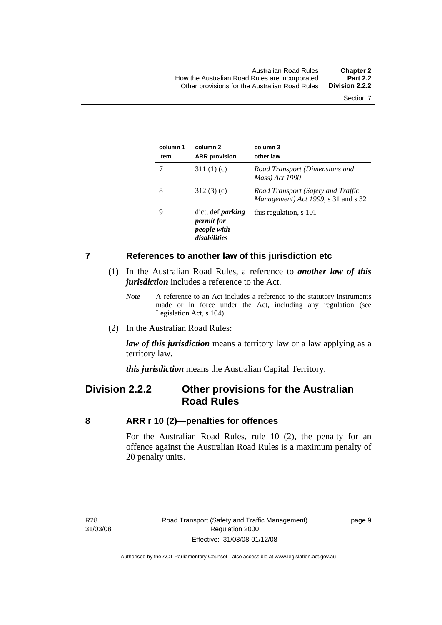<span id="page-18-0"></span>

| column 1<br>item | column 2<br><b>ARR</b> provision                                             | column 3<br>other law                                                             |
|------------------|------------------------------------------------------------------------------|-----------------------------------------------------------------------------------|
|                  | 311 $(1)(c)$                                                                 | Road Transport (Dimensions and<br>Mass) Act 1990                                  |
| 8                | 312(3)(c)                                                                    | Road Transport (Safety and Traffic<br><i>Management</i> ) Act 1999, s 31 and s 32 |
| 9                | dict, def <i>parking</i><br><i>permit for</i><br>people with<br>disabilities | this regulation, s 101                                                            |

#### **7 References to another law of this jurisdiction etc**

- (1) In the Australian Road Rules, a reference to *another law of this jurisdiction* includes a reference to the Act.
	- *Note* A reference to an Act includes a reference to the statutory instruments made or in force under the Act, including any regulation (see Legislation Act, s 104).
- (2) In the Australian Road Rules:

*law of this jurisdiction* means a territory law or a law applying as a territory law.

*this jurisdiction* means the Australian Capital Territory.

### **Division 2.2.2 Other provisions for the Australian Road Rules**

#### **8 ARR r 10 (2)—penalties for offences**

For the Australian Road Rules, rule 10 (2), the penalty for an offence against the Australian Road Rules is a maximum penalty of 20 penalty units.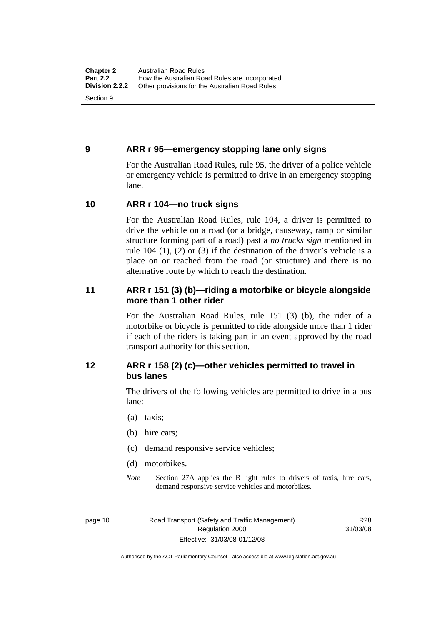#### <span id="page-19-0"></span>**9 ARR r 95—emergency stopping lane only signs**

For the Australian Road Rules, rule 95, the driver of a police vehicle or emergency vehicle is permitted to drive in an emergency stopping lane.

#### **10 ARR r 104—no truck signs**

For the Australian Road Rules, rule 104, a driver is permitted to drive the vehicle on a road (or a bridge, causeway, ramp or similar structure forming part of a road) past a *no trucks sign* mentioned in rule 104 (1), (2) or (3) if the destination of the driver's vehicle is a place on or reached from the road (or structure) and there is no alternative route by which to reach the destination.

#### **11 ARR r 151 (3) (b)—riding a motorbike or bicycle alongside more than 1 other rider**

For the Australian Road Rules, rule 151 (3) (b), the rider of a motorbike or bicycle is permitted to ride alongside more than 1 rider if each of the riders is taking part in an event approved by the road transport authority for this section.

#### **12 ARR r 158 (2) (c)—other vehicles permitted to travel in bus lanes**

The drivers of the following vehicles are permitted to drive in a bus lane:

- (a) taxis;
- (b) hire cars;
- (c) demand responsive service vehicles;
- (d) motorbikes.
- *Note* Section 27A applies the B light rules to drivers of taxis, hire cars, demand responsive service vehicles and motorbikes.

page 10 Road Transport (Safety and Traffic Management) Regulation 2000 Effective: 31/03/08-01/12/08

R28 31/03/08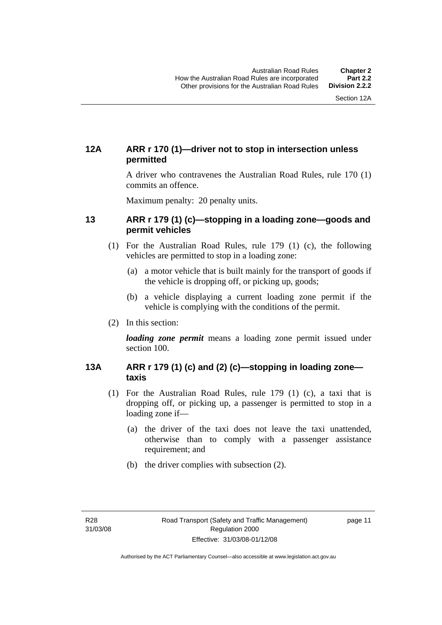#### <span id="page-20-0"></span>**12A ARR r 170 (1)—driver not to stop in intersection unless permitted**

A driver who contravenes the Australian Road Rules, rule 170 (1) commits an offence.

Maximum penalty: 20 penalty units.

#### **13 ARR r 179 (1) (c)—stopping in a loading zone—goods and permit vehicles**

- (1) For the Australian Road Rules, rule 179 (1) (c), the following vehicles are permitted to stop in a loading zone:
	- (a) a motor vehicle that is built mainly for the transport of goods if the vehicle is dropping off, or picking up, goods;
	- (b) a vehicle displaying a current loading zone permit if the vehicle is complying with the conditions of the permit.
- (2) In this section:

*loading zone permit* means a loading zone permit issued under section 100.

#### **13A ARR r 179 (1) (c) and (2) (c)—stopping in loading zone taxis**

- (1) For the Australian Road Rules, rule 179 (1) (c), a taxi that is dropping off, or picking up, a passenger is permitted to stop in a loading zone if—
	- (a) the driver of the taxi does not leave the taxi unattended, otherwise than to comply with a passenger assistance requirement; and
	- (b) the driver complies with subsection (2).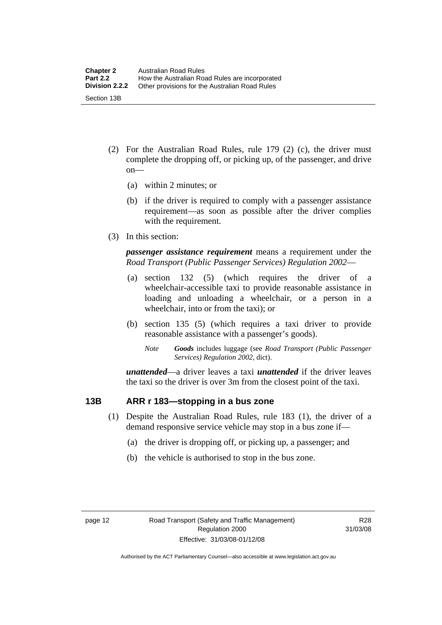- <span id="page-21-0"></span> (2) For the Australian Road Rules, rule 179 (2) (c), the driver must complete the dropping off, or picking up, of the passenger, and drive on—
	- (a) within 2 minutes; or
	- (b) if the driver is required to comply with a passenger assistance requirement—as soon as possible after the driver complies with the requirement.
- (3) In this section:

*passenger assistance requirement* means a requirement under the *Road Transport (Public Passenger Services) Regulation 2002*—

- (a) section 132 (5) (which requires the driver of a wheelchair-accessible taxi to provide reasonable assistance in loading and unloading a wheelchair, or a person in a wheelchair, into or from the taxi); or
- (b) section 135 (5) (which requires a taxi driver to provide reasonable assistance with a passenger's goods).
	- *Note Goods* includes luggage (see *Road Transport (Public Passenger Services) Regulation 2002*, dict).

*unattended*—a driver leaves a taxi *unattended* if the driver leaves the taxi so the driver is over 3m from the closest point of the taxi.

#### **13B ARR r 183—stopping in a bus zone**

- (1) Despite the Australian Road Rules, rule 183 (1), the driver of a demand responsive service vehicle may stop in a bus zone if—
	- (a) the driver is dropping off, or picking up, a passenger; and
	- (b) the vehicle is authorised to stop in the bus zone.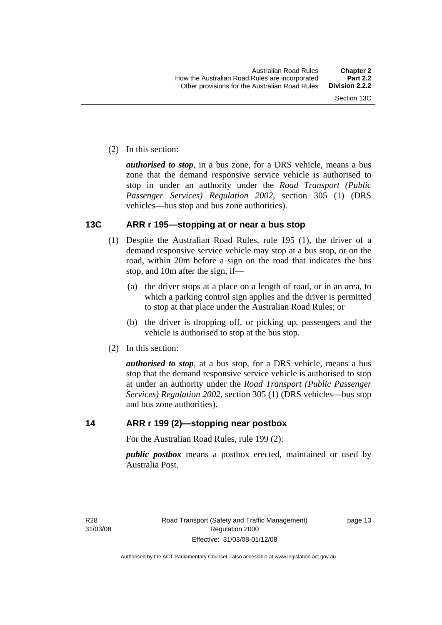<span id="page-22-0"></span>(2) In this section:

*authorised to stop*, in a bus zone, for a DRS vehicle, means a bus zone that the demand responsive service vehicle is authorised to stop in under an authority under the *Road Transport (Public Passenger Services) Regulation 2002*, section 305 (1) (DRS vehicles—bus stop and bus zone authorities).

#### **13C ARR r 195—stopping at or near a bus stop**

- (1) Despite the Australian Road Rules, rule 195 (1), the driver of a demand responsive service vehicle may stop at a bus stop, or on the road, within 20m before a sign on the road that indicates the bus stop, and 10m after the sign, if—
	- (a) the driver stops at a place on a length of road, or in an area, to which a parking control sign applies and the driver is permitted to stop at that place under the Australian Road Rules; or
	- (b) the driver is dropping off, or picking up, passengers and the vehicle is authorised to stop at the bus stop.
- (2) In this section:

*authorised to stop*, at a bus stop, for a DRS vehicle, means a bus stop that the demand responsive service vehicle is authorised to stop at under an authority under the *Road Transport (Public Passenger Services) Regulation 2002*, section 305 (1) (DRS vehicles—bus stop and bus zone authorities).

**14 ARR r 199 (2)—stopping near postbox**

For the Australian Road Rules, rule 199 (2):

*public postbox* means a postbox erected, maintained or used by Australia Post.

R28 31/03/08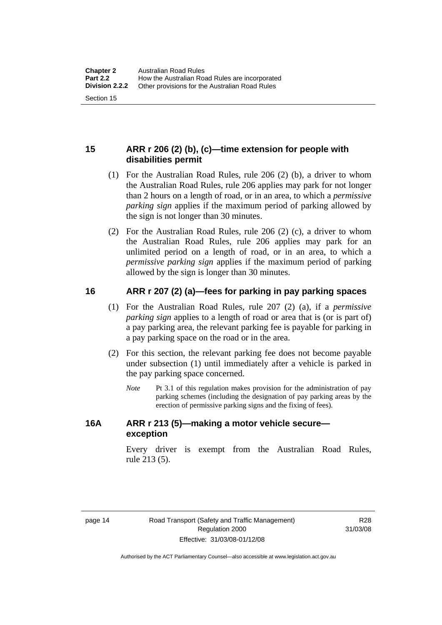#### <span id="page-23-0"></span>**15 ARR r 206 (2) (b), (c)—time extension for people with disabilities permit**

- (1) For the Australian Road Rules, rule 206 (2) (b), a driver to whom the Australian Road Rules, rule 206 applies may park for not longer than 2 hours on a length of road, or in an area, to which a *permissive parking sign* applies if the maximum period of parking allowed by the sign is not longer than 30 minutes.
- (2) For the Australian Road Rules, rule 206 (2) (c), a driver to whom the Australian Road Rules, rule 206 applies may park for an unlimited period on a length of road, or in an area, to which a *permissive parking sign* applies if the maximum period of parking allowed by the sign is longer than 30 minutes.

#### **16 ARR r 207 (2) (a)—fees for parking in pay parking spaces**

- (1) For the Australian Road Rules, rule 207 (2) (a), if a *permissive parking sign* applies to a length of road or area that is (or is part of) a pay parking area, the relevant parking fee is payable for parking in a pay parking space on the road or in the area.
- (2) For this section, the relevant parking fee does not become payable under subsection (1) until immediately after a vehicle is parked in the pay parking space concerned.
	- *Note* Pt 3.1 of this regulation makes provision for the administration of pay parking schemes (including the designation of pay parking areas by the erection of permissive parking signs and the fixing of fees).

#### **16A ARR r 213 (5)—making a motor vehicle secure exception**

Every driver is exempt from the Australian Road Rules, rule 213 (5).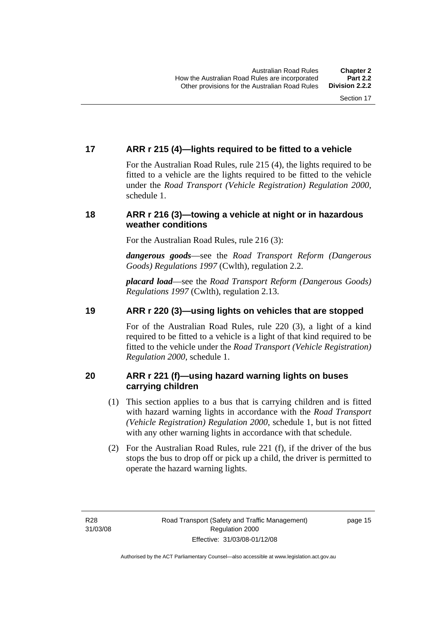#### <span id="page-24-0"></span>**17 ARR r 215 (4)—lights required to be fitted to a vehicle**

For the Australian Road Rules, rule 215 (4), the lights required to be fitted to a vehicle are the lights required to be fitted to the vehicle under the *Road Transport (Vehicle Registration) Regulation 2000,*  schedule 1.

#### **18 ARR r 216 (3)—towing a vehicle at night or in hazardous weather conditions**

For the Australian Road Rules, rule 216 (3):

*dangerous goods*—see the *Road Transport Reform (Dangerous Goods) Regulations 1997* (Cwlth), regulation 2.2.

*placard load*—see the *Road Transport Reform (Dangerous Goods) Regulations 1997* (Cwlth), regulation 2.13.

#### **19 ARR r 220 (3)—using lights on vehicles that are stopped**

For of the Australian Road Rules, rule 220 (3), a light of a kind required to be fitted to a vehicle is a light of that kind required to be fitted to the vehicle under the *Road Transport (Vehicle Registration) Regulation 2000*, schedule 1.

#### **20 ARR r 221 (f)—using hazard warning lights on buses carrying children**

- (1) This section applies to a bus that is carrying children and is fitted with hazard warning lights in accordance with the *Road Transport (Vehicle Registration) Regulation 2000*, schedule 1, but is not fitted with any other warning lights in accordance with that schedule.
- (2) For the Australian Road Rules, rule 221 (f), if the driver of the bus stops the bus to drop off or pick up a child, the driver is permitted to operate the hazard warning lights.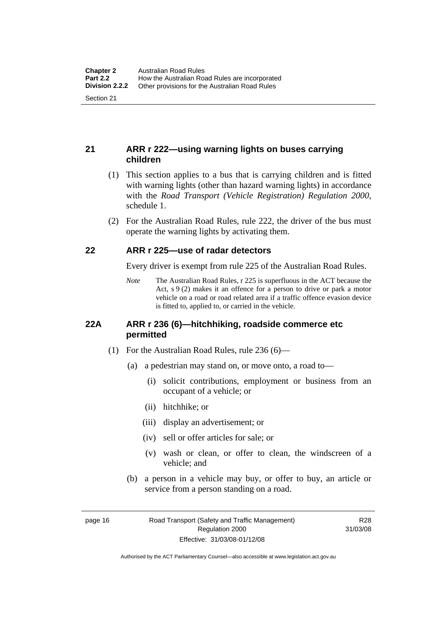#### <span id="page-25-0"></span>**21 ARR r 222—using warning lights on buses carrying children**

- (1) This section applies to a bus that is carrying children and is fitted with warning lights (other than hazard warning lights) in accordance with the *Road Transport (Vehicle Registration) Regulation 2000*, schedule 1.
- (2) For the Australian Road Rules, rule 222, the driver of the bus must operate the warning lights by activating them.

#### **22 ARR r 225—use of radar detectors**

Every driver is exempt from rule 225 of the Australian Road Rules.

*Note* The Australian Road Rules, r 225 is superfluous in the ACT because the Act, s 9 (2) makes it an offence for a person to drive or park a motor vehicle on a road or road related area if a traffic offence evasion device is fitted to, applied to, or carried in the vehicle.

#### **22A ARR r 236 (6)—hitchhiking, roadside commerce etc permitted**

- (1) For the Australian Road Rules, rule 236 (6)—
	- (a) a pedestrian may stand on, or move onto, a road to—
		- (i) solicit contributions, employment or business from an occupant of a vehicle; or
		- (ii) hitchhike; or
		- (iii) display an advertisement; or
		- (iv) sell or offer articles for sale; or
		- (v) wash or clean, or offer to clean, the windscreen of a vehicle; and
	- (b) a person in a vehicle may buy, or offer to buy, an article or service from a person standing on a road.

page 16 Road Transport (Safety and Traffic Management) Regulation 2000 Effective: 31/03/08-01/12/08

R28 31/03/08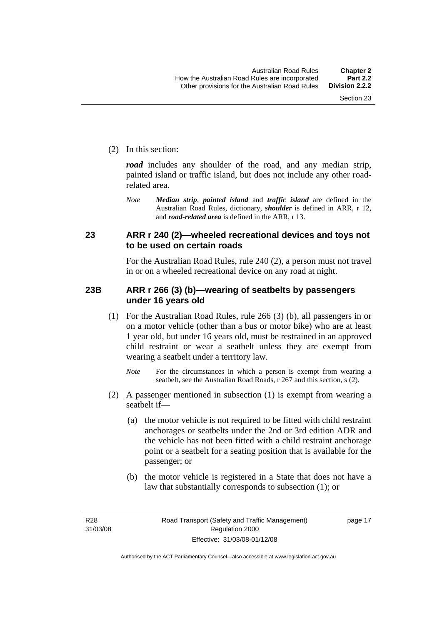<span id="page-26-0"></span>(2) In this section:

*road* includes any shoulder of the road, and any median strip, painted island or traffic island, but does not include any other roadrelated area.

*Note Median strip*, *painted island* and *traffic island* are defined in the Australian Road Rules, dictionary, *shoulder* is defined in ARR, r 12, and *road-related area* is defined in the ARR, r 13.

#### **23 ARR r 240 (2)—wheeled recreational devices and toys not to be used on certain roads**

For the Australian Road Rules, rule 240 (2), a person must not travel in or on a wheeled recreational device on any road at night.

#### **23B ARR r 266 (3) (b)—wearing of seatbelts by passengers under 16 years old**

- (1) For the Australian Road Rules, rule 266 (3) (b), all passengers in or on a motor vehicle (other than a bus or motor bike) who are at least 1 year old, but under 16 years old, must be restrained in an approved child restraint or wear a seatbelt unless they are exempt from wearing a seatbelt under a territory law.
	- *Note* For the circumstances in which a person is exempt from wearing a seatbelt, see the Australian Road Roads, r 267 and this section, s (2).
- (2) A passenger mentioned in subsection (1) is exempt from wearing a seatbelt if—
	- (a) the motor vehicle is not required to be fitted with child restraint anchorages or seatbelts under the 2nd or 3rd edition ADR and the vehicle has not been fitted with a child restraint anchorage point or a seatbelt for a seating position that is available for the passenger; or
	- (b) the motor vehicle is registered in a State that does not have a law that substantially corresponds to subsection (1); or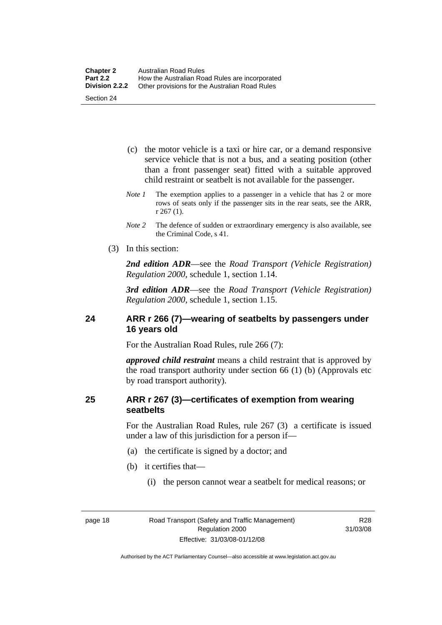- <span id="page-27-0"></span> (c) the motor vehicle is a taxi or hire car, or a demand responsive service vehicle that is not a bus, and a seating position (other than a front passenger seat) fitted with a suitable approved child restraint or seatbelt is not available for the passenger.
- *Note 1* The exemption applies to a passenger in a vehicle that has 2 or more rows of seats only if the passenger sits in the rear seats, see the ARR, r 267 (1).
- *Note 2* The defence of sudden or extraordinary emergency is also available, see the Criminal Code, s 41.
- (3) In this section:

*2nd edition ADR*—see the *Road Transport (Vehicle Registration) Regulation 2000*, schedule 1, section 1.14.

*3rd edition ADR*—see the *Road Transport (Vehicle Registration) Regulation 2000*, schedule 1, section 1.15.

#### **24 ARR r 266 (7)—wearing of seatbelts by passengers under 16 years old**

For the Australian Road Rules, rule 266 (7):

*approved child restraint* means a child restraint that is approved by the road transport authority under section 66 (1) (b) (Approvals etc by road transport authority).

#### **25 ARR r 267 (3)—certificates of exemption from wearing seatbelts**

For the Australian Road Rules, rule 267 (3) a certificate is issued under a law of this jurisdiction for a person if—

- (a) the certificate is signed by a doctor; and
- (b) it certifies that—
	- (i) the person cannot wear a seatbelt for medical reasons; or

R28 31/03/08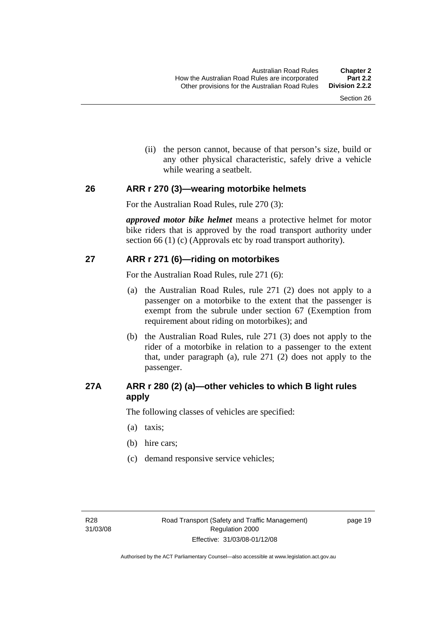(ii) the person cannot, because of that person's size, build or any other physical characteristic, safely drive a vehicle while wearing a seatbelt.

#### <span id="page-28-0"></span>**26 ARR r 270 (3)—wearing motorbike helmets**

For the Australian Road Rules, rule 270 (3):

*approved motor bike helmet* means a protective helmet for motor bike riders that is approved by the road transport authority under section 66 (1) (c) (Approvals etc by road transport authority).

#### **27 ARR r 271 (6)—riding on motorbikes**

For the Australian Road Rules, rule 271 (6):

- (a) the Australian Road Rules, rule 271 (2) does not apply to a passenger on a motorbike to the extent that the passenger is exempt from the subrule under section 67 (Exemption from requirement about riding on motorbikes); and
- (b) the Australian Road Rules, rule 271 (3) does not apply to the rider of a motorbike in relation to a passenger to the extent that, under paragraph (a), rule 271 (2) does not apply to the passenger.

#### **27A ARR r 280 (2) (a)—other vehicles to which B light rules apply**

The following classes of vehicles are specified:

- (a) taxis;
- (b) hire cars;
- (c) demand responsive service vehicles;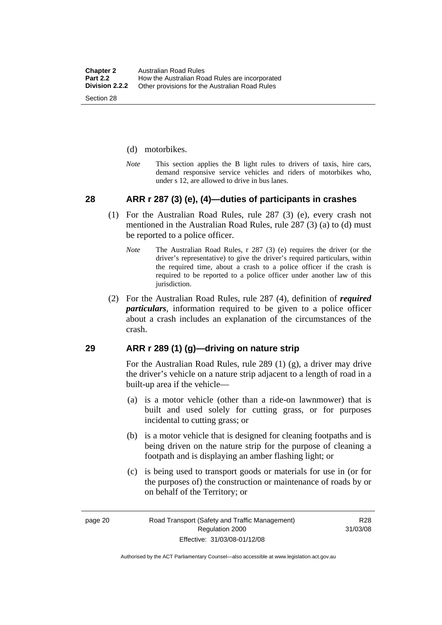- <span id="page-29-0"></span>(d) motorbikes.
- *Note* This section applies the B light rules to drivers of taxis, hire cars, demand responsive service vehicles and riders of motorbikes who, under s 12, are allowed to drive in bus lanes.

#### **28 ARR r 287 (3) (e), (4)—duties of participants in crashes**

- (1) For the Australian Road Rules, rule 287 (3) (e), every crash not mentioned in the Australian Road Rules, rule 287 (3) (a) to (d) must be reported to a police officer.
	- *Note* The Australian Road Rules, r 287 (3) (e) requires the driver (or the driver's representative) to give the driver's required particulars, within the required time, about a crash to a police officer if the crash is required to be reported to a police officer under another law of this jurisdiction.
- (2) For the Australian Road Rules, rule 287 (4), definition of *required particulars*, information required to be given to a police officer about a crash includes an explanation of the circumstances of the crash.

#### **29 ARR r 289 (1) (g)—driving on nature strip**

For the Australian Road Rules, rule 289 (1) (g), a driver may drive the driver's vehicle on a nature strip adjacent to a length of road in a built-up area if the vehicle—

- (a) is a motor vehicle (other than a ride-on lawnmower) that is built and used solely for cutting grass, or for purposes incidental to cutting grass; or
- (b) is a motor vehicle that is designed for cleaning footpaths and is being driven on the nature strip for the purpose of cleaning a footpath and is displaying an amber flashing light; or
- (c) is being used to transport goods or materials for use in (or for the purposes of) the construction or maintenance of roads by or on behalf of the Territory; or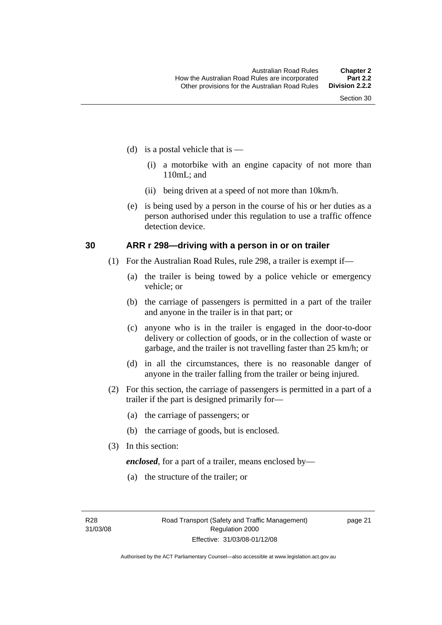- <span id="page-30-0"></span>(d) is a postal vehicle that is  $-$ 
	- (i) a motorbike with an engine capacity of not more than 110mL; and
	- (ii) being driven at a speed of not more than 10km/h.
- (e) is being used by a person in the course of his or her duties as a person authorised under this regulation to use a traffic offence detection device.

#### **30 ARR r 298—driving with a person in or on trailer**

- (1) For the Australian Road Rules, rule 298, a trailer is exempt if—
	- (a) the trailer is being towed by a police vehicle or emergency vehicle; or
	- (b) the carriage of passengers is permitted in a part of the trailer and anyone in the trailer is in that part; or
	- (c) anyone who is in the trailer is engaged in the door-to-door delivery or collection of goods, or in the collection of waste or garbage, and the trailer is not travelling faster than 25 km/h; or
	- (d) in all the circumstances, there is no reasonable danger of anyone in the trailer falling from the trailer or being injured.
- (2) For this section, the carriage of passengers is permitted in a part of a trailer if the part is designed primarily for—
	- (a) the carriage of passengers; or
	- (b) the carriage of goods, but is enclosed.
- (3) In this section:

*enclosed*, for a part of a trailer, means enclosed by—

(a) the structure of the trailer; or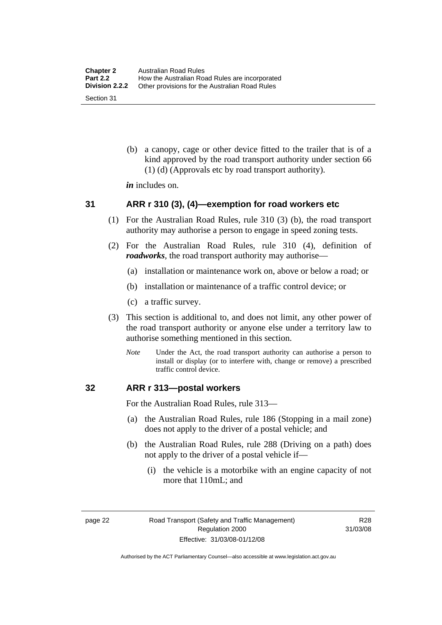<span id="page-31-0"></span> (b) a canopy, cage or other device fitted to the trailer that is of a kind approved by the road transport authority under section 66 (1) (d) (Approvals etc by road transport authority).

*in* includes on.

#### **31 ARR r 310 (3), (4)—exemption for road workers etc**

- (1) For the Australian Road Rules, rule 310 (3) (b), the road transport authority may authorise a person to engage in speed zoning tests.
- (2) For the Australian Road Rules, rule 310 (4), definition of *roadworks*, the road transport authority may authorise—
	- (a) installation or maintenance work on, above or below a road; or
	- (b) installation or maintenance of a traffic control device; or
	- (c) a traffic survey.
- (3) This section is additional to, and does not limit, any other power of the road transport authority or anyone else under a territory law to authorise something mentioned in this section.
	- *Note* Under the Act, the road transport authority can authorise a person to install or display (or to interfere with, change or remove) a prescribed traffic control device.

#### **32 ARR r 313—postal workers**

For the Australian Road Rules, rule 313—

- (a) the Australian Road Rules, rule 186 (Stopping in a mail zone) does not apply to the driver of a postal vehicle; and
- (b) the Australian Road Rules, rule 288 (Driving on a path) does not apply to the driver of a postal vehicle if—
	- (i) the vehicle is a motorbike with an engine capacity of not more that 110mL; and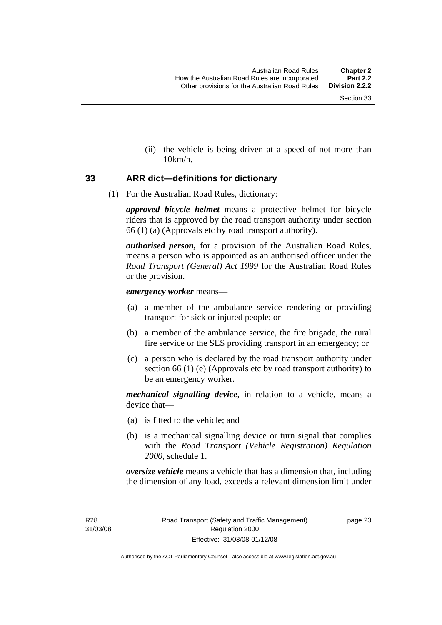(ii) the vehicle is being driven at a speed of not more than 10km/h.

#### <span id="page-32-0"></span>**33 ARR dict—definitions for dictionary**

(1) For the Australian Road Rules, dictionary:

*approved bicycle helmet* means a protective helmet for bicycle riders that is approved by the road transport authority under section 66 (1) (a) (Approvals etc by road transport authority).

*authorised person,* for a provision of the Australian Road Rules, means a person who is appointed as an authorised officer under the *Road Transport (General) Act 1999* for the Australian Road Rules or the provision.

#### *emergency worker* means—

- (a) a member of the ambulance service rendering or providing transport for sick or injured people; or
- (b) a member of the ambulance service, the fire brigade, the rural fire service or the SES providing transport in an emergency; or
- (c) a person who is declared by the road transport authority under section 66 (1) (e) (Approvals etc by road transport authority) to be an emergency worker.

*mechanical signalling device*, in relation to a vehicle, means a device that—

- (a) is fitted to the vehicle; and
- (b) is a mechanical signalling device or turn signal that complies with the *Road Transport (Vehicle Registration) Regulation 2000*, schedule 1.

*oversize vehicle* means a vehicle that has a dimension that, including the dimension of any load, exceeds a relevant dimension limit under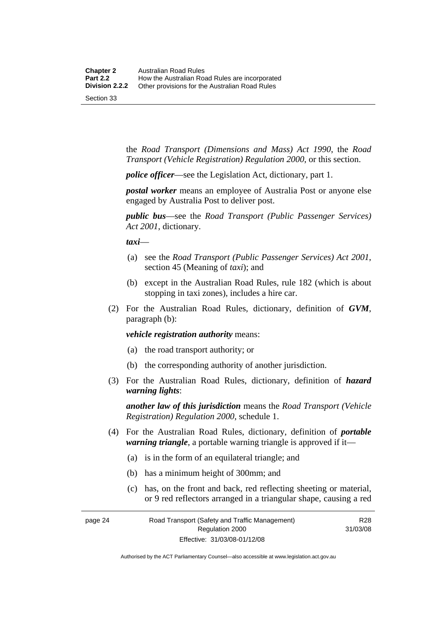the *Road Transport (Dimensions and Mass) Act 1990*, the *Road Transport (Vehicle Registration) Regulation 2000*, or this section.

*police officer*—see the Legislation Act, dictionary, part 1.

*postal worker* means an employee of Australia Post or anyone else engaged by Australia Post to deliver post.

*public bus*—see the *Road Transport (Public Passenger Services) Act 2001*, dictionary.

*taxi*—

- (a) see the *Road Transport (Public Passenger Services) Act 2001*, section 45 (Meaning of *taxi*); and
- (b) except in the Australian Road Rules, rule 182 (which is about stopping in taxi zones), includes a hire car.
- (2) For the Australian Road Rules, dictionary, definition of *GVM*, paragraph (b):

*vehicle registration authority* means:

- (a) the road transport authority; or
- (b) the corresponding authority of another jurisdiction.
- (3) For the Australian Road Rules, dictionary, definition of *hazard warning lights*:

*another law of this jurisdiction* means the *Road Transport (Vehicle Registration) Regulation 2000*, schedule 1.

- (4) For the Australian Road Rules, dictionary, definition of *portable warning triangle*, a portable warning triangle is approved if it—
	- (a) is in the form of an equilateral triangle; and
	- (b) has a minimum height of 300mm; and
	- (c) has, on the front and back, red reflecting sheeting or material, or 9 red reflectors arranged in a triangular shape, causing a red

R28 31/03/08

page 24 Road Transport (Safety and Traffic Management) Regulation 2000 Effective: 31/03/08-01/12/08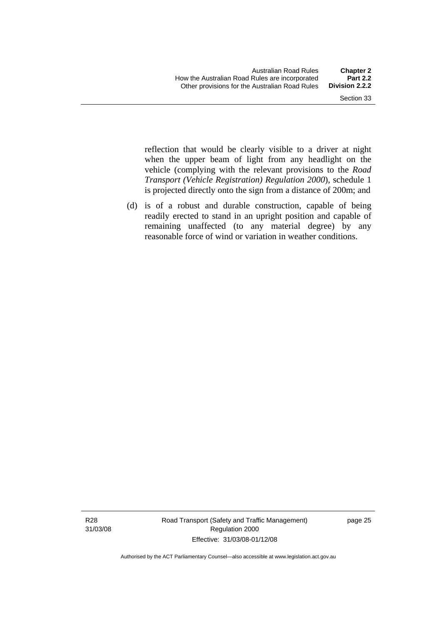reflection that would be clearly visible to a driver at night when the upper beam of light from any headlight on the vehicle (complying with the relevant provisions to the *Road Transport (Vehicle Registration) Regulation 2000*), schedule 1 is projected directly onto the sign from a distance of 200m; and

 (d) is of a robust and durable construction, capable of being readily erected to stand in an upright position and capable of remaining unaffected (to any material degree) by any reasonable force of wind or variation in weather conditions.

R28 31/03/08 Road Transport (Safety and Traffic Management) Regulation 2000 Effective: 31/03/08-01/12/08

page 25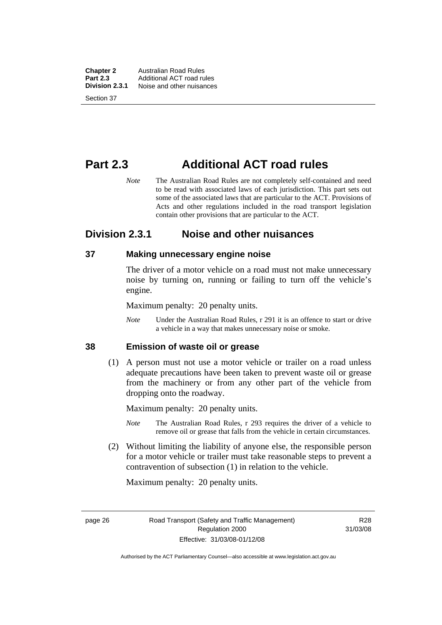<span id="page-35-0"></span>**Chapter 2** Australian Road Rules<br>**Part 2.3** Additional ACT road ru **Part 2.3** Additional ACT road rules<br>**Division 2.3.1** Noise and other nuisances **Division 2.3.1** Noise and other nuisances Section 37

### **Part 2.3 Additional ACT road rules**

*Note* The Australian Road Rules are not completely self-contained and need to be read with associated laws of each jurisdiction. This part sets out some of the associated laws that are particular to the ACT. Provisions of Acts and other regulations included in the road transport legislation contain other provisions that are particular to the ACT.

#### **Division 2.3.1 Noise and other nuisances**

#### **37 Making unnecessary engine noise**

The driver of a motor vehicle on a road must not make unnecessary noise by turning on, running or failing to turn off the vehicle's engine.

Maximum penalty: 20 penalty units.

*Note* Under the Australian Road Rules, r 291 it is an offence to start or drive a vehicle in a way that makes unnecessary noise or smoke.

#### **38 Emission of waste oil or grease**

 (1) A person must not use a motor vehicle or trailer on a road unless adequate precautions have been taken to prevent waste oil or grease from the machinery or from any other part of the vehicle from dropping onto the roadway.

Maximum penalty: 20 penalty units.

- *Note* The Australian Road Rules, r 293 requires the driver of a vehicle to remove oil or grease that falls from the vehicle in certain circumstances.
- (2) Without limiting the liability of anyone else, the responsible person for a motor vehicle or trailer must take reasonable steps to prevent a contravention of subsection (1) in relation to the vehicle.

Maximum penalty: 20 penalty units.

R28 31/03/08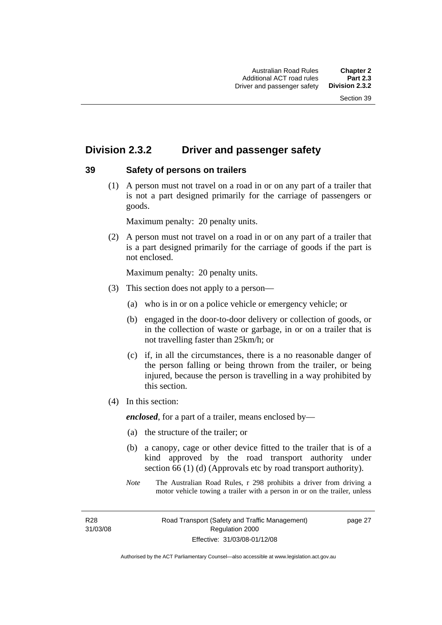# **Division 2.3.2 Driver and passenger safety**

#### **39 Safety of persons on trailers**

 (1) A person must not travel on a road in or on any part of a trailer that is not a part designed primarily for the carriage of passengers or goods.

Maximum penalty: 20 penalty units.

 (2) A person must not travel on a road in or on any part of a trailer that is a part designed primarily for the carriage of goods if the part is not enclosed.

Maximum penalty: 20 penalty units.

- (3) This section does not apply to a person—
	- (a) who is in or on a police vehicle or emergency vehicle; or
	- (b) engaged in the door-to-door delivery or collection of goods, or in the collection of waste or garbage, in or on a trailer that is not travelling faster than 25km/h; or
	- (c) if, in all the circumstances, there is a no reasonable danger of the person falling or being thrown from the trailer, or being injured, because the person is travelling in a way prohibited by this section.
- (4) In this section:

*enclosed*, for a part of a trailer, means enclosed by—

- (a) the structure of the trailer; or
- (b) a canopy, cage or other device fitted to the trailer that is of a kind approved by the road transport authority under section 66 (1) (d) (Approvals etc by road transport authority).
- *Note* The Australian Road Rules, r 298 prohibits a driver from driving a motor vehicle towing a trailer with a person in or on the trailer, unless

R28 31/03/08 page 27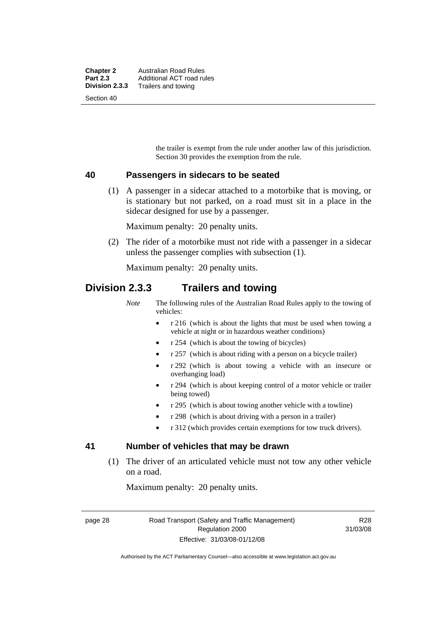| <b>Chapter 2</b> | Australian Road Rules     |
|------------------|---------------------------|
| <b>Part 2.3</b>  | Additional ACT road rules |
| Division 2.3.3   | Trailers and towing       |
| Section 40       |                           |

the trailer is exempt from the rule under another law of this jurisdiction. Section 30 provides the exemption from the rule.

#### **40 Passengers in sidecars to be seated**

 (1) A passenger in a sidecar attached to a motorbike that is moving, or is stationary but not parked, on a road must sit in a place in the sidecar designed for use by a passenger.

Maximum penalty: 20 penalty units.

 (2) The rider of a motorbike must not ride with a passenger in a sidecar unless the passenger complies with subsection (1).

Maximum penalty: 20 penalty units.

### **Division 2.3.3 Trailers and towing**

*Note* The following rules of the Australian Road Rules apply to the towing of vehicles:

- r 216 (which is about the lights that must be used when towing a vehicle at night or in hazardous weather conditions)
- r 254 (which is about the towing of bicycles)
- r 257 (which is about riding with a person on a bicycle trailer)
- r 292 (which is about towing a vehicle with an insecure or overhanging load)
- r 294 (which is about keeping control of a motor vehicle or trailer being towed)
- r 295 (which is about towing another vehicle with a towline)
- r 298 (which is about driving with a person in a trailer)
- r 312 (which provides certain exemptions for tow truck drivers).

#### **41 Number of vehicles that may be drawn**

 (1) The driver of an articulated vehicle must not tow any other vehicle on a road.

Maximum penalty: 20 penalty units.

page 28 Road Transport (Safety and Traffic Management) Regulation 2000 Effective: 31/03/08-01/12/08

R28 31/03/08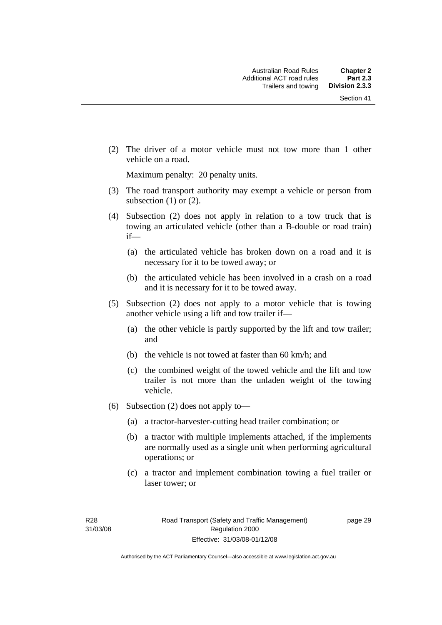(2) The driver of a motor vehicle must not tow more than 1 other vehicle on a road.

Maximum penalty: 20 penalty units.

- (3) The road transport authority may exempt a vehicle or person from subsection  $(1)$  or  $(2)$ .
- (4) Subsection (2) does not apply in relation to a tow truck that is towing an articulated vehicle (other than a B-double or road train) if—
	- (a) the articulated vehicle has broken down on a road and it is necessary for it to be towed away; or
	- (b) the articulated vehicle has been involved in a crash on a road and it is necessary for it to be towed away.
- (5) Subsection (2) does not apply to a motor vehicle that is towing another vehicle using a lift and tow trailer if—
	- (a) the other vehicle is partly supported by the lift and tow trailer; and
	- (b) the vehicle is not towed at faster than 60 km/h; and
	- (c) the combined weight of the towed vehicle and the lift and tow trailer is not more than the unladen weight of the towing vehicle.
- (6) Subsection (2) does not apply to—
	- (a) a tractor-harvester-cutting head trailer combination; or
	- (b) a tractor with multiple implements attached, if the implements are normally used as a single unit when performing agricultural operations; or
	- (c) a tractor and implement combination towing a fuel trailer or laser tower; or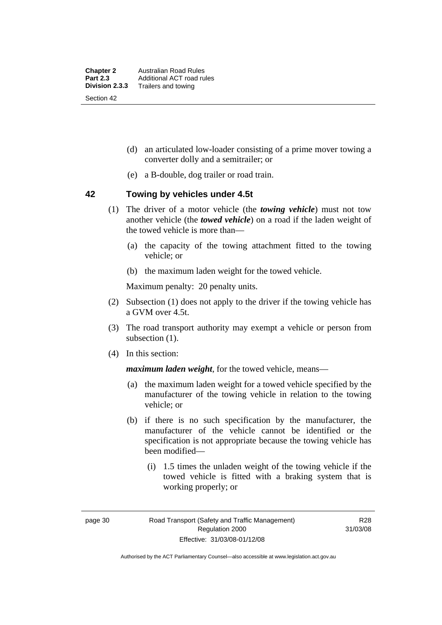- (d) an articulated low-loader consisting of a prime mover towing a converter dolly and a semitrailer; or
- (e) a B-double, dog trailer or road train.

#### **42 Towing by vehicles under 4.5t**

- (1) The driver of a motor vehicle (the *towing vehicle*) must not tow another vehicle (the *towed vehicle*) on a road if the laden weight of the towed vehicle is more than—
	- (a) the capacity of the towing attachment fitted to the towing vehicle; or
	- (b) the maximum laden weight for the towed vehicle.

Maximum penalty: 20 penalty units.

- (2) Subsection (1) does not apply to the driver if the towing vehicle has a GVM over 4.5t.
- (3) The road transport authority may exempt a vehicle or person from subsection  $(1)$ .
- (4) In this section:

*maximum laden weight*, for the towed vehicle, means—

- (a) the maximum laden weight for a towed vehicle specified by the manufacturer of the towing vehicle in relation to the towing vehicle; or
- (b) if there is no such specification by the manufacturer, the manufacturer of the vehicle cannot be identified or the specification is not appropriate because the towing vehicle has been modified—
	- (i) 1.5 times the unladen weight of the towing vehicle if the towed vehicle is fitted with a braking system that is working properly; or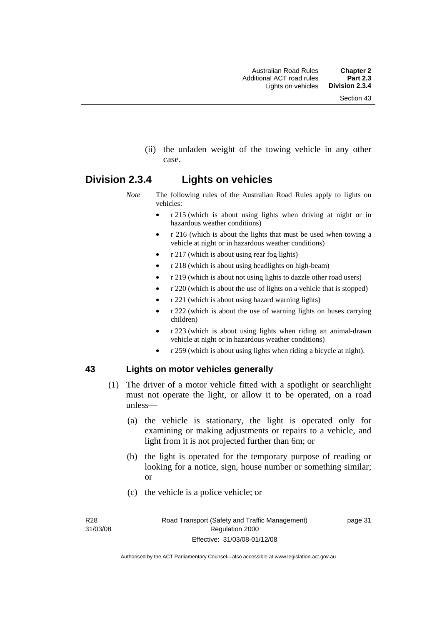(ii) the unladen weight of the towing vehicle in any other case.

## **Division 2.3.4 Lights on vehicles**

- *Note* The following rules of the Australian Road Rules apply to lights on vehicles:
	- r 215 (which is about using lights when driving at night or in hazardous weather conditions)
	- r 216 (which is about the lights that must be used when towing a vehicle at night or in hazardous weather conditions)
	- r 217 (which is about using rear fog lights)
	- r 218 (which is about using headlights on high-beam)
	- r 219 (which is about not using lights to dazzle other road users)
	- r 220 (which is about the use of lights on a vehicle that is stopped)
	- r 221 (which is about using hazard warning lights)
	- r 222 (which is about the use of warning lights on buses carrying children)
	- r 223 (which is about using lights when riding an animal-drawn vehicle at night or in hazardous weather conditions)
	- r 259 (which is about using lights when riding a bicycle at night).

#### **43 Lights on motor vehicles generally**

- (1) The driver of a motor vehicle fitted with a spotlight or searchlight must not operate the light, or allow it to be operated, on a road unless—
	- (a) the vehicle is stationary, the light is operated only for examining or making adjustments or repairs to a vehicle, and light from it is not projected further than 6m; or
	- (b) the light is operated for the temporary purpose of reading or looking for a notice, sign, house number or something similar; or
	- (c) the vehicle is a police vehicle; or

R28 31/03/08 page 31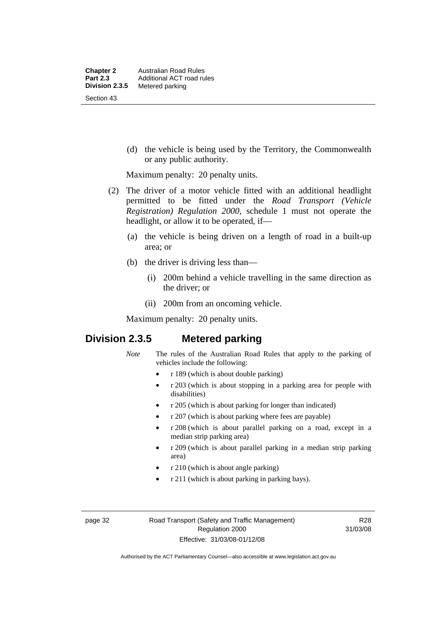(d) the vehicle is being used by the Territory, the Commonwealth or any public authority.

Maximum penalty: 20 penalty units.

- (2) The driver of a motor vehicle fitted with an additional headlight permitted to be fitted under the *Road Transport (Vehicle Registration) Regulation 2000*, schedule 1 must not operate the headlight, or allow it to be operated, if—
	- (a) the vehicle is being driven on a length of road in a built-up area; or
	- (b) the driver is driving less than—
		- (i) 200m behind a vehicle travelling in the same direction as the driver; or
		- (ii) 200m from an oncoming vehicle.

Maximum penalty: 20 penalty units.

# **Division 2.3.5 Metered parking**

- *Note* The rules of the Australian Road Rules that apply to the parking of vehicles include the following:
	- r 189 (which is about double parking)
	- r 203 (which is about stopping in a parking area for people with disabilities)
	- r 205 (which is about parking for longer than indicated)
	- r 207 (which is about parking where fees are payable)
	- r 208 (which is about parallel parking on a road, except in a median strip parking area)
	- r 209 (which is about parallel parking in a median strip parking area)
	- r 210 (which is about angle parking)
	- r 211 (which is about parking in parking bays).

R28 31/03/08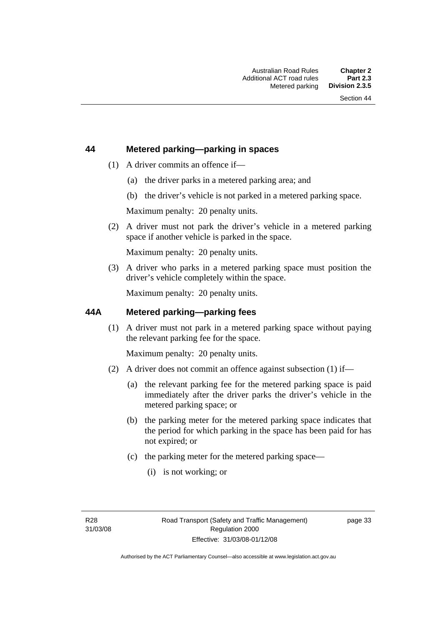#### **44 Metered parking—parking in spaces**

- (1) A driver commits an offence if—
	- (a) the driver parks in a metered parking area; and
	- (b) the driver's vehicle is not parked in a metered parking space.

Maximum penalty: 20 penalty units.

 (2) A driver must not park the driver's vehicle in a metered parking space if another vehicle is parked in the space.

Maximum penalty: 20 penalty units.

 (3) A driver who parks in a metered parking space must position the driver's vehicle completely within the space.

Maximum penalty: 20 penalty units.

#### **44A Metered parking—parking fees**

 (1) A driver must not park in a metered parking space without paying the relevant parking fee for the space.

Maximum penalty: 20 penalty units.

- (2) A driver does not commit an offence against subsection (1) if—
	- (a) the relevant parking fee for the metered parking space is paid immediately after the driver parks the driver's vehicle in the metered parking space; or
	- (b) the parking meter for the metered parking space indicates that the period for which parking in the space has been paid for has not expired; or
	- (c) the parking meter for the metered parking space—
		- (i) is not working; or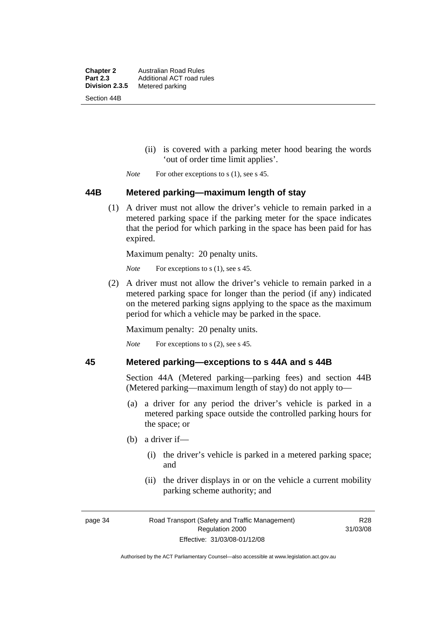**Chapter 2** Australian Road Rules<br>**Part 2.3** Additional ACT road ru **Part 2.3** Additional ACT road rules<br>**Division 2.3.5** Metered parking **Metered parking** Section 44B

- (ii) is covered with a parking meter hood bearing the words 'out of order time limit applies'.
- *Note* For other exceptions to s (1), see s 45.

#### **44B Metered parking—maximum length of stay**

 (1) A driver must not allow the driver's vehicle to remain parked in a metered parking space if the parking meter for the space indicates that the period for which parking in the space has been paid for has expired.

Maximum penalty: 20 penalty units.

*Note* For exceptions to s (1), see s 45.

 (2) A driver must not allow the driver's vehicle to remain parked in a metered parking space for longer than the period (if any) indicated on the metered parking signs applying to the space as the maximum period for which a vehicle may be parked in the space.

Maximum penalty: 20 penalty units.

*Note* For exceptions to s (2), see s 45.

#### **45 Metered parking—exceptions to s 44A and s 44B**

Section 44A (Metered parking—parking fees) and section 44B (Metered parking—maximum length of stay) do not apply to—

- (a) a driver for any period the driver's vehicle is parked in a metered parking space outside the controlled parking hours for the space; or
- (b) a driver if—
	- (i) the driver's vehicle is parked in a metered parking space; and
	- (ii) the driver displays in or on the vehicle a current mobility parking scheme authority; and

R28 31/03/08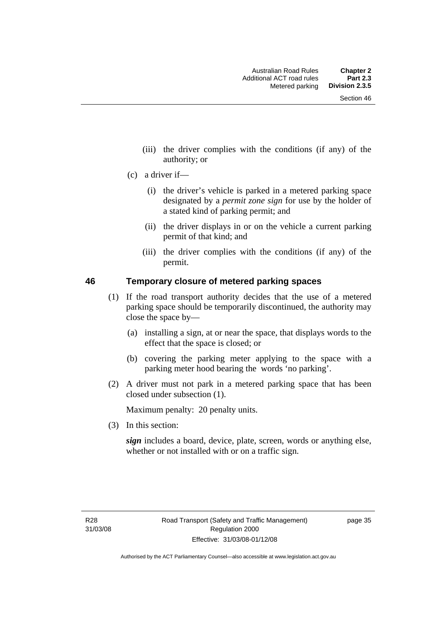- (iii) the driver complies with the conditions (if any) of the authority; or
- (c) a driver if—
	- (i) the driver's vehicle is parked in a metered parking space designated by a *permit zone sign* for use by the holder of a stated kind of parking permit; and
	- (ii) the driver displays in or on the vehicle a current parking permit of that kind; and
	- (iii) the driver complies with the conditions (if any) of the permit.

#### **46 Temporary closure of metered parking spaces**

- (1) If the road transport authority decides that the use of a metered parking space should be temporarily discontinued, the authority may close the space by—
	- (a) installing a sign, at or near the space, that displays words to the effect that the space is closed; or
	- (b) covering the parking meter applying to the space with a parking meter hood bearing the words 'no parking'.
- (2) A driver must not park in a metered parking space that has been closed under subsection (1).

Maximum penalty: 20 penalty units.

(3) In this section:

*sign* includes a board, device, plate, screen, words or anything else, whether or not installed with or on a traffic sign.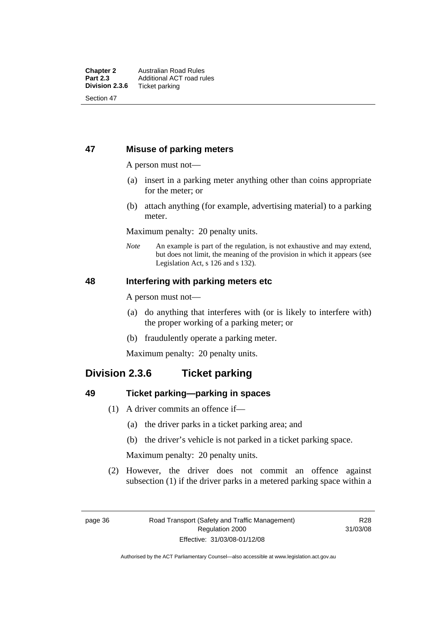#### **47 Misuse of parking meters**

A person must not—

- (a) insert in a parking meter anything other than coins appropriate for the meter; or
- (b) attach anything (for example, advertising material) to a parking meter.

Maximum penalty: 20 penalty units.

*Note* An example is part of the regulation, is not exhaustive and may extend, but does not limit, the meaning of the provision in which it appears (see Legislation Act, s 126 and s 132).

#### **48 Interfering with parking meters etc**

A person must not—

- (a) do anything that interferes with (or is likely to interfere with) the proper working of a parking meter; or
- (b) fraudulently operate a parking meter.

Maximum penalty: 20 penalty units.

# **Division 2.3.6 Ticket parking**

#### **49 Ticket parking—parking in spaces**

- (1) A driver commits an offence if—
	- (a) the driver parks in a ticket parking area; and
	- (b) the driver's vehicle is not parked in a ticket parking space.

Maximum penalty: 20 penalty units.

 (2) However, the driver does not commit an offence against subsection (1) if the driver parks in a metered parking space within a

R28 31/03/08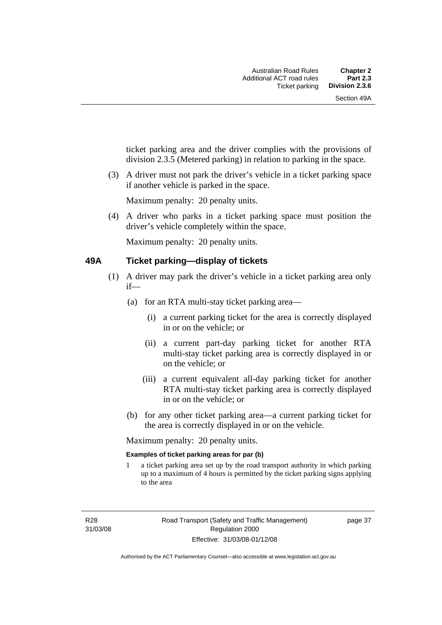ticket parking area and the driver complies with the provisions of division 2.3.5 (Metered parking) in relation to parking in the space.

 (3) A driver must not park the driver's vehicle in a ticket parking space if another vehicle is parked in the space.

Maximum penalty: 20 penalty units.

 (4) A driver who parks in a ticket parking space must position the driver's vehicle completely within the space.

Maximum penalty: 20 penalty units.

#### **49A Ticket parking—display of tickets**

- (1) A driver may park the driver's vehicle in a ticket parking area only if—
	- (a) for an RTA multi-stay ticket parking area—
		- (i) a current parking ticket for the area is correctly displayed in or on the vehicle; or
		- (ii) a current part-day parking ticket for another RTA multi-stay ticket parking area is correctly displayed in or on the vehicle; or
		- (iii) a current equivalent all-day parking ticket for another RTA multi-stay ticket parking area is correctly displayed in or on the vehicle; or
	- (b) for any other ticket parking area—a current parking ticket for the area is correctly displayed in or on the vehicle.

Maximum penalty: 20 penalty units.

#### **Examples of ticket parking areas for par (b)**

1 a ticket parking area set up by the road transport authority in which parking up to a maximum of 4 hours is permitted by the ticket parking signs applying to the area

R28 31/03/08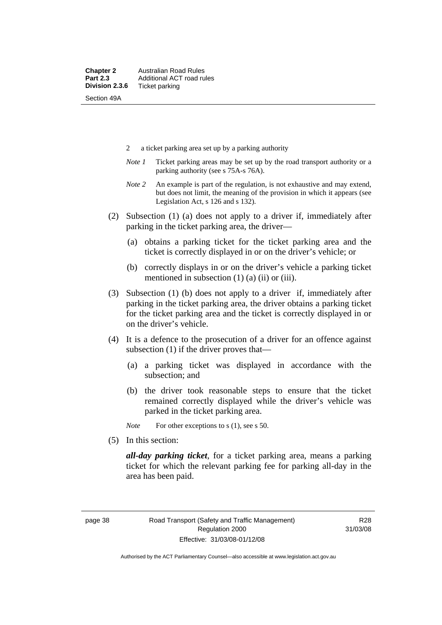- 2 a ticket parking area set up by a parking authority
- *Note 1* Ticket parking areas may be set up by the road transport authority or a parking authority (see s 75A-s 76A).
- *Note 2* An example is part of the regulation, is not exhaustive and may extend, but does not limit, the meaning of the provision in which it appears (see Legislation Act, s 126 and s 132).
- (2) Subsection (1) (a) does not apply to a driver if, immediately after parking in the ticket parking area, the driver—
	- (a) obtains a parking ticket for the ticket parking area and the ticket is correctly displayed in or on the driver's vehicle; or
	- (b) correctly displays in or on the driver's vehicle a parking ticket mentioned in subsection  $(1)$   $(a)$   $(ii)$  or  $(iii)$ .
- (3) Subsection (1) (b) does not apply to a driver if, immediately after parking in the ticket parking area, the driver obtains a parking ticket for the ticket parking area and the ticket is correctly displayed in or on the driver's vehicle.
- (4) It is a defence to the prosecution of a driver for an offence against subsection (1) if the driver proves that—
	- (a) a parking ticket was displayed in accordance with the subsection; and
	- (b) the driver took reasonable steps to ensure that the ticket remained correctly displayed while the driver's vehicle was parked in the ticket parking area.

*Note* For other exceptions to s (1), see s 50.

(5) In this section:

*all-day parking ticket*, for a ticket parking area, means a parking ticket for which the relevant parking fee for parking all-day in the area has been paid.

R28 31/03/08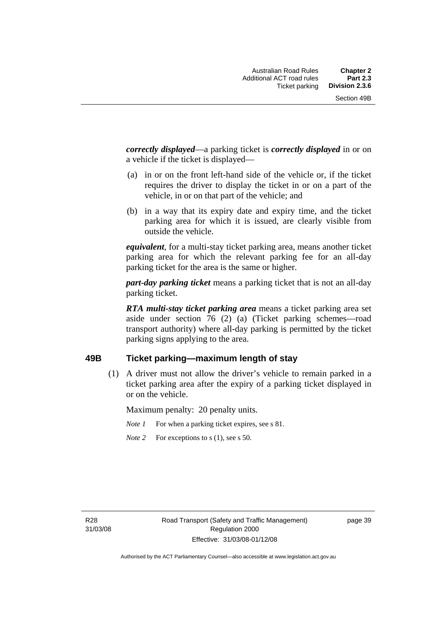*correctly displayed*—a parking ticket is *correctly displayed* in or on a vehicle if the ticket is displayed—

- (a) in or on the front left-hand side of the vehicle or, if the ticket requires the driver to display the ticket in or on a part of the vehicle, in or on that part of the vehicle; and
- (b) in a way that its expiry date and expiry time, and the ticket parking area for which it is issued, are clearly visible from outside the vehicle.

*equivalent*, for a multi-stay ticket parking area, means another ticket parking area for which the relevant parking fee for an all-day parking ticket for the area is the same or higher.

*part-day parking ticket* means a parking ticket that is not an all-day parking ticket.

*RTA multi-stay ticket parking area* means a ticket parking area set aside under section 76 (2) (a) (Ticket parking schemes—road transport authority) where all-day parking is permitted by the ticket parking signs applying to the area.

#### **49B Ticket parking—maximum length of stay**

 (1) A driver must not allow the driver's vehicle to remain parked in a ticket parking area after the expiry of a parking ticket displayed in or on the vehicle.

Maximum penalty: 20 penalty units.

- *Note 1* For when a parking ticket expires, see s 81.
- *Note* 2 For exceptions to s (1), see s 50.

R28 31/03/08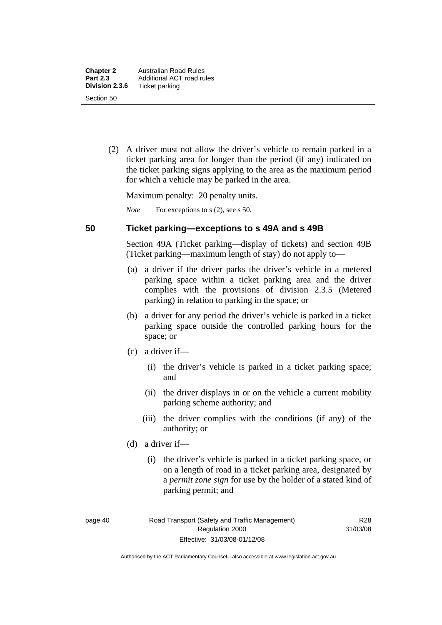(2) A driver must not allow the driver's vehicle to remain parked in a ticket parking area for longer than the period (if any) indicated on the ticket parking signs applying to the area as the maximum period for which a vehicle may be parked in the area.

Maximum penalty: 20 penalty units.

*Note* For exceptions to s (2), see s 50.

#### **50 Ticket parking—exceptions to s 49A and s 49B**

Section 49A (Ticket parking—display of tickets) and section 49B (Ticket parking—maximum length of stay) do not apply to—

- (a) a driver if the driver parks the driver's vehicle in a metered parking space within a ticket parking area and the driver complies with the provisions of division 2.3.5 (Metered parking) in relation to parking in the space; or
- (b) a driver for any period the driver's vehicle is parked in a ticket parking space outside the controlled parking hours for the space; or
- (c) a driver if—
	- (i) the driver's vehicle is parked in a ticket parking space; and
	- (ii) the driver displays in or on the vehicle a current mobility parking scheme authority; and
	- (iii) the driver complies with the conditions (if any) of the authority; or
- (d) a driver if—
	- (i) the driver's vehicle is parked in a ticket parking space, or on a length of road in a ticket parking area, designated by a *permit zone sign* for use by the holder of a stated kind of parking permit; and

page 40 Road Transport (Safety and Traffic Management) Regulation 2000 Effective: 31/03/08-01/12/08

R28 31/03/08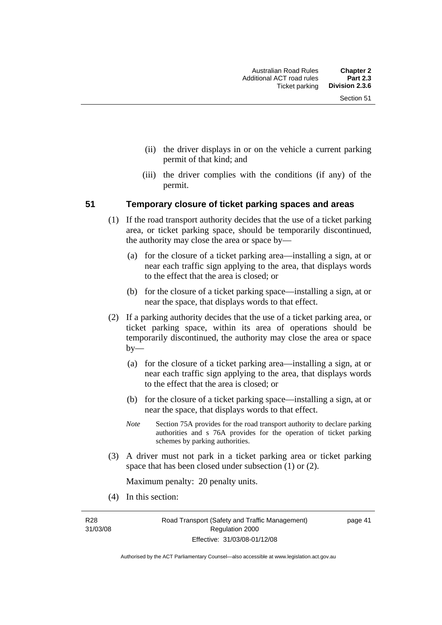- (ii) the driver displays in or on the vehicle a current parking permit of that kind; and
- (iii) the driver complies with the conditions (if any) of the permit.

#### **51 Temporary closure of ticket parking spaces and areas**

- (1) If the road transport authority decides that the use of a ticket parking area, or ticket parking space, should be temporarily discontinued, the authority may close the area or space by—
	- (a) for the closure of a ticket parking area—installing a sign, at or near each traffic sign applying to the area, that displays words to the effect that the area is closed; or
	- (b) for the closure of a ticket parking space—installing a sign, at or near the space, that displays words to that effect.
- (2) If a parking authority decides that the use of a ticket parking area, or ticket parking space, within its area of operations should be temporarily discontinued, the authority may close the area or space by—
	- (a) for the closure of a ticket parking area—installing a sign, at or near each traffic sign applying to the area, that displays words to the effect that the area is closed; or
	- (b) for the closure of a ticket parking space—installing a sign, at or near the space, that displays words to that effect.
	- *Note* Section 75A provides for the road transport authority to declare parking authorities and s 76A provides for the operation of ticket parking schemes by parking authorities.
- (3) A driver must not park in a ticket parking area or ticket parking space that has been closed under subsection (1) or (2).

Maximum penalty: 20 penalty units.

(4) In this section:

R28 31/03/08 page 41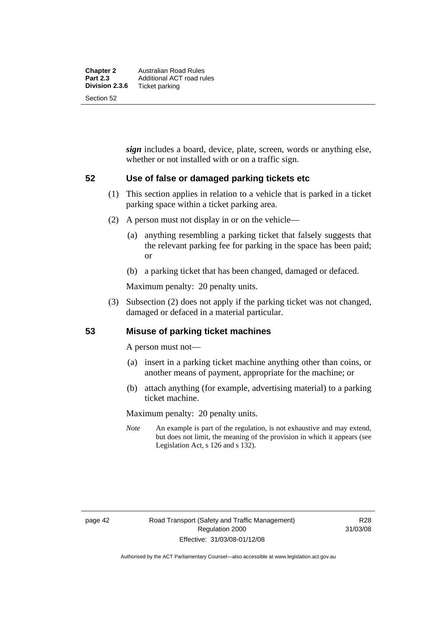*sign* includes a board, device, plate, screen, words or anything else, whether or not installed with or on a traffic sign.

#### **52 Use of false or damaged parking tickets etc**

- (1) This section applies in relation to a vehicle that is parked in a ticket parking space within a ticket parking area.
- (2) A person must not display in or on the vehicle—
	- (a) anything resembling a parking ticket that falsely suggests that the relevant parking fee for parking in the space has been paid; or
	- (b) a parking ticket that has been changed, damaged or defaced.

Maximum penalty: 20 penalty units.

 (3) Subsection (2) does not apply if the parking ticket was not changed, damaged or defaced in a material particular.

#### **53 Misuse of parking ticket machines**

A person must not—

- (a) insert in a parking ticket machine anything other than coins, or another means of payment, appropriate for the machine; or
- (b) attach anything (for example, advertising material) to a parking ticket machine.

Maximum penalty: 20 penalty units.

*Note* An example is part of the regulation, is not exhaustive and may extend, but does not limit, the meaning of the provision in which it appears (see Legislation Act, s 126 and s 132).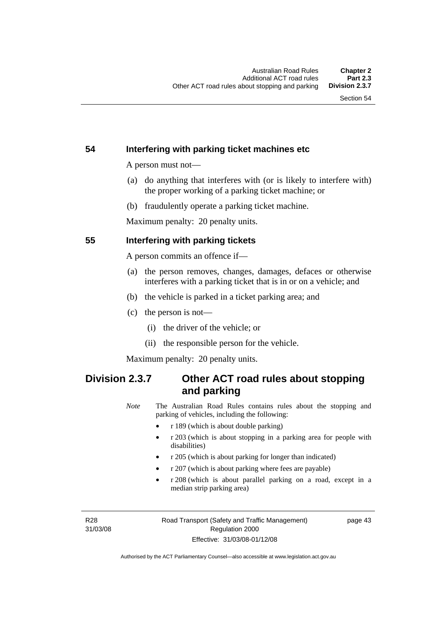#### **54 Interfering with parking ticket machines etc**

A person must not—

- (a) do anything that interferes with (or is likely to interfere with) the proper working of a parking ticket machine; or
- (b) fraudulently operate a parking ticket machine.

Maximum penalty: 20 penalty units.

#### **55 Interfering with parking tickets**

A person commits an offence if—

- (a) the person removes, changes, damages, defaces or otherwise interferes with a parking ticket that is in or on a vehicle; and
- (b) the vehicle is parked in a ticket parking area; and
- (c) the person is not—
	- (i) the driver of the vehicle; or
	- (ii) the responsible person for the vehicle.

Maximum penalty: 20 penalty units.

# **Division 2.3.7 Other ACT road rules about stopping and parking**

*Note* The Australian Road Rules contains rules about the stopping and parking of vehicles, including the following:

- r 189 (which is about double parking)
- r 203 (which is about stopping in a parking area for people with disabilities)
- r 205 (which is about parking for longer than indicated)
- r 207 (which is about parking where fees are payable)
- r 208 (which is about parallel parking on a road, except in a median strip parking area)

R28 31/03/08 page 43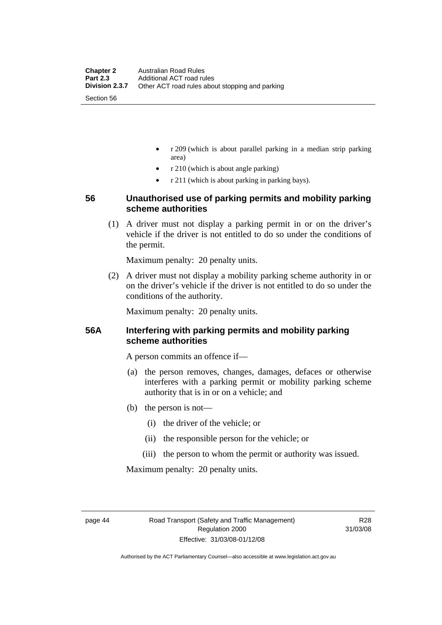- r 209 (which is about parallel parking in a median strip parking area)
- r 210 (which is about angle parking)
- r 211 (which is about parking in parking bays).

#### **56 Unauthorised use of parking permits and mobility parking scheme authorities**

 (1) A driver must not display a parking permit in or on the driver's vehicle if the driver is not entitled to do so under the conditions of the permit.

Maximum penalty: 20 penalty units.

 (2) A driver must not display a mobility parking scheme authority in or on the driver's vehicle if the driver is not entitled to do so under the conditions of the authority.

Maximum penalty: 20 penalty units.

#### **56A Interfering with parking permits and mobility parking scheme authorities**

A person commits an offence if—

- (a) the person removes, changes, damages, defaces or otherwise interferes with a parking permit or mobility parking scheme authority that is in or on a vehicle; and
- (b) the person is not—
	- (i) the driver of the vehicle; or
	- (ii) the responsible person for the vehicle; or
	- (iii) the person to whom the permit or authority was issued.

Maximum penalty: 20 penalty units.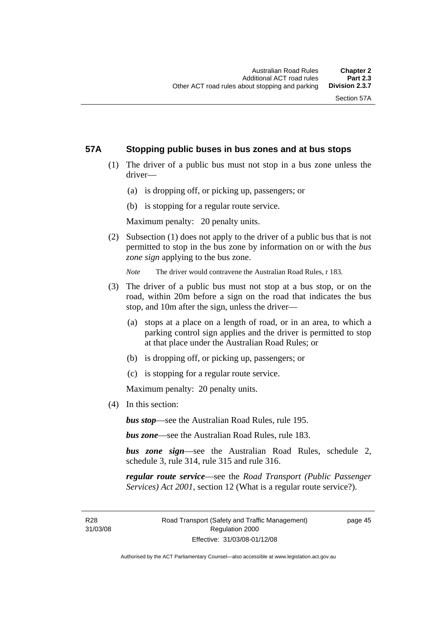#### **57A Stopping public buses in bus zones and at bus stops**

- (1) The driver of a public bus must not stop in a bus zone unless the driver—
	- (a) is dropping off, or picking up, passengers; or
	- (b) is stopping for a regular route service.

Maximum penalty: 20 penalty units.

 (2) Subsection (1) does not apply to the driver of a public bus that is not permitted to stop in the bus zone by information on or with the *bus zone sign* applying to the bus zone.

*Note* The driver would contravene the Australian Road Rules, r 183.

- (3) The driver of a public bus must not stop at a bus stop, or on the road, within 20m before a sign on the road that indicates the bus stop, and 10m after the sign, unless the driver—
	- (a) stops at a place on a length of road, or in an area, to which a parking control sign applies and the driver is permitted to stop at that place under the Australian Road Rules; or
	- (b) is dropping off, or picking up, passengers; or
	- (c) is stopping for a regular route service.

Maximum penalty: 20 penalty units.

(4) In this section:

*bus stop*—see the Australian Road Rules, rule 195.

*bus zone*—see the Australian Road Rules, rule 183.

*bus zone sign*—see the Australian Road Rules, schedule 2, schedule 3, rule 314, rule 315 and rule 316.

*regular route service*—see the *Road Transport (Public Passenger Services) Act 2001*, section 12 (What is a regular route service?).

R28 31/03/08 page 45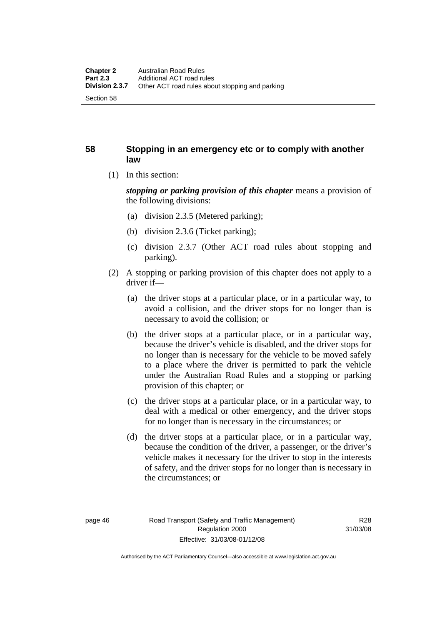#### **58 Stopping in an emergency etc or to comply with another law**

(1) In this section:

*stopping or parking provision of this chapter* means a provision of the following divisions:

- (a) division 2.3.5 (Metered parking);
- (b) division 2.3.6 (Ticket parking);
- (c) division 2.3.7 (Other ACT road rules about stopping and parking).
- (2) A stopping or parking provision of this chapter does not apply to a driver if—
	- (a) the driver stops at a particular place, or in a particular way, to avoid a collision, and the driver stops for no longer than is necessary to avoid the collision; or
	- (b) the driver stops at a particular place, or in a particular way, because the driver's vehicle is disabled, and the driver stops for no longer than is necessary for the vehicle to be moved safely to a place where the driver is permitted to park the vehicle under the Australian Road Rules and a stopping or parking provision of this chapter; or
	- (c) the driver stops at a particular place, or in a particular way, to deal with a medical or other emergency, and the driver stops for no longer than is necessary in the circumstances; or
	- (d) the driver stops at a particular place, or in a particular way, because the condition of the driver, a passenger, or the driver's vehicle makes it necessary for the driver to stop in the interests of safety, and the driver stops for no longer than is necessary in the circumstances; or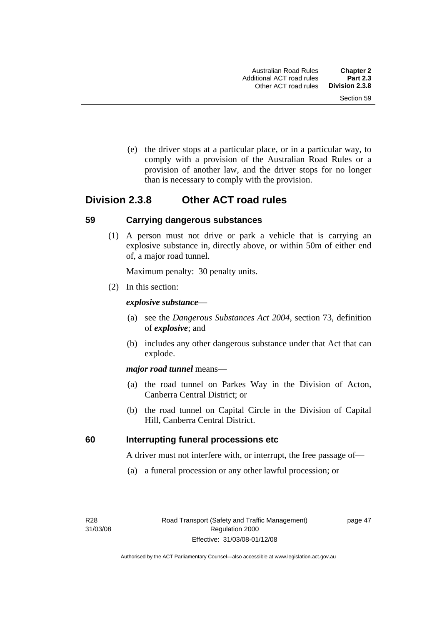(e) the driver stops at a particular place, or in a particular way, to comply with a provision of the Australian Road Rules or a provision of another law, and the driver stops for no longer than is necessary to comply with the provision.

# **Division 2.3.8 Other ACT road rules**

#### **59 Carrying dangerous substances**

 (1) A person must not drive or park a vehicle that is carrying an explosive substance in, directly above, or within 50m of either end of, a major road tunnel.

Maximum penalty: 30 penalty units.

(2) In this section:

#### *explosive substance*—

- (a) see the *Dangerous Substances Act 2004*, section 73, definition of *explosive*; and
- (b) includes any other dangerous substance under that Act that can explode.

#### *major road tunnel* means—

- (a) the road tunnel on Parkes Way in the Division of Acton, Canberra Central District; or
- (b) the road tunnel on Capital Circle in the Division of Capital Hill, Canberra Central District.

#### **60 Interrupting funeral processions etc**

A driver must not interfere with, or interrupt, the free passage of—

(a) a funeral procession or any other lawful procession; or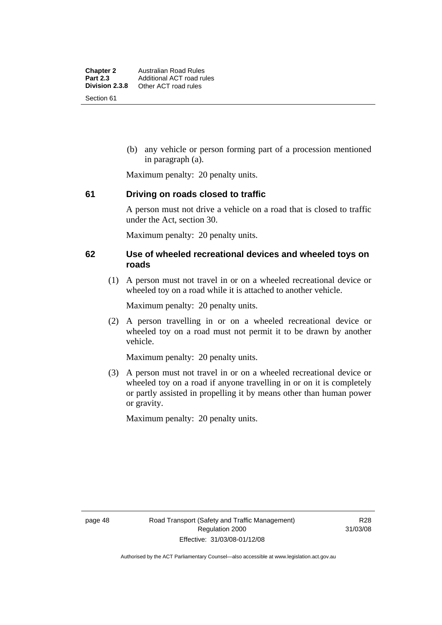(b) any vehicle or person forming part of a procession mentioned in paragraph (a).

Maximum penalty: 20 penalty units.

#### **61 Driving on roads closed to traffic**

A person must not drive a vehicle on a road that is closed to traffic under the Act, section 30.

Maximum penalty: 20 penalty units.

#### **62 Use of wheeled recreational devices and wheeled toys on roads**

 (1) A person must not travel in or on a wheeled recreational device or wheeled toy on a road while it is attached to another vehicle.

Maximum penalty: 20 penalty units.

 (2) A person travelling in or on a wheeled recreational device or wheeled toy on a road must not permit it to be drawn by another vehicle.

Maximum penalty: 20 penalty units.

 (3) A person must not travel in or on a wheeled recreational device or wheeled toy on a road if anyone travelling in or on it is completely or partly assisted in propelling it by means other than human power or gravity.

Maximum penalty: 20 penalty units.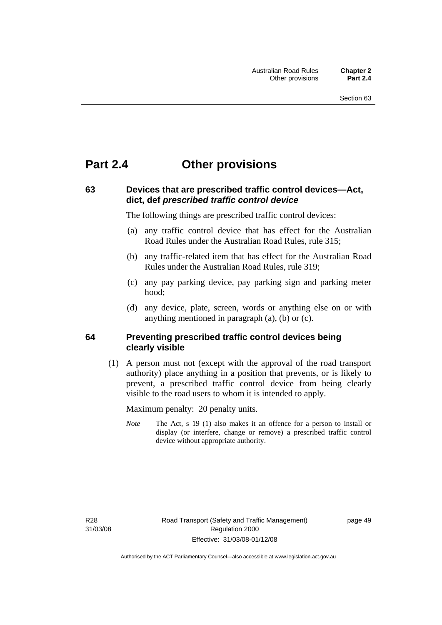# **Part 2.4 Other provisions**

## **63 Devices that are prescribed traffic control devices—Act, dict, def** *prescribed traffic control device*

The following things are prescribed traffic control devices:

- (a) any traffic control device that has effect for the Australian Road Rules under the Australian Road Rules, rule 315;
- (b) any traffic-related item that has effect for the Australian Road Rules under the Australian Road Rules, rule 319;
- (c) any pay parking device, pay parking sign and parking meter hood;
- (d) any device, plate, screen, words or anything else on or with anything mentioned in paragraph (a), (b) or (c).

#### **64 Preventing prescribed traffic control devices being clearly visible**

 (1) A person must not (except with the approval of the road transport authority) place anything in a position that prevents, or is likely to prevent, a prescribed traffic control device from being clearly visible to the road users to whom it is intended to apply.

Maximum penalty: 20 penalty units.

*Note* The Act, s 19 (1) also makes it an offence for a person to install or display (or interfere, change or remove) a prescribed traffic control device without appropriate authority.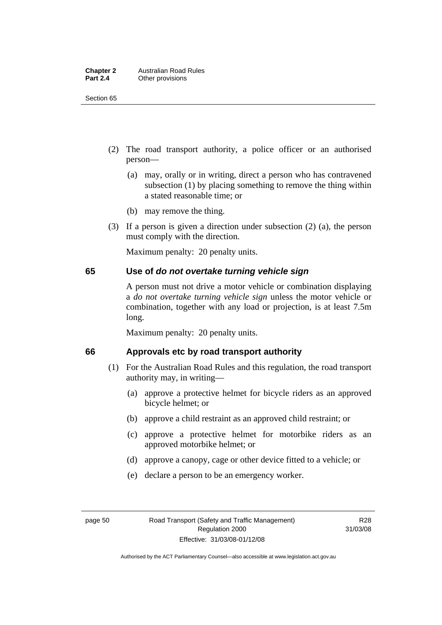Section 65

- (2) The road transport authority, a police officer or an authorised person—
	- (a) may, orally or in writing, direct a person who has contravened subsection (1) by placing something to remove the thing within a stated reasonable time; or
	- (b) may remove the thing.
- (3) If a person is given a direction under subsection (2) (a), the person must comply with the direction.

Maximum penalty: 20 penalty units.

#### **65 Use of** *do not overtake turning vehicle sign*

A person must not drive a motor vehicle or combination displaying a *do not overtake turning vehicle sign* unless the motor vehicle or combination, together with any load or projection, is at least 7.5m long.

Maximum penalty: 20 penalty units.

#### **66 Approvals etc by road transport authority**

- (1) For the Australian Road Rules and this regulation, the road transport authority may, in writing—
	- (a) approve a protective helmet for bicycle riders as an approved bicycle helmet; or
	- (b) approve a child restraint as an approved child restraint; or
	- (c) approve a protective helmet for motorbike riders as an approved motorbike helmet; or
	- (d) approve a canopy, cage or other device fitted to a vehicle; or
	- (e) declare a person to be an emergency worker.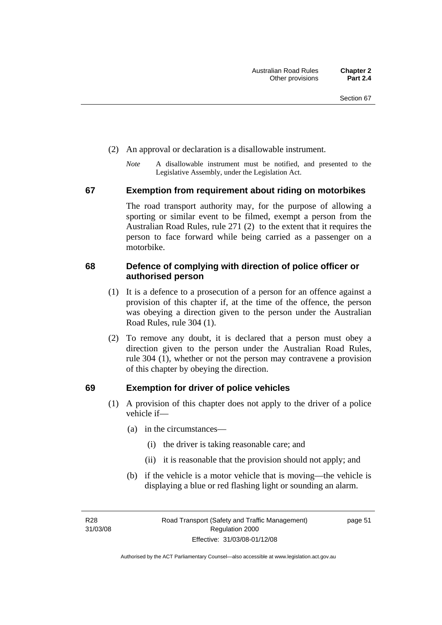- (2) An approval or declaration is a disallowable instrument.
	- *Note* A disallowable instrument must be notified, and presented to the Legislative Assembly, under the Legislation Act.

#### **67 Exemption from requirement about riding on motorbikes**

The road transport authority may, for the purpose of allowing a sporting or similar event to be filmed, exempt a person from the Australian Road Rules, rule 271 (2) to the extent that it requires the person to face forward while being carried as a passenger on a motorbike.

#### **68 Defence of complying with direction of police officer or authorised person**

- (1) It is a defence to a prosecution of a person for an offence against a provision of this chapter if, at the time of the offence, the person was obeying a direction given to the person under the Australian Road Rules, rule 304 (1).
- (2) To remove any doubt, it is declared that a person must obey a direction given to the person under the Australian Road Rules, rule 304 (1), whether or not the person may contravene a provision of this chapter by obeying the direction.

#### **69 Exemption for driver of police vehicles**

- (1) A provision of this chapter does not apply to the driver of a police vehicle if—
	- (a) in the circumstances—
		- (i) the driver is taking reasonable care; and
		- (ii) it is reasonable that the provision should not apply; and
	- (b) if the vehicle is a motor vehicle that is moving—the vehicle is displaying a blue or red flashing light or sounding an alarm.

R28 31/03/08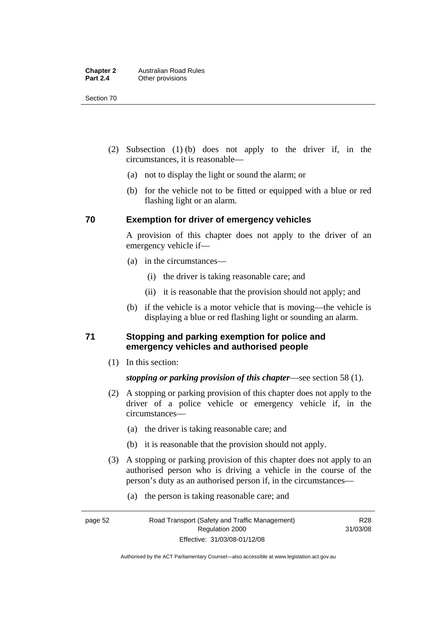Section 70

- (2) Subsection (1) (b) does not apply to the driver if, in the circumstances, it is reasonable—
	- (a) not to display the light or sound the alarm; or
	- (b) for the vehicle not to be fitted or equipped with a blue or red flashing light or an alarm.

#### **70 Exemption for driver of emergency vehicles**

A provision of this chapter does not apply to the driver of an emergency vehicle if—

- (a) in the circumstances—
	- (i) the driver is taking reasonable care; and
	- (ii) it is reasonable that the provision should not apply; and
- (b) if the vehicle is a motor vehicle that is moving—the vehicle is displaying a blue or red flashing light or sounding an alarm.

#### **71 Stopping and parking exemption for police and emergency vehicles and authorised people**

(1) In this section:

#### *stopping or parking provision of this chapter*—see section 58 (1).

- (2) A stopping or parking provision of this chapter does not apply to the driver of a police vehicle or emergency vehicle if, in the circumstances—
	- (a) the driver is taking reasonable care; and
	- (b) it is reasonable that the provision should not apply.
- (3) A stopping or parking provision of this chapter does not apply to an authorised person who is driving a vehicle in the course of the person's duty as an authorised person if, in the circumstances—
	- (a) the person is taking reasonable care; and

R28 31/03/08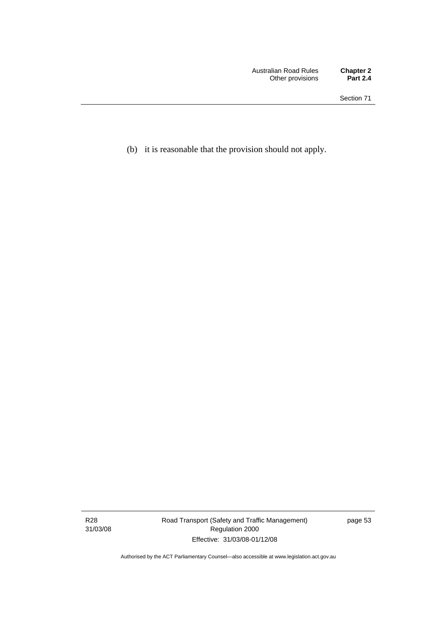(b) it is reasonable that the provision should not apply.

R28 31/03/08 Road Transport (Safety and Traffic Management) Regulation 2000 Effective: 31/03/08-01/12/08

page 53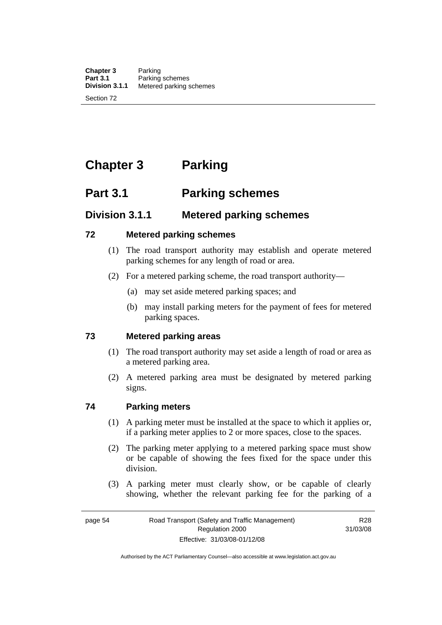# **Chapter 3 Parking**

# **Part 3.1 Parking schemes**

# **Division 3.1.1 Metered parking schemes**

#### **72 Metered parking schemes**

- (1) The road transport authority may establish and operate metered parking schemes for any length of road or area.
- (2) For a metered parking scheme, the road transport authority—
	- (a) may set aside metered parking spaces; and
	- (b) may install parking meters for the payment of fees for metered parking spaces.

#### **73 Metered parking areas**

- (1) The road transport authority may set aside a length of road or area as a metered parking area.
- (2) A metered parking area must be designated by metered parking signs.

#### **74 Parking meters**

- (1) A parking meter must be installed at the space to which it applies or, if a parking meter applies to 2 or more spaces, close to the spaces.
- (2) The parking meter applying to a metered parking space must show or be capable of showing the fees fixed for the space under this division.
- (3) A parking meter must clearly show, or be capable of clearly showing, whether the relevant parking fee for the parking of a

R28 31/03/08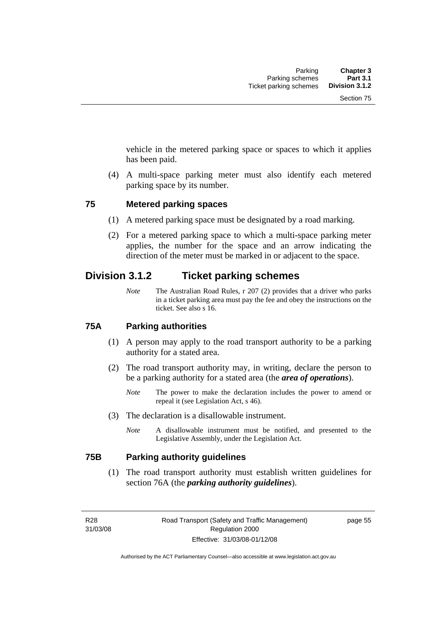vehicle in the metered parking space or spaces to which it applies has been paid.

 (4) A multi-space parking meter must also identify each metered parking space by its number.

#### **75 Metered parking spaces**

- (1) A metered parking space must be designated by a road marking.
- (2) For a metered parking space to which a multi-space parking meter applies, the number for the space and an arrow indicating the direction of the meter must be marked in or adjacent to the space.

# **Division 3.1.2 Ticket parking schemes**

*Note* The Australian Road Rules, r 207 (2) provides that a driver who parks in a ticket parking area must pay the fee and obey the instructions on the ticket. See also s 16.

#### **75A Parking authorities**

- (1) A person may apply to the road transport authority to be a parking authority for a stated area.
- (2) The road transport authority may, in writing, declare the person to be a parking authority for a stated area (the *area of operations*).
	- *Note* The power to make the declaration includes the power to amend or repeal it (see Legislation Act, s 46).
- (3) The declaration is a disallowable instrument.
	- *Note* A disallowable instrument must be notified, and presented to the Legislative Assembly, under the Legislation Act.

#### **75B Parking authority guidelines**

 (1) The road transport authority must establish written guidelines for section 76A (the *parking authority guidelines*).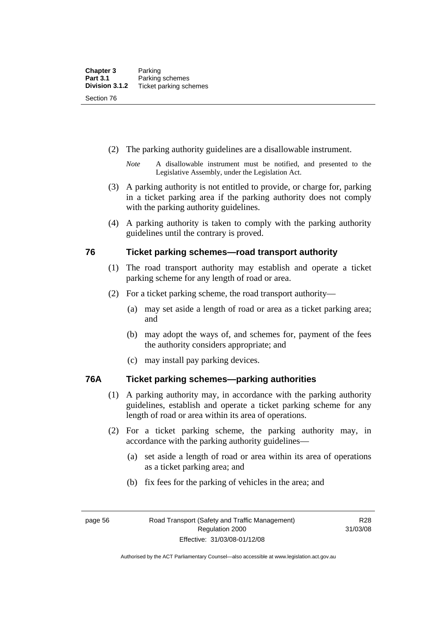- (2) The parking authority guidelines are a disallowable instrument.
	- *Note* A disallowable instrument must be notified, and presented to the Legislative Assembly, under the Legislation Act.
- (3) A parking authority is not entitled to provide, or charge for, parking in a ticket parking area if the parking authority does not comply with the parking authority guidelines.
- (4) A parking authority is taken to comply with the parking authority guidelines until the contrary is proved.

#### **76 Ticket parking schemes—road transport authority**

- (1) The road transport authority may establish and operate a ticket parking scheme for any length of road or area.
- (2) For a ticket parking scheme, the road transport authority—
	- (a) may set aside a length of road or area as a ticket parking area; and
	- (b) may adopt the ways of, and schemes for, payment of the fees the authority considers appropriate; and
	- (c) may install pay parking devices.

#### **76A Ticket parking schemes—parking authorities**

- (1) A parking authority may, in accordance with the parking authority guidelines, establish and operate a ticket parking scheme for any length of road or area within its area of operations.
- (2) For a ticket parking scheme, the parking authority may, in accordance with the parking authority guidelines—
	- (a) set aside a length of road or area within its area of operations as a ticket parking area; and
	- (b) fix fees for the parking of vehicles in the area; and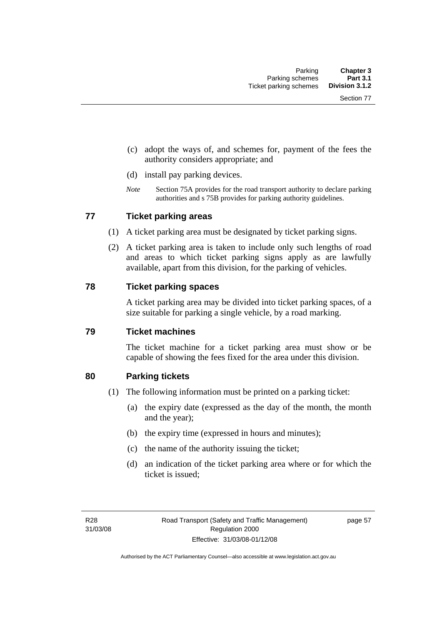- (c) adopt the ways of, and schemes for, payment of the fees the authority considers appropriate; and
- (d) install pay parking devices.
- *Note* Section 75A provides for the road transport authority to declare parking authorities and s 75B provides for parking authority guidelines.

#### **77 Ticket parking areas**

- (1) A ticket parking area must be designated by ticket parking signs.
- (2) A ticket parking area is taken to include only such lengths of road and areas to which ticket parking signs apply as are lawfully available, apart from this division, for the parking of vehicles.

#### **78 Ticket parking spaces**

A ticket parking area may be divided into ticket parking spaces, of a size suitable for parking a single vehicle, by a road marking.

#### **79 Ticket machines**

The ticket machine for a ticket parking area must show or be capable of showing the fees fixed for the area under this division.

#### **80 Parking tickets**

- (1) The following information must be printed on a parking ticket:
	- (a) the expiry date (expressed as the day of the month, the month and the year);
	- (b) the expiry time (expressed in hours and minutes);
	- (c) the name of the authority issuing the ticket;
	- (d) an indication of the ticket parking area where or for which the ticket is issued;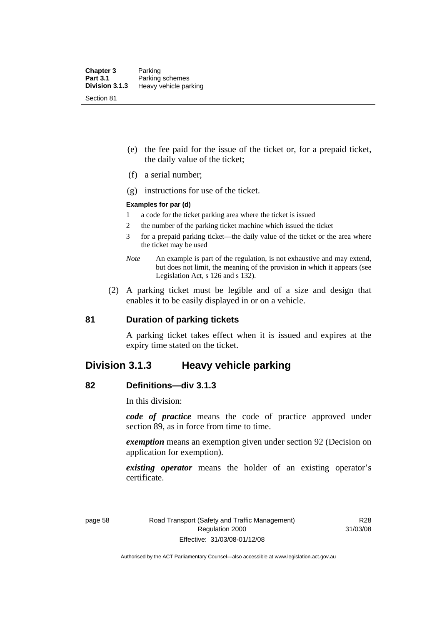- (e) the fee paid for the issue of the ticket or, for a prepaid ticket, the daily value of the ticket;
- (f) a serial number;
- (g) instructions for use of the ticket.

#### **Examples for par (d)**

- 1 a code for the ticket parking area where the ticket is issued
- 2 the number of the parking ticket machine which issued the ticket
- 3 for a prepaid parking ticket—the daily value of the ticket or the area where the ticket may be used
- *Note* An example is part of the regulation, is not exhaustive and may extend, but does not limit, the meaning of the provision in which it appears (see Legislation Act, s 126 and s 132).
- (2) A parking ticket must be legible and of a size and design that enables it to be easily displayed in or on a vehicle.

#### **81 Duration of parking tickets**

A parking ticket takes effect when it is issued and expires at the expiry time stated on the ticket.

### **Division 3.1.3 Heavy vehicle parking**

#### **82 Definitions—div 3.1.3**

In this division:

*code of practice* means the code of practice approved under section 89, as in force from time to time.

*exemption* means an exemption given under section 92 (Decision on application for exemption).

*existing operator* means the holder of an existing operator's certificate.

R28 31/03/08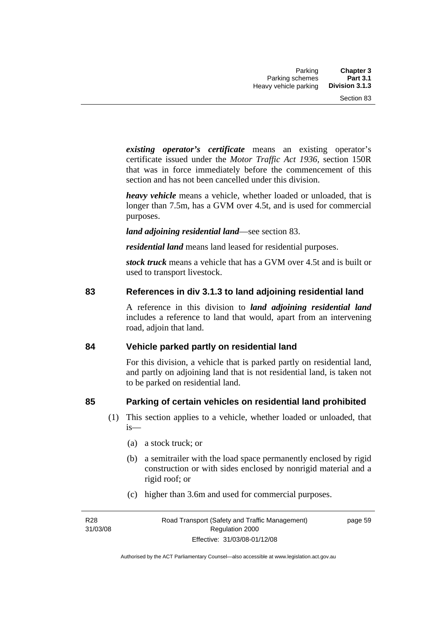*existing operator's certificate* means an existing operator's certificate issued under the *Motor Traffic Act 1936,* section 150R that was in force immediately before the commencement of this section and has not been cancelled under this division.

*heavy vehicle* means a vehicle, whether loaded or unloaded, that is longer than 7.5m, has a GVM over 4.5t, and is used for commercial purposes.

*land adjoining residential land*—see section 83.

*residential land* means land leased for residential purposes.

*stock truck* means a vehicle that has a GVM over 4.5t and is built or used to transport livestock.

#### **83 References in div 3.1.3 to land adjoining residential land**

A reference in this division to *land adjoining residential land* includes a reference to land that would, apart from an intervening road, adjoin that land.

#### **84 Vehicle parked partly on residential land**

For this division, a vehicle that is parked partly on residential land, and partly on adjoining land that is not residential land, is taken not to be parked on residential land.

#### **85 Parking of certain vehicles on residential land prohibited**

- (1) This section applies to a vehicle, whether loaded or unloaded, that is—
	- (a) a stock truck; or
	- (b) a semitrailer with the load space permanently enclosed by rigid construction or with sides enclosed by nonrigid material and a rigid roof; or
	- (c) higher than 3.6m and used for commercial purposes.

R28 31/03/08 page 59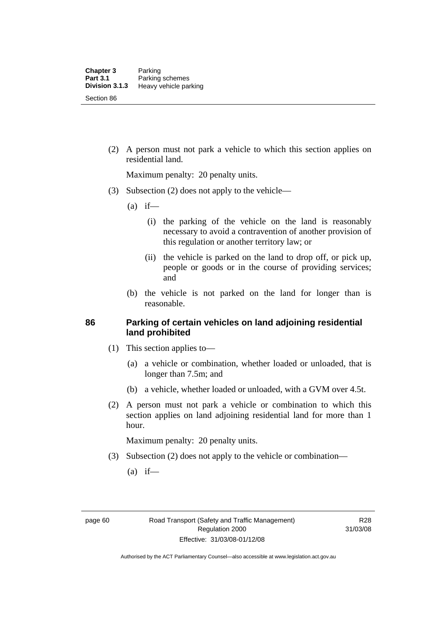(2) A person must not park a vehicle to which this section applies on residential land.

Maximum penalty: 20 penalty units.

- (3) Subsection (2) does not apply to the vehicle—
	- $(a)$  if—
		- (i) the parking of the vehicle on the land is reasonably necessary to avoid a contravention of another provision of this regulation or another territory law; or
		- (ii) the vehicle is parked on the land to drop off, or pick up, people or goods or in the course of providing services; and
	- (b) the vehicle is not parked on the land for longer than is reasonable.

#### **86 Parking of certain vehicles on land adjoining residential land prohibited**

- (1) This section applies to—
	- (a) a vehicle or combination, whether loaded or unloaded, that is longer than 7.5m; and
	- (b) a vehicle, whether loaded or unloaded, with a GVM over 4.5t.
- (2) A person must not park a vehicle or combination to which this section applies on land adjoining residential land for more than 1 hour.

Maximum penalty: 20 penalty units.

- (3) Subsection (2) does not apply to the vehicle or combination—
	- $(a)$  if—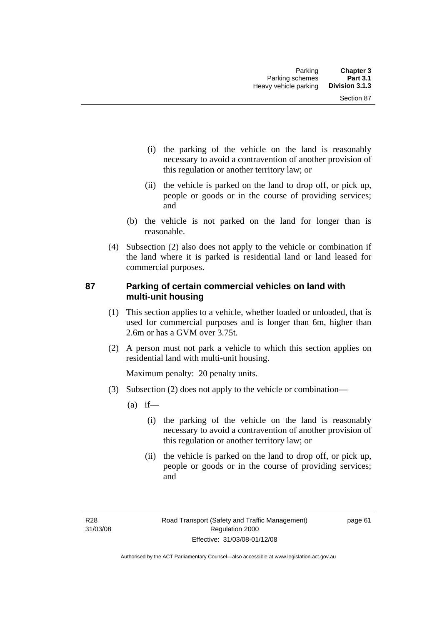- (i) the parking of the vehicle on the land is reasonably necessary to avoid a contravention of another provision of this regulation or another territory law; or
- (ii) the vehicle is parked on the land to drop off, or pick up, people or goods or in the course of providing services; and
- (b) the vehicle is not parked on the land for longer than is reasonable.
- (4) Subsection (2) also does not apply to the vehicle or combination if the land where it is parked is residential land or land leased for commercial purposes.

#### **87 Parking of certain commercial vehicles on land with multi-unit housing**

- (1) This section applies to a vehicle, whether loaded or unloaded, that is used for commercial purposes and is longer than 6m, higher than 2.6m or has a GVM over 3.75t.
- (2) A person must not park a vehicle to which this section applies on residential land with multi-unit housing.

Maximum penalty: 20 penalty units.

- (3) Subsection (2) does not apply to the vehicle or combination—
	- $(a)$  if—
		- (i) the parking of the vehicle on the land is reasonably necessary to avoid a contravention of another provision of this regulation or another territory law; or
		- (ii) the vehicle is parked on the land to drop off, or pick up, people or goods or in the course of providing services; and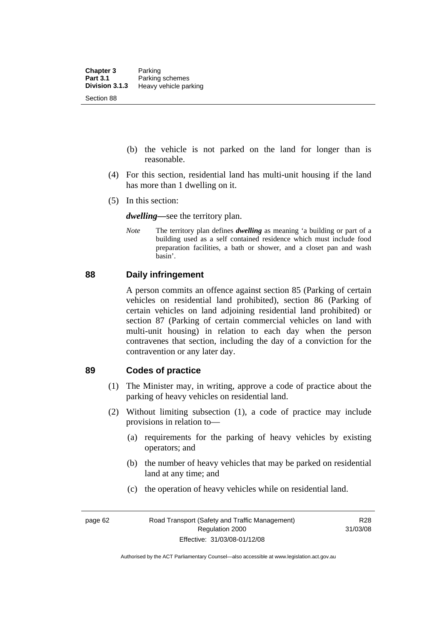- (b) the vehicle is not parked on the land for longer than is reasonable.
- (4) For this section, residential land has multi-unit housing if the land has more than 1 dwelling on it.
- (5) In this section:

*dwelling—*see the territory plan.

*Note* The territory plan defines *dwelling* as meaning 'a building or part of a building used as a self contained residence which must include food preparation facilities, a bath or shower, and a closet pan and wash basin'.

#### **88 Daily infringement**

A person commits an offence against section 85 (Parking of certain vehicles on residential land prohibited), section 86 (Parking of certain vehicles on land adjoining residential land prohibited) or section 87 (Parking of certain commercial vehicles on land with multi-unit housing) in relation to each day when the person contravenes that section, including the day of a conviction for the contravention or any later day.

#### **89 Codes of practice**

- (1) The Minister may, in writing, approve a code of practice about the parking of heavy vehicles on residential land.
- (2) Without limiting subsection (1), a code of practice may include provisions in relation to—
	- (a) requirements for the parking of heavy vehicles by existing operators; and
	- (b) the number of heavy vehicles that may be parked on residential land at any time; and
	- (c) the operation of heavy vehicles while on residential land.

Authorised by the ACT Parliamentary Counsel—also accessible at www.legislation.act.gov.au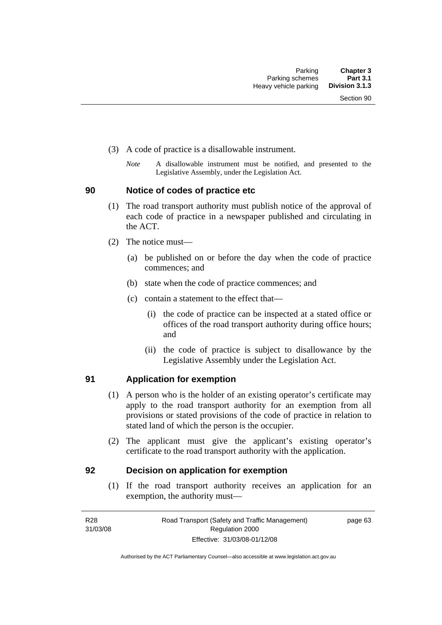- (3) A code of practice is a disallowable instrument.
	- *Note* A disallowable instrument must be notified, and presented to the Legislative Assembly, under the Legislation Act.

#### **90 Notice of codes of practice etc**

- (1) The road transport authority must publish notice of the approval of each code of practice in a newspaper published and circulating in the ACT.
- (2) The notice must—
	- (a) be published on or before the day when the code of practice commences; and
	- (b) state when the code of practice commences; and
	- (c) contain a statement to the effect that—
		- (i) the code of practice can be inspected at a stated office or offices of the road transport authority during office hours; and
		- (ii) the code of practice is subject to disallowance by the Legislative Assembly under the Legislation Act.

### **91 Application for exemption**

- (1) A person who is the holder of an existing operator's certificate may apply to the road transport authority for an exemption from all provisions or stated provisions of the code of practice in relation to stated land of which the person is the occupier.
- (2) The applicant must give the applicant's existing operator's certificate to the road transport authority with the application.

#### **92 Decision on application for exemption**

 (1) If the road transport authority receives an application for an exemption, the authority must—

page 63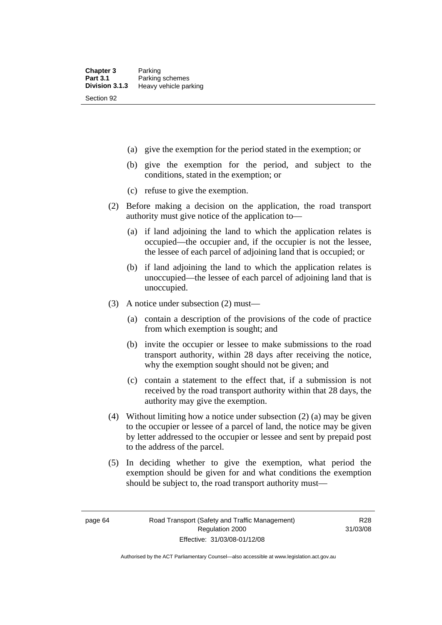- (a) give the exemption for the period stated in the exemption; or
- (b) give the exemption for the period, and subject to the conditions, stated in the exemption; or
- (c) refuse to give the exemption.
- (2) Before making a decision on the application, the road transport authority must give notice of the application to—
	- (a) if land adjoining the land to which the application relates is occupied—the occupier and, if the occupier is not the lessee, the lessee of each parcel of adjoining land that is occupied; or
	- (b) if land adjoining the land to which the application relates is unoccupied—the lessee of each parcel of adjoining land that is unoccupied.
- (3) A notice under subsection (2) must—
	- (a) contain a description of the provisions of the code of practice from which exemption is sought; and
	- (b) invite the occupier or lessee to make submissions to the road transport authority, within 28 days after receiving the notice, why the exemption sought should not be given; and
	- (c) contain a statement to the effect that, if a submission is not received by the road transport authority within that 28 days, the authority may give the exemption.
- (4) Without limiting how a notice under subsection (2) (a) may be given to the occupier or lessee of a parcel of land, the notice may be given by letter addressed to the occupier or lessee and sent by prepaid post to the address of the parcel.
- (5) In deciding whether to give the exemption, what period the exemption should be given for and what conditions the exemption should be subject to, the road transport authority must—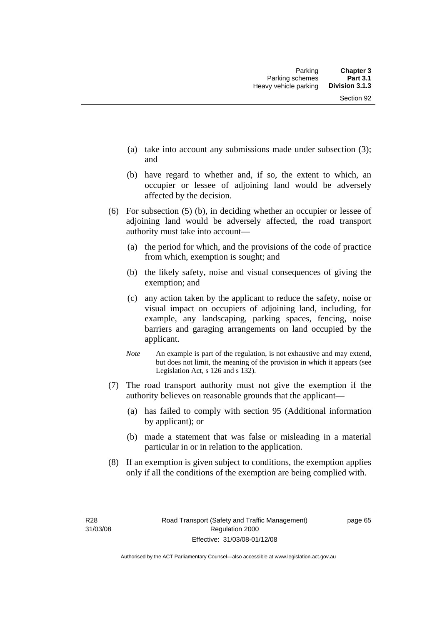- (a) take into account any submissions made under subsection (3); and
- (b) have regard to whether and, if so, the extent to which, an occupier or lessee of adjoining land would be adversely affected by the decision.
- (6) For subsection (5) (b), in deciding whether an occupier or lessee of adjoining land would be adversely affected, the road transport authority must take into account—
	- (a) the period for which, and the provisions of the code of practice from which, exemption is sought; and
	- (b) the likely safety, noise and visual consequences of giving the exemption; and
	- (c) any action taken by the applicant to reduce the safety, noise or visual impact on occupiers of adjoining land, including, for example, any landscaping, parking spaces, fencing, noise barriers and garaging arrangements on land occupied by the applicant.
	- *Note* An example is part of the regulation, is not exhaustive and may extend, but does not limit, the meaning of the provision in which it appears (see Legislation Act, s 126 and s 132).
- (7) The road transport authority must not give the exemption if the authority believes on reasonable grounds that the applicant—
	- (a) has failed to comply with section 95 (Additional information by applicant); or
	- (b) made a statement that was false or misleading in a material particular in or in relation to the application.
- (8) If an exemption is given subject to conditions, the exemption applies only if all the conditions of the exemption are being complied with.

page 65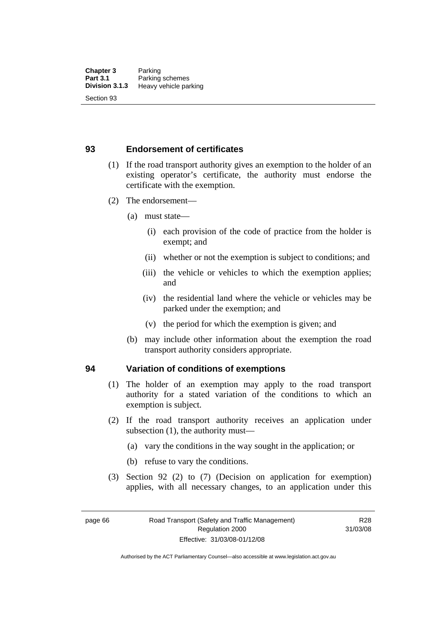### **93 Endorsement of certificates**

- (1) If the road transport authority gives an exemption to the holder of an existing operator's certificate, the authority must endorse the certificate with the exemption.
- (2) The endorsement—
	- (a) must state—
		- (i) each provision of the code of practice from the holder is exempt; and
		- (ii) whether or not the exemption is subject to conditions; and
		- (iii) the vehicle or vehicles to which the exemption applies; and
		- (iv) the residential land where the vehicle or vehicles may be parked under the exemption; and
		- (v) the period for which the exemption is given; and
	- (b) may include other information about the exemption the road transport authority considers appropriate.

### **94 Variation of conditions of exemptions**

- (1) The holder of an exemption may apply to the road transport authority for a stated variation of the conditions to which an exemption is subject.
- (2) If the road transport authority receives an application under subsection (1), the authority must—
	- (a) vary the conditions in the way sought in the application; or
	- (b) refuse to vary the conditions.
- (3) Section 92 (2) to (7) (Decision on application for exemption) applies, with all necessary changes, to an application under this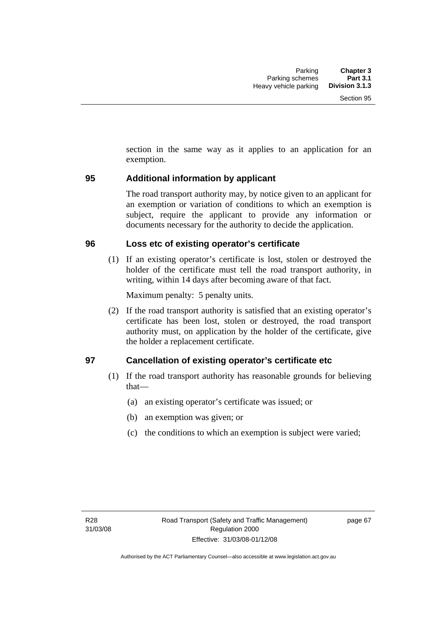section in the same way as it applies to an application for an exemption.

### **95 Additional information by applicant**

The road transport authority may, by notice given to an applicant for an exemption or variation of conditions to which an exemption is subject, require the applicant to provide any information or documents necessary for the authority to decide the application.

### **96 Loss etc of existing operator's certificate**

 (1) If an existing operator's certificate is lost, stolen or destroyed the holder of the certificate must tell the road transport authority, in writing, within 14 days after becoming aware of that fact.

Maximum penalty: 5 penalty units.

 (2) If the road transport authority is satisfied that an existing operator's certificate has been lost, stolen or destroyed, the road transport authority must, on application by the holder of the certificate, give the holder a replacement certificate.

### **97 Cancellation of existing operator's certificate etc**

- (1) If the road transport authority has reasonable grounds for believing that—
	- (a) an existing operator's certificate was issued; or
	- (b) an exemption was given; or
	- (c) the conditions to which an exemption is subject were varied;

page 67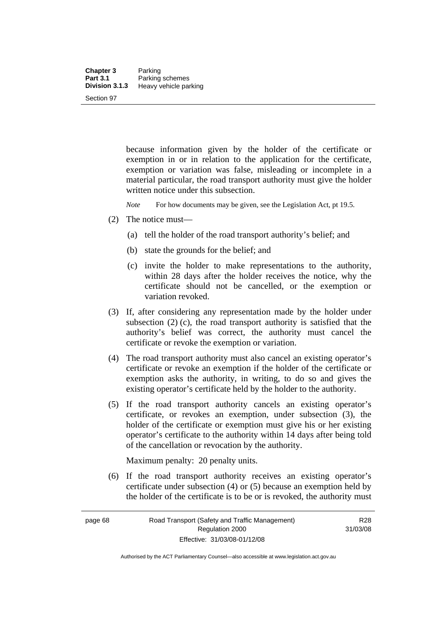because information given by the holder of the certificate or exemption in or in relation to the application for the certificate, exemption or variation was false, misleading or incomplete in a material particular, the road transport authority must give the holder written notice under this subsection.

*Note* For how documents may be given, see the Legislation Act, pt 19.5.

- (2) The notice must—
	- (a) tell the holder of the road transport authority's belief; and
	- (b) state the grounds for the belief; and
	- (c) invite the holder to make representations to the authority, within 28 days after the holder receives the notice, why the certificate should not be cancelled, or the exemption or variation revoked.
- (3) If, after considering any representation made by the holder under subsection  $(2)$  (c), the road transport authority is satisfied that the authority's belief was correct, the authority must cancel the certificate or revoke the exemption or variation.
- (4) The road transport authority must also cancel an existing operator's certificate or revoke an exemption if the holder of the certificate or exemption asks the authority, in writing, to do so and gives the existing operator's certificate held by the holder to the authority.
- (5) If the road transport authority cancels an existing operator's certificate, or revokes an exemption, under subsection (3), the holder of the certificate or exemption must give his or her existing operator's certificate to the authority within 14 days after being told of the cancellation or revocation by the authority.

Maximum penalty: 20 penalty units.

 (6) If the road transport authority receives an existing operator's certificate under subsection (4) or (5) because an exemption held by the holder of the certificate is to be or is revoked, the authority must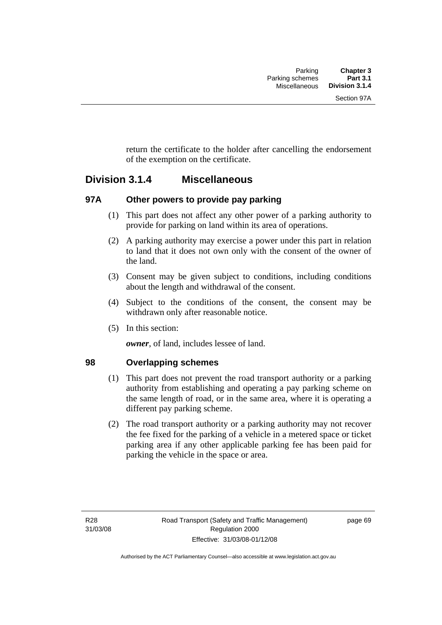return the certificate to the holder after cancelling the endorsement of the exemption on the certificate.

## **Division 3.1.4 Miscellaneous**

### **97A Other powers to provide pay parking**

- (1) This part does not affect any other power of a parking authority to provide for parking on land within its area of operations.
- (2) A parking authority may exercise a power under this part in relation to land that it does not own only with the consent of the owner of the land.
- (3) Consent may be given subject to conditions, including conditions about the length and withdrawal of the consent.
- (4) Subject to the conditions of the consent, the consent may be withdrawn only after reasonable notice.
- (5) In this section:

*owner*, of land, includes lessee of land.

### **98 Overlapping schemes**

- (1) This part does not prevent the road transport authority or a parking authority from establishing and operating a pay parking scheme on the same length of road, or in the same area, where it is operating a different pay parking scheme.
- (2) The road transport authority or a parking authority may not recover the fee fixed for the parking of a vehicle in a metered space or ticket parking area if any other applicable parking fee has been paid for parking the vehicle in the space or area.

page 69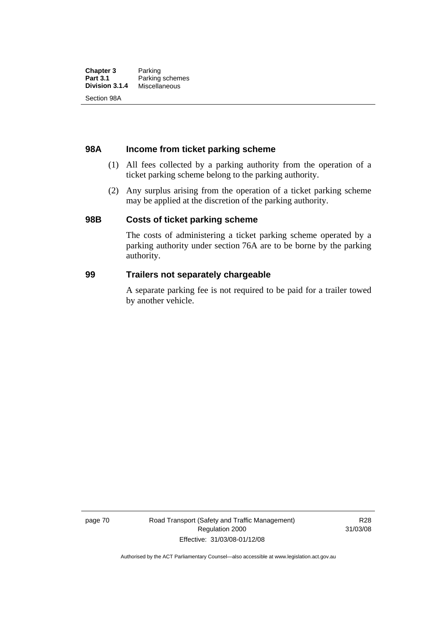#### **98A Income from ticket parking scheme**

- (1) All fees collected by a parking authority from the operation of a ticket parking scheme belong to the parking authority.
- (2) Any surplus arising from the operation of a ticket parking scheme may be applied at the discretion of the parking authority.

#### **98B Costs of ticket parking scheme**

The costs of administering a ticket parking scheme operated by a parking authority under section 76A are to be borne by the parking authority.

#### **99 Trailers not separately chargeable**

A separate parking fee is not required to be paid for a trailer towed by another vehicle.

page 70 Road Transport (Safety and Traffic Management) Regulation 2000 Effective: 31/03/08-01/12/08

R28 31/03/08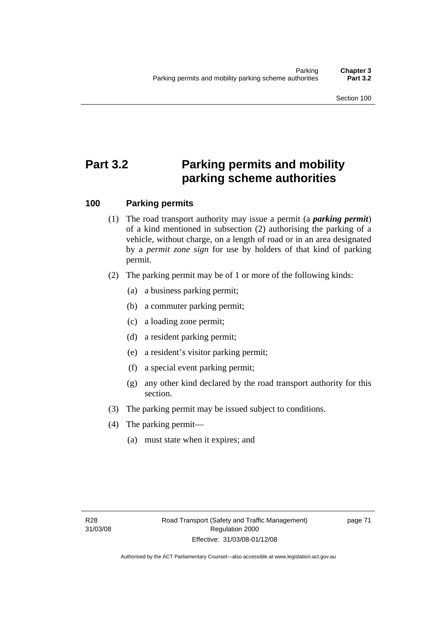# **Part 3.2 Parking permits and mobility parking scheme authorities**

### **100 Parking permits**

- (1) The road transport authority may issue a permit (a *parking permit*) of a kind mentioned in subsection (2) authorising the parking of a vehicle, without charge, on a length of road or in an area designated by a *permit zone sign* for use by holders of that kind of parking permit.
- (2) The parking permit may be of 1 or more of the following kinds:
	- (a) a business parking permit;
	- (b) a commuter parking permit;
	- (c) a loading zone permit;
	- (d) a resident parking permit;
	- (e) a resident's visitor parking permit;
	- (f) a special event parking permit;
	- (g) any other kind declared by the road transport authority for this section.
- (3) The parking permit may be issued subject to conditions.
- (4) The parking permit—
	- (a) must state when it expires; and

page 71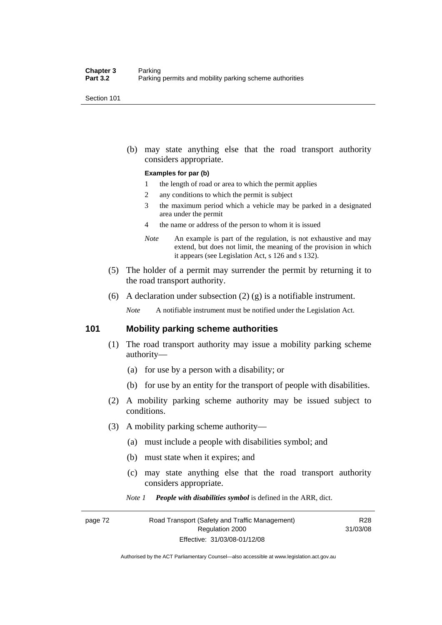Section 101

 (b) may state anything else that the road transport authority considers appropriate.

#### **Examples for par (b)**

- 1 the length of road or area to which the permit applies
- 2 any conditions to which the permit is subject
- 3 the maximum period which a vehicle may be parked in a designated area under the permit
- 4 the name or address of the person to whom it is issued
- *Note* An example is part of the regulation, is not exhaustive and may extend, but does not limit, the meaning of the provision in which it appears (see Legislation Act, s 126 and s 132).
- (5) The holder of a permit may surrender the permit by returning it to the road transport authority.
- (6) A declaration under subsection  $(2)$   $(g)$  is a notifiable instrument.

*Note* A notifiable instrument must be notified under the Legislation Act.

#### **101 Mobility parking scheme authorities**

- (1) The road transport authority may issue a mobility parking scheme authority—
	- (a) for use by a person with a disability; or
	- (b) for use by an entity for the transport of people with disabilities.
- (2) A mobility parking scheme authority may be issued subject to conditions.
- (3) A mobility parking scheme authority—
	- (a) must include a people with disabilities symbol; and
	- (b) must state when it expires; and
	- (c) may state anything else that the road transport authority considers appropriate.

*Note 1 People with disabilities symbol* is defined in the ARR, dict.

R28 31/03/08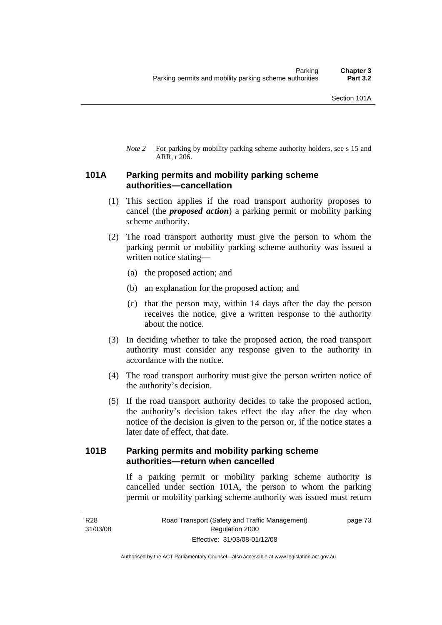*Note* 2 For parking by mobility parking scheme authority holders, see s 15 and ARR, r 206.

### **101A Parking permits and mobility parking scheme authorities—cancellation**

- (1) This section applies if the road transport authority proposes to cancel (the *proposed action*) a parking permit or mobility parking scheme authority.
- (2) The road transport authority must give the person to whom the parking permit or mobility parking scheme authority was issued a written notice stating—
	- (a) the proposed action; and
	- (b) an explanation for the proposed action; and
	- (c) that the person may, within 14 days after the day the person receives the notice, give a written response to the authority about the notice.
- (3) In deciding whether to take the proposed action, the road transport authority must consider any response given to the authority in accordance with the notice.
- (4) The road transport authority must give the person written notice of the authority's decision.
- (5) If the road transport authority decides to take the proposed action, the authority's decision takes effect the day after the day when notice of the decision is given to the person or, if the notice states a later date of effect, that date.

### **101B Parking permits and mobility parking scheme authorities—return when cancelled**

If a parking permit or mobility parking scheme authority is cancelled under section 101A, the person to whom the parking permit or mobility parking scheme authority was issued must return

R28 31/03/08 page 73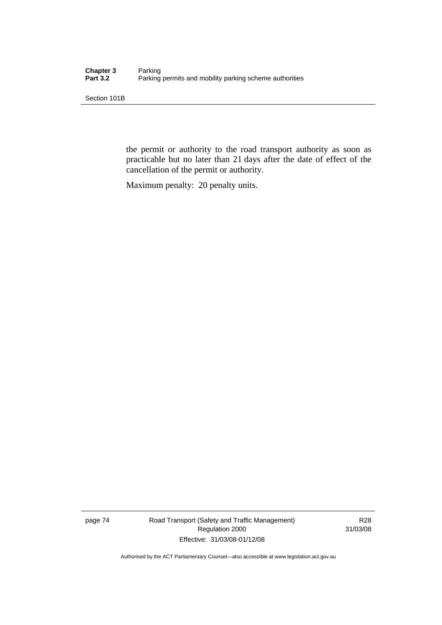Section 101B

the permit or authority to the road transport authority as soon as practicable but no later than 21 days after the date of effect of the cancellation of the permit or authority.

Maximum penalty: 20 penalty units.

page 74 Road Transport (Safety and Traffic Management) Regulation 2000 Effective: 31/03/08-01/12/08

R28 31/03/08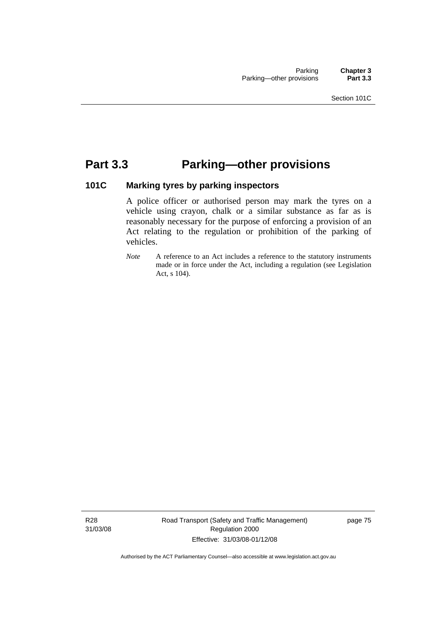# **Part 3.3 Parking—other provisions**

### **101C Marking tyres by parking inspectors**

A police officer or authorised person may mark the tyres on a vehicle using crayon, chalk or a similar substance as far as is reasonably necessary for the purpose of enforcing a provision of an Act relating to the regulation or prohibition of the parking of vehicles.

*Note* A reference to an Act includes a reference to the statutory instruments made or in force under the Act, including a regulation (see Legislation Act, s 104).

R28 31/03/08 Road Transport (Safety and Traffic Management) Regulation 2000 Effective: 31/03/08-01/12/08

page 75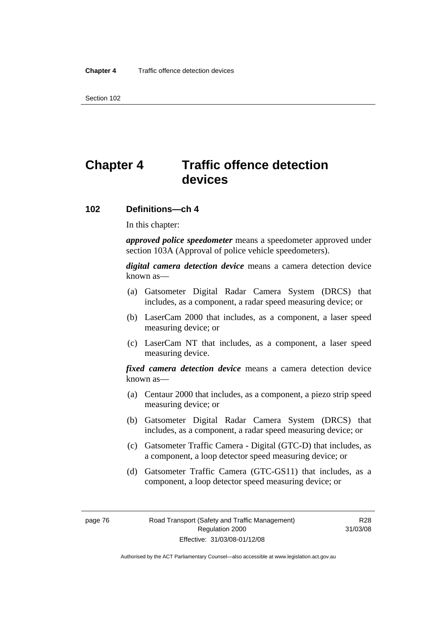Section 102

# **Chapter 4 Traffic offence detection devices**

#### **102 Definitions—ch 4**

In this chapter:

*approved police speedometer* means a speedometer approved under section 103A (Approval of police vehicle speedometers).

*digital camera detection device* means a camera detection device known as—

- (a) Gatsometer Digital Radar Camera System (DRCS) that includes, as a component, a radar speed measuring device; or
- (b) LaserCam 2000 that includes, as a component, a laser speed measuring device; or
- (c) LaserCam NT that includes, as a component, a laser speed measuring device.

*fixed camera detection device* means a camera detection device known as—

- (a) Centaur 2000 that includes, as a component, a piezo strip speed measuring device; or
- (b) Gatsometer Digital Radar Camera System (DRCS) that includes, as a component, a radar speed measuring device; or
- (c) Gatsometer Traffic Camera Digital (GTC-D) that includes, as a component, a loop detector speed measuring device; or
- (d) Gatsometer Traffic Camera (GTC-GS11) that includes, as a component, a loop detector speed measuring device; or

Authorised by the ACT Parliamentary Counsel—also accessible at www.legislation.act.gov.au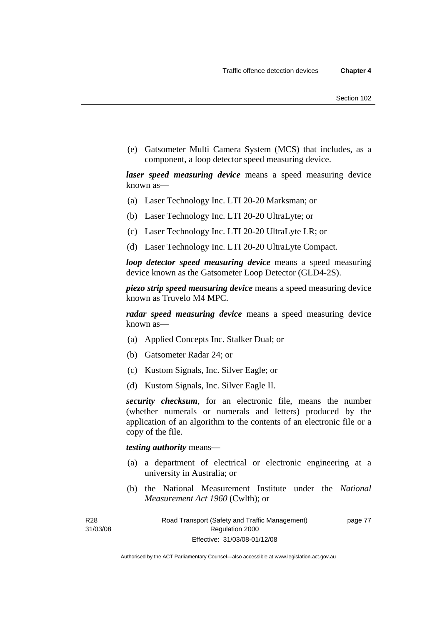(e) Gatsometer Multi Camera System (MCS) that includes, as a component, a loop detector speed measuring device.

*laser speed measuring device* means a speed measuring device known as—

- (a) Laser Technology Inc. LTI 20-20 Marksman; or
- (b) Laser Technology Inc. LTI 20-20 UltraLyte; or
- (c) Laser Technology Inc. LTI 20-20 UltraLyte LR; or
- (d) Laser Technology Inc. LTI 20-20 UltraLyte Compact.

*loop detector speed measuring device* means a speed measuring device known as the Gatsometer Loop Detector (GLD4-2S).

*piezo strip speed measuring device* means a speed measuring device known as Truvelo M4 MPC.

*radar speed measuring device* means a speed measuring device known as—

- (a) Applied Concepts Inc. Stalker Dual; or
- (b) Gatsometer Radar 24; or
- (c) Kustom Signals, Inc. Silver Eagle; or
- (d) Kustom Signals, Inc. Silver Eagle II.

*security checksum*, for an electronic file, means the number (whether numerals or numerals and letters) produced by the application of an algorithm to the contents of an electronic file or a copy of the file.

#### *testing authority* means—

- (a) a department of electrical or electronic engineering at a university in Australia; or
- (b) the National Measurement Institute under the *National Measurement Act 1960* (Cwlth); or

R28 31/03/08 page 77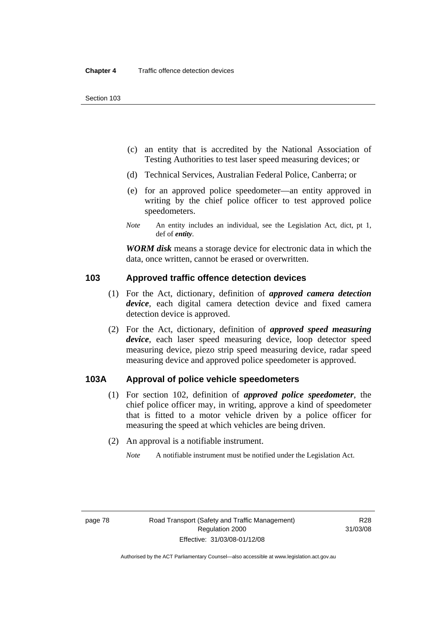- (c) an entity that is accredited by the National Association of Testing Authorities to test laser speed measuring devices; or
- (d) Technical Services, Australian Federal Police, Canberra; or
- (e) for an approved police speedometer—an entity approved in writing by the chief police officer to test approved police speedometers.
- *Note* An entity includes an individual, see the Legislation Act, dict, pt 1, def of *entity*.

*WORM disk* means a storage device for electronic data in which the data, once written, cannot be erased or overwritten.

#### **103 Approved traffic offence detection devices**

- (1) For the Act, dictionary, definition of *approved camera detection device*, each digital camera detection device and fixed camera detection device is approved.
- (2) For the Act, dictionary, definition of *approved speed measuring device*, each laser speed measuring device, loop detector speed measuring device, piezo strip speed measuring device, radar speed measuring device and approved police speedometer is approved.

#### **103A Approval of police vehicle speedometers**

- (1) For section 102, definition of *approved police speedometer*, the chief police officer may, in writing, approve a kind of speedometer that is fitted to a motor vehicle driven by a police officer for measuring the speed at which vehicles are being driven.
- (2) An approval is a notifiable instrument.
	- *Note* A notifiable instrument must be notified under the Legislation Act.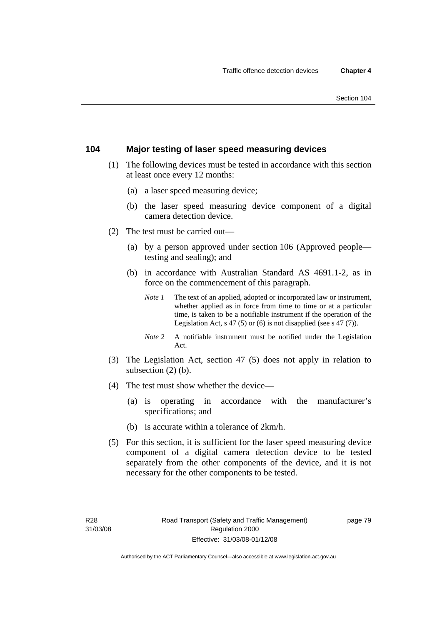### **104 Major testing of laser speed measuring devices**

- (1) The following devices must be tested in accordance with this section at least once every 12 months:
	- (a) a laser speed measuring device;
	- (b) the laser speed measuring device component of a digital camera detection device.
- (2) The test must be carried out—
	- (a) by a person approved under section 106 (Approved people testing and sealing); and
	- (b) in accordance with Australian Standard AS 4691.1-2, as in force on the commencement of this paragraph.
		- *Note 1* The text of an applied, adopted or incorporated law or instrument, whether applied as in force from time to time or at a particular time, is taken to be a notifiable instrument if the operation of the Legislation Act,  $s$  47 (5) or (6) is not disapplied (see  $s$  47 (7)).
		- *Note 2* A notifiable instrument must be notified under the Legislation Act.
- (3) The Legislation Act, section 47 (5) does not apply in relation to subsection (2) (b).
- (4) The test must show whether the device—
	- (a) is operating in accordance with the manufacturer's specifications; and
	- (b) is accurate within a tolerance of 2km/h.
- (5) For this section, it is sufficient for the laser speed measuring device component of a digital camera detection device to be tested separately from the other components of the device, and it is not necessary for the other components to be tested.

page 79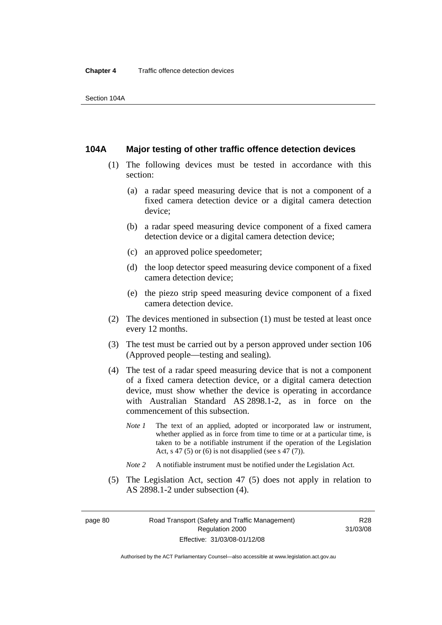#### **104A Major testing of other traffic offence detection devices**

- (1) The following devices must be tested in accordance with this section:
	- (a) a radar speed measuring device that is not a component of a fixed camera detection device or a digital camera detection device;
	- (b) a radar speed measuring device component of a fixed camera detection device or a digital camera detection device;
	- (c) an approved police speedometer;
	- (d) the loop detector speed measuring device component of a fixed camera detection device;
	- (e) the piezo strip speed measuring device component of a fixed camera detection device.
- (2) The devices mentioned in subsection (1) must be tested at least once every 12 months.
- (3) The test must be carried out by a person approved under section 106 (Approved people—testing and sealing).
- (4) The test of a radar speed measuring device that is not a component of a fixed camera detection device, or a digital camera detection device, must show whether the device is operating in accordance with Australian Standard AS 2898.1-2, as in force on the commencement of this subsection.
	- *Note 1* The text of an applied, adopted or incorporated law or instrument, whether applied as in force from time to time or at a particular time, is taken to be a notifiable instrument if the operation of the Legislation Act, s 47 (5) or (6) is not disapplied (see s 47 (7)).
	- *Note 2* A notifiable instrument must be notified under the Legislation Act.
- (5) The Legislation Act, section 47 (5) does not apply in relation to AS 2898.1-2 under subsection (4).

page 80 Road Transport (Safety and Traffic Management) Regulation 2000 Effective: 31/03/08-01/12/08

R28 31/03/08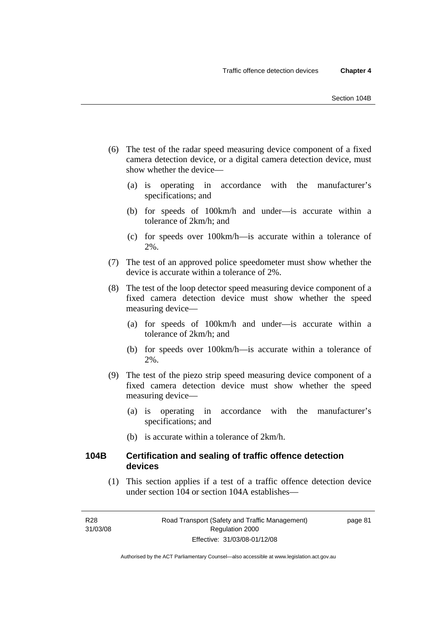- (6) The test of the radar speed measuring device component of a fixed camera detection device, or a digital camera detection device, must show whether the device—
	- (a) is operating in accordance with the manufacturer's specifications; and
	- (b) for speeds of 100km/h and under—is accurate within a tolerance of 2km/h; and
	- (c) for speeds over 100km/h—is accurate within a tolerance of 2%.
- (7) The test of an approved police speedometer must show whether the device is accurate within a tolerance of 2%.
- (8) The test of the loop detector speed measuring device component of a fixed camera detection device must show whether the speed measuring device—
	- (a) for speeds of 100km/h and under—is accurate within a tolerance of 2km/h; and
	- (b) for speeds over 100km/h—is accurate within a tolerance of 2%.
- (9) The test of the piezo strip speed measuring device component of a fixed camera detection device must show whether the speed measuring device—
	- (a) is operating in accordance with the manufacturer's specifications; and
	- (b) is accurate within a tolerance of 2km/h.

### **104B Certification and sealing of traffic offence detection devices**

 (1) This section applies if a test of a traffic offence detection device under section 104 or section 104A establishes—

page 81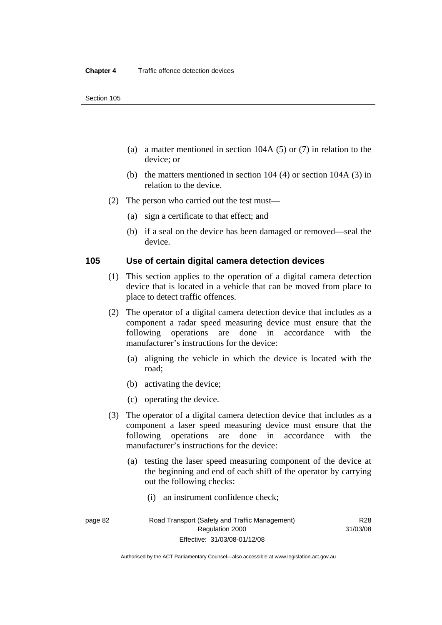- (a) a matter mentioned in section 104A (5) or (7) in relation to the device; or
- (b) the matters mentioned in section 104 (4) or section 104A (3) in relation to the device.
- (2) The person who carried out the test must—
	- (a) sign a certificate to that effect; and
	- (b) if a seal on the device has been damaged or removed—seal the device.

#### **105 Use of certain digital camera detection devices**

- (1) This section applies to the operation of a digital camera detection device that is located in a vehicle that can be moved from place to place to detect traffic offences.
- (2) The operator of a digital camera detection device that includes as a component a radar speed measuring device must ensure that the following operations are done in accordance with the manufacturer's instructions for the device:
	- (a) aligning the vehicle in which the device is located with the road;
	- (b) activating the device;
	- (c) operating the device.
- (3) The operator of a digital camera detection device that includes as a component a laser speed measuring device must ensure that the following operations are done in accordance with the manufacturer's instructions for the device:
	- (a) testing the laser speed measuring component of the device at the beginning and end of each shift of the operator by carrying out the following checks:
		- (i) an instrument confidence check;

R28 31/03/08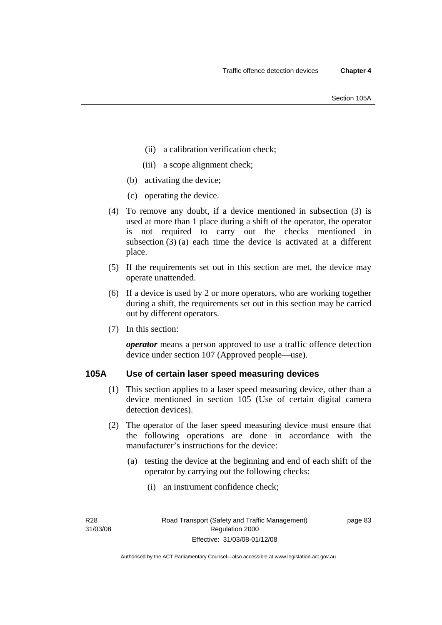- (ii) a calibration verification check;
- (iii) a scope alignment check;
- (b) activating the device;
- (c) operating the device.
- (4) To remove any doubt, if a device mentioned in subsection (3) is used at more than 1 place during a shift of the operator, the operator is not required to carry out the checks mentioned in subsection (3) (a) each time the device is activated at a different place.
- (5) If the requirements set out in this section are met, the device may operate unattended.
- (6) If a device is used by 2 or more operators, who are working together during a shift, the requirements set out in this section may be carried out by different operators.
- (7) In this section:

*operator* means a person approved to use a traffic offence detection device under section 107 (Approved people—use).

### **105A Use of certain laser speed measuring devices**

- (1) This section applies to a laser speed measuring device, other than a device mentioned in section 105 (Use of certain digital camera detection devices).
- (2) The operator of the laser speed measuring device must ensure that the following operations are done in accordance with the manufacturer's instructions for the device:
	- (a) testing the device at the beginning and end of each shift of the operator by carrying out the following checks:
		- (i) an instrument confidence check;

R28 31/03/08 page 83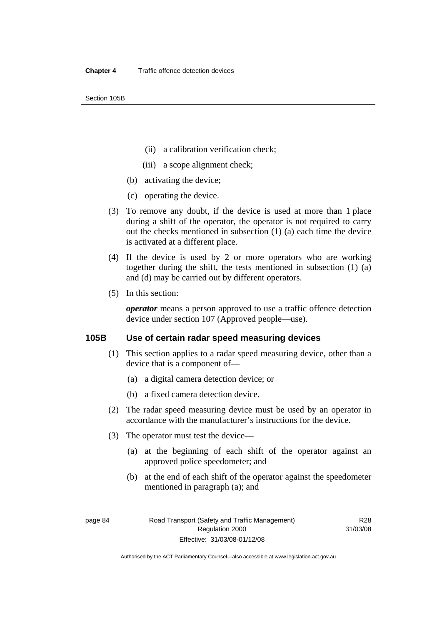Section 105B

- (ii) a calibration verification check;
- (iii) a scope alignment check;
- (b) activating the device;
- (c) operating the device.
- (3) To remove any doubt, if the device is used at more than 1 place during a shift of the operator, the operator is not required to carry out the checks mentioned in subsection (1) (a) each time the device is activated at a different place.
- (4) If the device is used by 2 or more operators who are working together during the shift, the tests mentioned in subsection (1) (a) and (d) may be carried out by different operators.
- (5) In this section:

*operator* means a person approved to use a traffic offence detection device under section 107 (Approved people—use).

#### **105B Use of certain radar speed measuring devices**

- (1) This section applies to a radar speed measuring device, other than a device that is a component of—
	- (a) a digital camera detection device; or
	- (b) a fixed camera detection device.
- (2) The radar speed measuring device must be used by an operator in accordance with the manufacturer's instructions for the device.
- (3) The operator must test the device—
	- (a) at the beginning of each shift of the operator against an approved police speedometer; and
	- (b) at the end of each shift of the operator against the speedometer mentioned in paragraph (a); and

Authorised by the ACT Parliamentary Counsel—also accessible at www.legislation.act.gov.au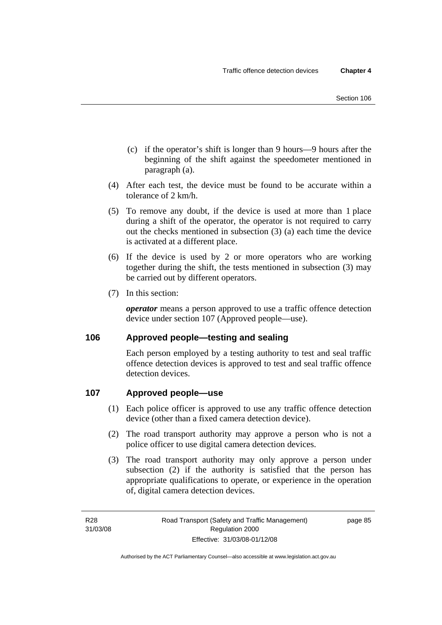- (c) if the operator's shift is longer than 9 hours—9 hours after the beginning of the shift against the speedometer mentioned in paragraph (a).
- (4) After each test, the device must be found to be accurate within a tolerance of 2 km/h.
- (5) To remove any doubt, if the device is used at more than 1 place during a shift of the operator, the operator is not required to carry out the checks mentioned in subsection (3) (a) each time the device is activated at a different place.
- (6) If the device is used by 2 or more operators who are working together during the shift, the tests mentioned in subsection (3) may be carried out by different operators.
- (7) In this section:

*operator* means a person approved to use a traffic offence detection device under section 107 (Approved people—use).

### **106 Approved people—testing and sealing**

Each person employed by a testing authority to test and seal traffic offence detection devices is approved to test and seal traffic offence detection devices.

### **107 Approved people—use**

- (1) Each police officer is approved to use any traffic offence detection device (other than a fixed camera detection device).
- (2) The road transport authority may approve a person who is not a police officer to use digital camera detection devices.
- (3) The road transport authority may only approve a person under subsection (2) if the authority is satisfied that the person has appropriate qualifications to operate, or experience in the operation of, digital camera detection devices.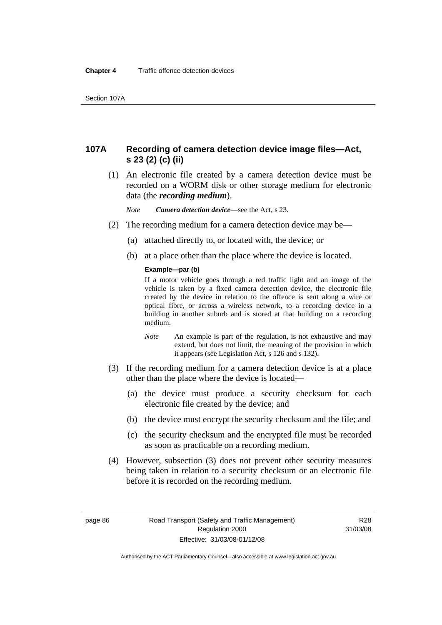### **107A Recording of camera detection device image files—Act, s 23 (2) (c) (ii)**

 (1) An electronic file created by a camera detection device must be recorded on a WORM disk or other storage medium for electronic data (the *recording medium*).

*Note Camera detection device*—see the Act, s 23.

- (2) The recording medium for a camera detection device may be—
	- (a) attached directly to, or located with, the device; or
	- (b) at a place other than the place where the device is located.

#### **Example—par (b)**

If a motor vehicle goes through a red traffic light and an image of the vehicle is taken by a fixed camera detection device, the electronic file created by the device in relation to the offence is sent along a wire or optical fibre, or across a wireless network, to a recording device in a building in another suburb and is stored at that building on a recording medium.

- *Note* An example is part of the regulation, is not exhaustive and may extend, but does not limit, the meaning of the provision in which it appears (see Legislation Act, s 126 and s 132).
- (3) If the recording medium for a camera detection device is at a place other than the place where the device is located—
	- (a) the device must produce a security checksum for each electronic file created by the device; and
	- (b) the device must encrypt the security checksum and the file; and
	- (c) the security checksum and the encrypted file must be recorded as soon as practicable on a recording medium.
- (4) However, subsection (3) does not prevent other security measures being taken in relation to a security checksum or an electronic file before it is recorded on the recording medium.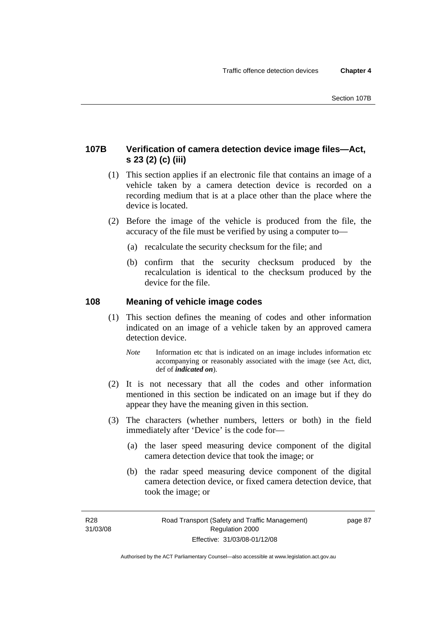### **107B Verification of camera detection device image files—Act, s 23 (2) (c) (iii)**

- (1) This section applies if an electronic file that contains an image of a vehicle taken by a camera detection device is recorded on a recording medium that is at a place other than the place where the device is located.
- (2) Before the image of the vehicle is produced from the file, the accuracy of the file must be verified by using a computer to—
	- (a) recalculate the security checksum for the file; and
	- (b) confirm that the security checksum produced by the recalculation is identical to the checksum produced by the device for the file.

### **108 Meaning of vehicle image codes**

- (1) This section defines the meaning of codes and other information indicated on an image of a vehicle taken by an approved camera detection device.
	- *Note* Information etc that is indicated on an image includes information etc accompanying or reasonably associated with the image (see Act, dict, def of *indicated on*).
- (2) It is not necessary that all the codes and other information mentioned in this section be indicated on an image but if they do appear they have the meaning given in this section.
- (3) The characters (whether numbers, letters or both) in the field immediately after 'Device' is the code for—
	- (a) the laser speed measuring device component of the digital camera detection device that took the image; or
	- (b) the radar speed measuring device component of the digital camera detection device, or fixed camera detection device, that took the image; or

page 87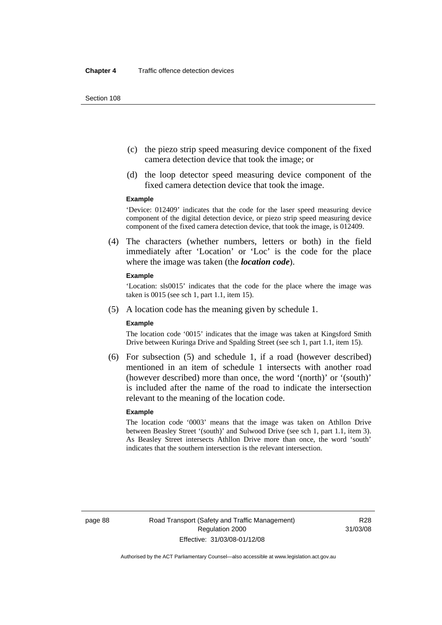- (c) the piezo strip speed measuring device component of the fixed camera detection device that took the image; or
- (d) the loop detector speed measuring device component of the fixed camera detection device that took the image.

#### **Example**

'Device: 012409' indicates that the code for the laser speed measuring device component of the digital detection device, or piezo strip speed measuring device component of the fixed camera detection device, that took the image, is 012409.

 (4) The characters (whether numbers, letters or both) in the field immediately after 'Location' or 'Loc' is the code for the place where the image was taken (the *location code*).

#### **Example**

'Location: sls0015' indicates that the code for the place where the image was taken is 0015 (see sch 1, part 1.1, item 15).

(5) A location code has the meaning given by schedule 1.

#### **Example**

The location code '0015' indicates that the image was taken at Kingsford Smith Drive between Kuringa Drive and Spalding Street (see sch 1, part 1.1, item 15).

 (6) For subsection (5) and schedule 1, if a road (however described) mentioned in an item of schedule 1 intersects with another road (however described) more than once, the word '(north)' or '(south)' is included after the name of the road to indicate the intersection relevant to the meaning of the location code.

#### **Example**

The location code '0003' means that the image was taken on Athllon Drive between Beasley Street '(south)' and Sulwood Drive (see sch 1, part 1.1, item 3). As Beasley Street intersects Athllon Drive more than once, the word 'south' indicates that the southern intersection is the relevant intersection.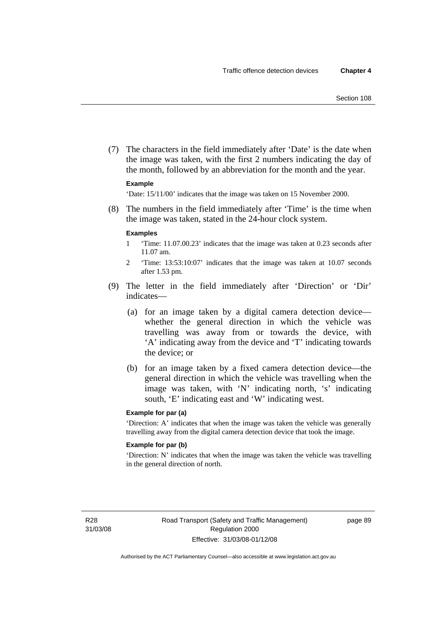(7) The characters in the field immediately after 'Date' is the date when the image was taken, with the first 2 numbers indicating the day of the month, followed by an abbreviation for the month and the year.

#### **Example**

'Date: 15/11/00' indicates that the image was taken on 15 November 2000.

 (8) The numbers in the field immediately after 'Time' is the time when the image was taken, stated in the 24-hour clock system.

#### **Examples**

- 1 'Time: 11.07.00.23' indicates that the image was taken at 0.23 seconds after 11.07 am.
- 2 'Time: 13:53:10:07' indicates that the image was taken at 10.07 seconds after 1.53 pm.
- (9) The letter in the field immediately after 'Direction' or 'Dir' indicates—
	- (a) for an image taken by a digital camera detection device whether the general direction in which the vehicle was travelling was away from or towards the device, with 'A' indicating away from the device and 'T' indicating towards the device; or
	- (b) for an image taken by a fixed camera detection device—the general direction in which the vehicle was travelling when the image was taken, with 'N' indicating north, 's' indicating south, 'E' indicating east and 'W' indicating west.

#### **Example for par (a)**

'Direction: A' indicates that when the image was taken the vehicle was generally travelling away from the digital camera detection device that took the image.

#### **Example for par (b)**

'Direction: N' indicates that when the image was taken the vehicle was travelling in the general direction of north.

R28 31/03/08 page 89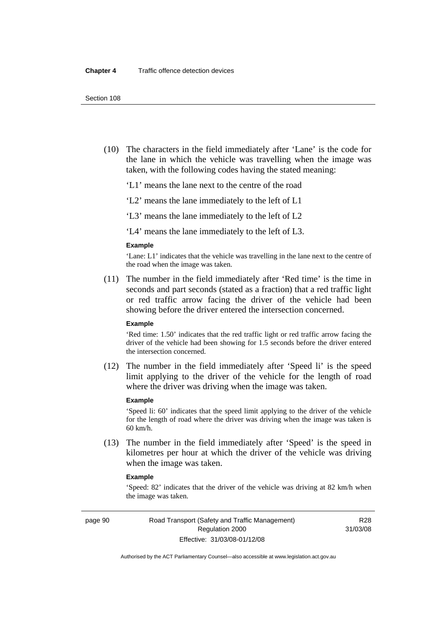(10) The characters in the field immediately after 'Lane' is the code for the lane in which the vehicle was travelling when the image was taken, with the following codes having the stated meaning:

'L1' means the lane next to the centre of the road

'L2' means the lane immediately to the left of L1

'L3' means the lane immediately to the left of L2

'L4' means the lane immediately to the left of L3.

#### **Example**

'Lane: L1' indicates that the vehicle was travelling in the lane next to the centre of the road when the image was taken.

 (11) The number in the field immediately after 'Red time' is the time in seconds and part seconds (stated as a fraction) that a red traffic light or red traffic arrow facing the driver of the vehicle had been showing before the driver entered the intersection concerned.

#### **Example**

'Red time: 1.50' indicates that the red traffic light or red traffic arrow facing the driver of the vehicle had been showing for 1.5 seconds before the driver entered the intersection concerned.

 (12) The number in the field immediately after 'Speed li' is the speed limit applying to the driver of the vehicle for the length of road where the driver was driving when the image was taken.

#### **Example**

'Speed li: 60' indicates that the speed limit applying to the driver of the vehicle for the length of road where the driver was driving when the image was taken is 60 km/h.

 (13) The number in the field immediately after 'Speed' is the speed in kilometres per hour at which the driver of the vehicle was driving when the image was taken.

#### **Example**

'Speed: 82' indicates that the driver of the vehicle was driving at 82 km/h when the image was taken.

page 90 Road Transport (Safety and Traffic Management) Regulation 2000 Effective: 31/03/08-01/12/08

R28 31/03/08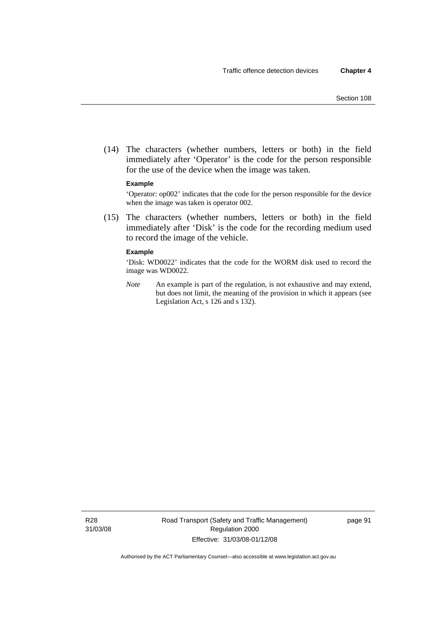(14) The characters (whether numbers, letters or both) in the field immediately after 'Operator' is the code for the person responsible for the use of the device when the image was taken.

#### **Example**

'Operator: op002' indicates that the code for the person responsible for the device when the image was taken is operator 002.

 (15) The characters (whether numbers, letters or both) in the field immediately after 'Disk' is the code for the recording medium used to record the image of the vehicle.

#### **Example**

'Disk: WD0022' indicates that the code for the WORM disk used to record the image was WD0022.

*Note* An example is part of the regulation, is not exhaustive and may extend, but does not limit, the meaning of the provision in which it appears (see Legislation Act, s 126 and s 132).

R28 31/03/08 page 91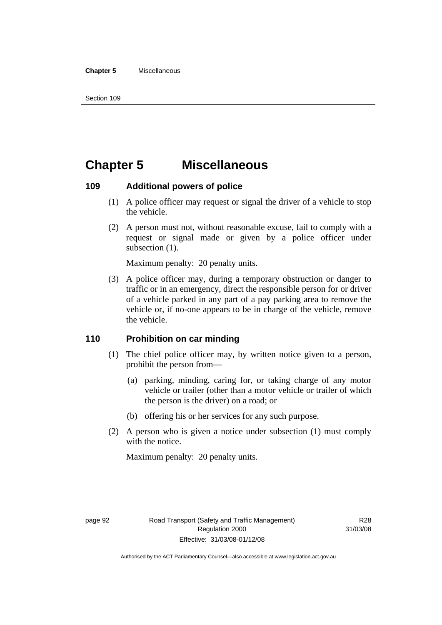#### **Chapter 5** Miscellaneous

# **Chapter 5 Miscellaneous**

#### **109 Additional powers of police**

- (1) A police officer may request or signal the driver of a vehicle to stop the vehicle.
- (2) A person must not, without reasonable excuse, fail to comply with a request or signal made or given by a police officer under subsection  $(1)$ .

Maximum penalty: 20 penalty units.

 (3) A police officer may, during a temporary obstruction or danger to traffic or in an emergency, direct the responsible person for or driver of a vehicle parked in any part of a pay parking area to remove the vehicle or, if no-one appears to be in charge of the vehicle, remove the vehicle.

### **110 Prohibition on car minding**

- (1) The chief police officer may, by written notice given to a person, prohibit the person from—
	- (a) parking, minding, caring for, or taking charge of any motor vehicle or trailer (other than a motor vehicle or trailer of which the person is the driver) on a road; or
	- (b) offering his or her services for any such purpose.
- (2) A person who is given a notice under subsection (1) must comply with the notice.

Maximum penalty: 20 penalty units.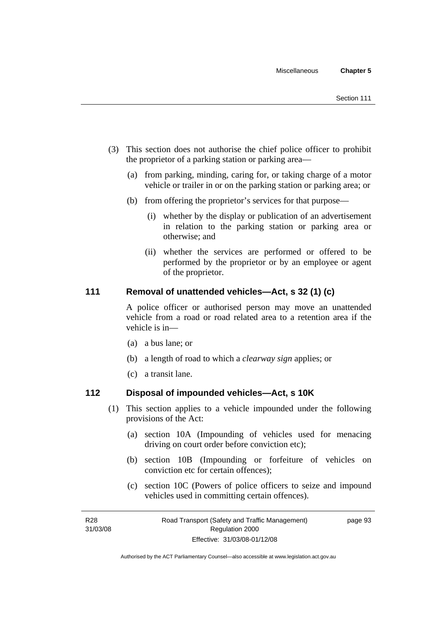- (3) This section does not authorise the chief police officer to prohibit the proprietor of a parking station or parking area—
	- (a) from parking, minding, caring for, or taking charge of a motor vehicle or trailer in or on the parking station or parking area; or
	- (b) from offering the proprietor's services for that purpose—
		- (i) whether by the display or publication of an advertisement in relation to the parking station or parking area or otherwise; and
		- (ii) whether the services are performed or offered to be performed by the proprietor or by an employee or agent of the proprietor.

### **111 Removal of unattended vehicles—Act, s 32 (1) (c)**

A police officer or authorised person may move an unattended vehicle from a road or road related area to a retention area if the vehicle is in—

- (a) a bus lane; or
- (b) a length of road to which a *clearway sign* applies; or
- (c) a transit lane.

#### **112 Disposal of impounded vehicles—Act, s 10K**

- (1) This section applies to a vehicle impounded under the following provisions of the Act:
	- (a) section 10A (Impounding of vehicles used for menacing driving on court order before conviction etc);
	- (b) section 10B (Impounding or forfeiture of vehicles on conviction etc for certain offences);
	- (c) section 10C (Powers of police officers to seize and impound vehicles used in committing certain offences).

page 93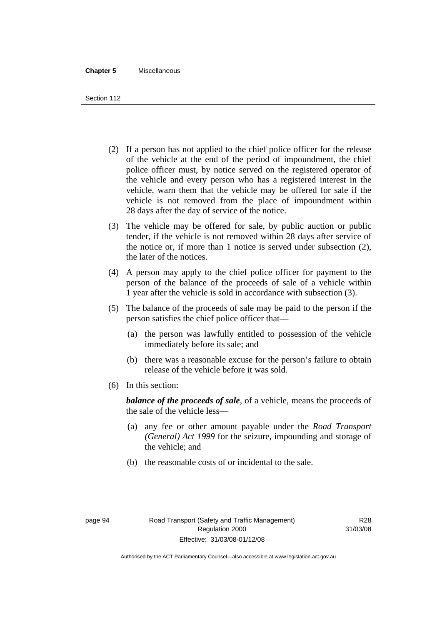#### **Chapter 5** Miscellaneous

Section 112

- (2) If a person has not applied to the chief police officer for the release of the vehicle at the end of the period of impoundment, the chief police officer must, by notice served on the registered operator of the vehicle and every person who has a registered interest in the vehicle, warn them that the vehicle may be offered for sale if the vehicle is not removed from the place of impoundment within 28 days after the day of service of the notice.
- (3) The vehicle may be offered for sale, by public auction or public tender, if the vehicle is not removed within 28 days after service of the notice or, if more than 1 notice is served under subsection (2), the later of the notices.
- (4) A person may apply to the chief police officer for payment to the person of the balance of the proceeds of sale of a vehicle within 1 year after the vehicle is sold in accordance with subsection (3).
- (5) The balance of the proceeds of sale may be paid to the person if the person satisfies the chief police officer that—
	- (a) the person was lawfully entitled to possession of the vehicle immediately before its sale; and
	- (b) there was a reasonable excuse for the person's failure to obtain release of the vehicle before it was sold.
- (6) In this section:

*balance of the proceeds of sale*, of a vehicle, means the proceeds of the sale of the vehicle less—

- (a) any fee or other amount payable under the *Road Transport (General) Act 1999* for the seizure, impounding and storage of the vehicle; and
- (b) the reasonable costs of or incidental to the sale.

Authorised by the ACT Parliamentary Counsel—also accessible at www.legislation.act.gov.au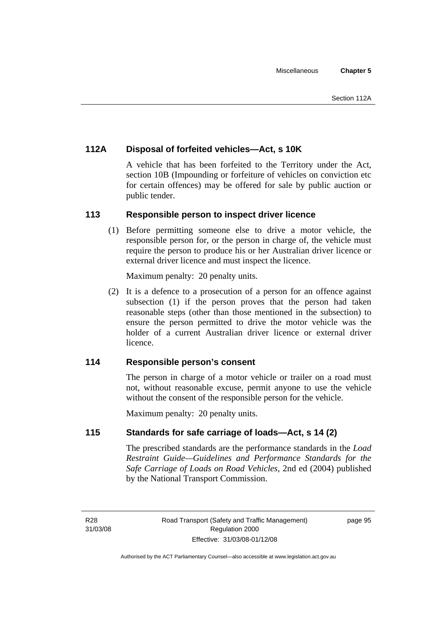### **112A Disposal of forfeited vehicles—Act, s 10K**

A vehicle that has been forfeited to the Territory under the Act, section 10B (Impounding or forfeiture of vehicles on conviction etc for certain offences) may be offered for sale by public auction or public tender.

### **113 Responsible person to inspect driver licence**

 (1) Before permitting someone else to drive a motor vehicle, the responsible person for, or the person in charge of, the vehicle must require the person to produce his or her Australian driver licence or external driver licence and must inspect the licence.

Maximum penalty: 20 penalty units.

 (2) It is a defence to a prosecution of a person for an offence against subsection (1) if the person proves that the person had taken reasonable steps (other than those mentioned in the subsection) to ensure the person permitted to drive the motor vehicle was the holder of a current Australian driver licence or external driver licence.

### **114 Responsible person's consent**

The person in charge of a motor vehicle or trailer on a road must not, without reasonable excuse, permit anyone to use the vehicle without the consent of the responsible person for the vehicle.

Maximum penalty: 20 penalty units.

### **115 Standards for safe carriage of loads—Act, s 14 (2)**

The prescribed standards are the performance standards in the *Load Restraint Guide—Guidelines and Performance Standards for the Safe Carriage of Loads on Road Vehicles*, 2nd ed (2004) published by the National Transport Commission.

R28 31/03/08 page 95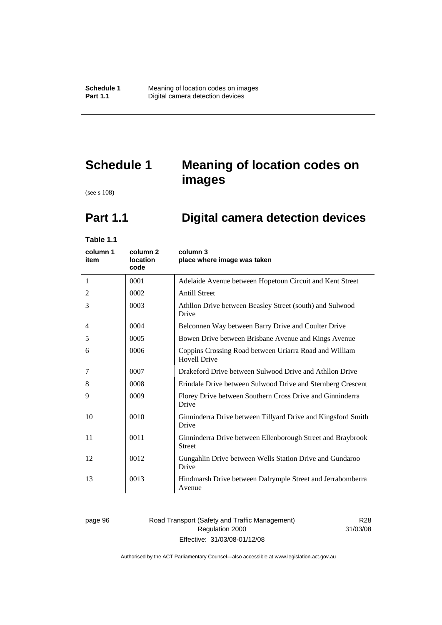# **Schedule 1 Meaning of location codes on images**

(see s 108)

# **Part 1.1 Digital camera detection devices**

**Table 1.1** 

| column 1<br>item | column <sub>2</sub><br>location<br>code | column 3<br>place where image was taken                                       |
|------------------|-----------------------------------------|-------------------------------------------------------------------------------|
| 1                | 0001                                    | Adelaide Avenue between Hopetoun Circuit and Kent Street                      |
| 2                | 0002                                    | <b>Antill Street</b>                                                          |
| 3                | 0003                                    | Athllon Drive between Beasley Street (south) and Sulwood<br>Drive             |
| 4                | 0004                                    | Belconnen Way between Barry Drive and Coulter Drive                           |
| 5                | 0005                                    | Bowen Drive between Brisbane Avenue and Kings Avenue                          |
| 6                | 0006                                    | Coppins Crossing Road between Uriarra Road and William<br><b>Hovell Drive</b> |
| 7                | 0007                                    | Drakeford Drive between Sulwood Drive and Athllon Drive                       |
| 8                | 0008                                    | Erindale Drive between Sulwood Drive and Sternberg Crescent                   |
| 9                | 0009                                    | Florey Drive between Southern Cross Drive and Ginninderra<br>Drive            |
| 10               | 0010                                    | Ginninderra Drive between Tillyard Drive and Kingsford Smith<br>Drive         |
| 11               | 0011                                    | Ginninderra Drive between Ellenborough Street and Braybrook<br><b>Street</b>  |
| 12               | 0012                                    | Gungahlin Drive between Wells Station Drive and Gundaroo<br>Drive             |
| 13               | 0013                                    | Hindmarsh Drive between Dalrymple Street and Jerrabomberra<br>Avenue          |

#### page 96 Road Transport (Safety and Traffic Management) Regulation 2000 Effective: 31/03/08-01/12/08

R28 31/03/08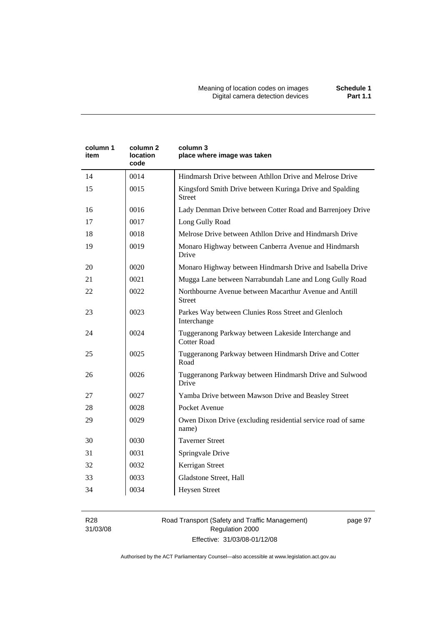| column 1<br>item | column 2<br><b>location</b><br>code | column 3<br>place where image was taken                                    |
|------------------|-------------------------------------|----------------------------------------------------------------------------|
| 14               | 0014                                | Hindmarsh Drive between Athllon Drive and Melrose Drive                    |
| 15               | 0015                                | Kingsford Smith Drive between Kuringa Drive and Spalding<br><b>Street</b>  |
| 16               | 0016                                | Lady Denman Drive between Cotter Road and Barrenjoey Drive                 |
| 17               | 0017                                | Long Gully Road                                                            |
| 18               | 0018                                | Melrose Drive between Athllon Drive and Hindmarsh Drive                    |
| 19               | 0019                                | Monaro Highway between Canberra Avenue and Hindmarsh<br>Drive              |
| 20               | 0020                                | Monaro Highway between Hindmarsh Drive and Isabella Drive                  |
| 21               | 0021                                | Mugga Lane between Narrabundah Lane and Long Gully Road                    |
| 22               | 0022                                | Northbourne Avenue between Macarthur Avenue and Antill<br><b>Street</b>    |
| 23               | 0023                                | Parkes Way between Clunies Ross Street and Glenloch<br>Interchange         |
| 24               | 0024                                | Tuggeranong Parkway between Lakeside Interchange and<br><b>Cotter Road</b> |
| 25               | 0025                                | Tuggeranong Parkway between Hindmarsh Drive and Cotter<br>Road             |
| 26               | 0026                                | Tuggeranong Parkway between Hindmarsh Drive and Sulwood<br>Drive           |
| 27               | 0027                                | Yamba Drive between Mawson Drive and Beasley Street                        |
| 28               | 0028                                | Pocket Avenue                                                              |
| 29               | 0029                                | Owen Dixon Drive (excluding residential service road of same<br>name)      |
| 30               | 0030                                | <b>Taverner Street</b>                                                     |
| 31               | 0031                                | Springvale Drive                                                           |
| 32               | 0032                                | Kerrigan Street                                                            |
| 33               | 0033                                | Gladstone Street, Hall                                                     |
| 34               | 0034                                | <b>Heysen Street</b>                                                       |

R28 31/03/08 Road Transport (Safety and Traffic Management) Regulation 2000 Effective: 31/03/08-01/12/08

page 97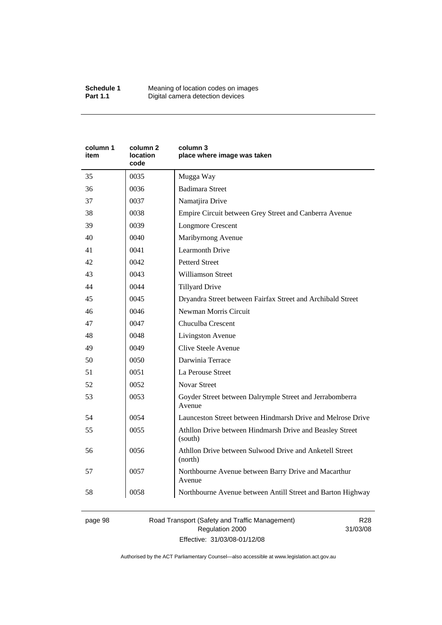| column 1<br>item | column <sub>2</sub><br><b>location</b><br>code | column 3<br>place where image was taken                             |
|------------------|------------------------------------------------|---------------------------------------------------------------------|
| 35               | 0035                                           | Mugga Way                                                           |
| 36               | 0036                                           | <b>Badimara Street</b>                                              |
| 37               | 0037                                           | Namatjira Drive                                                     |
| 38               | 0038                                           | Empire Circuit between Grey Street and Canberra Avenue              |
| 39               | 0039                                           | <b>Longmore Crescent</b>                                            |
| 40               | 0040                                           | Maribyrnong Avenue                                                  |
| 41               | 0041                                           | <b>Learmonth Drive</b>                                              |
| 42               | 0042                                           | <b>Petterd Street</b>                                               |
| 43               | 0043                                           | <b>Williamson Street</b>                                            |
| 44               | 0044                                           | <b>Tillyard Drive</b>                                               |
| 45               | 0045                                           | Dryandra Street between Fairfax Street and Archibald Street         |
| 46               | 0046                                           | Newman Morris Circuit                                               |
| 47               | 0047                                           | Chuculba Crescent                                                   |
| 48               | 0048                                           | Livingston Avenue                                                   |
| 49               | 0049                                           | Clive Steele Avenue                                                 |
| 50               | 0050                                           | Darwinia Terrace                                                    |
| 51               | 0051                                           | La Perouse Street                                                   |
| 52               | 0052                                           | <b>Novar Street</b>                                                 |
| 53               | 0053                                           | Goyder Street between Dalrymple Street and Jerrabomberra<br>Avenue  |
| 54               | 0054                                           | Launceston Street between Hindmarsh Drive and Melrose Drive         |
| 55               | 0055                                           | Athllon Drive between Hindmarsh Drive and Beasley Street<br>(south) |
| 56               | 0056                                           | Athllon Drive between Sulwood Drive and Anketell Street<br>(north)  |
| 57               | 0057                                           | Northbourne Avenue between Barry Drive and Macarthur<br>Avenue      |
| 58               | 0058                                           | Northbourne Avenue between Antill Street and Barton Highway         |

page 98 Road Transport (Safety and Traffic Management) Regulation 2000 Effective: 31/03/08-01/12/08

R28 31/03/08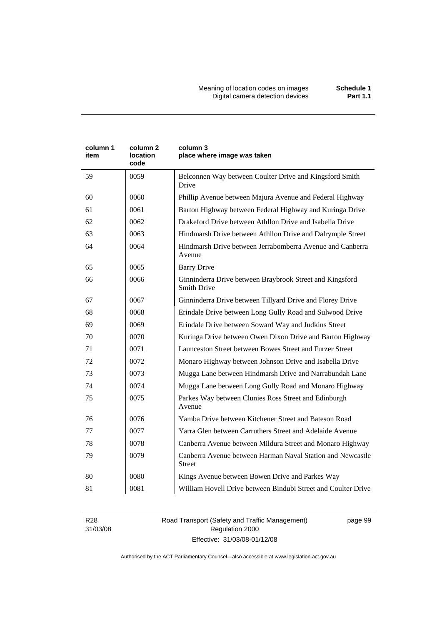| column 1<br>item | column <sub>2</sub><br>location<br>code | column 3<br>place where image was taken                                        |
|------------------|-----------------------------------------|--------------------------------------------------------------------------------|
| 59               | 0059                                    | Belconnen Way between Coulter Drive and Kingsford Smith<br>Drive               |
| 60               | 0060                                    | Phillip Avenue between Majura Avenue and Federal Highway                       |
| 61               | 0061                                    | Barton Highway between Federal Highway and Kuringa Drive                       |
| 62               | 0062                                    | Drakeford Drive between Athllon Drive and Isabella Drive                       |
| 63               | 0063                                    | Hindmarsh Drive between Athllon Drive and Dalrymple Street                     |
| 64               | 0064                                    | Hindmarsh Drive between Jerrabomberra Avenue and Canberra<br>Avenue            |
| 65               | 0065                                    | <b>Barry Drive</b>                                                             |
| 66               | 0066                                    | Ginninderra Drive between Braybrook Street and Kingsford<br><b>Smith Drive</b> |
| 67               | 0067                                    | Ginninderra Drive between Tillyard Drive and Florey Drive                      |
| 68               | 0068                                    | Erindale Drive between Long Gully Road and Sulwood Drive                       |
| 69               | 0069                                    | Erindale Drive between Soward Way and Judkins Street                           |
| 70               | 0070                                    | Kuringa Drive between Owen Dixon Drive and Barton Highway                      |
| 71               | 0071                                    | Launceston Street between Bowes Street and Furzer Street                       |
| 72               | 0072                                    | Monaro Highway between Johnson Drive and Isabella Drive                        |
| 73               | 0073                                    | Mugga Lane between Hindmarsh Drive and Narrabundah Lane                        |
| 74               | 0074                                    | Mugga Lane between Long Gully Road and Monaro Highway                          |
| 75               | 0075                                    | Parkes Way between Clunies Ross Street and Edinburgh<br>Avenue                 |
| 76               | 0076                                    | Yamba Drive between Kitchener Street and Bateson Road                          |
| 77               | 0077                                    | Yarra Glen between Carruthers Street and Adelaide Avenue                       |
| 78               | 0078                                    | Canberra Avenue between Mildura Street and Monaro Highway                      |
| 79               | 0079                                    | Canberra Avenue between Harman Naval Station and Newcastle<br>Street           |
| 80               | 0080                                    | Kings Avenue between Bowen Drive and Parkes Way                                |
| 81               | 0081                                    | William Hovell Drive between Bindubi Street and Coulter Drive                  |

R28 31/03/08 Road Transport (Safety and Traffic Management) Regulation 2000 Effective: 31/03/08-01/12/08

page 99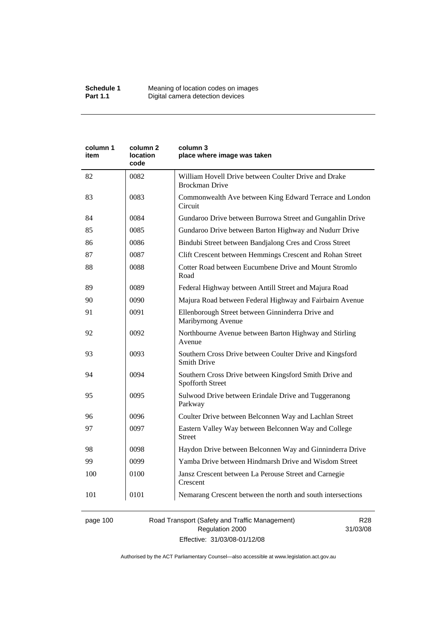| column 1<br>item | column 2<br>location<br>code | column 3<br>place where image was taken                                        |
|------------------|------------------------------|--------------------------------------------------------------------------------|
| 82               | 0082                         | William Hovell Drive between Coulter Drive and Drake<br><b>Brockman Drive</b>  |
| 83               | 0083                         | Commonwealth Ave between King Edward Terrace and London<br>Circuit             |
| 84               | 0084                         | Gundaroo Drive between Burrowa Street and Gungahlin Drive                      |
| 85               | 0085                         | Gundaroo Drive between Barton Highway and Nudurr Drive                         |
| 86               | 0086                         | Bindubi Street between Bandjalong Cres and Cross Street                        |
| 87               | 0087                         | Clift Crescent between Hemmings Crescent and Rohan Street                      |
| 88               | 0088                         | Cotter Road between Eucumbene Drive and Mount Stromlo<br>Road                  |
| 89               | 0089                         | Federal Highway between Antill Street and Majura Road                          |
| 90               | 0090                         | Majura Road between Federal Highway and Fairbairn Avenue                       |
| 91               | 0091                         | Ellenborough Street between Ginninderra Drive and<br>Maribyrnong Avenue        |
| 92               | 0092                         | Northbourne Avenue between Barton Highway and Stirling<br>Avenue               |
| 93               | 0093                         | Southern Cross Drive between Coulter Drive and Kingsford<br><b>Smith Drive</b> |
| 94               | 0094                         | Southern Cross Drive between Kingsford Smith Drive and<br>Spofforth Street     |
| 95               | 0095                         | Sulwood Drive between Erindale Drive and Tuggeranong<br>Parkway                |
| 96               | 0096                         | Coulter Drive between Belconnen Way and Lachlan Street                         |
| 97               | 0097                         | Eastern Valley Way between Belconnen Way and College<br><b>Street</b>          |
| 98               | 0098                         | Haydon Drive between Belconnen Way and Ginninderra Drive                       |
| 99               | 0099                         | Yamba Drive between Hindmarsh Drive and Wisdom Street                          |
| 100              | 0100                         | Jansz Crescent between La Perouse Street and Carnegie<br>Crescent              |
| 101              | 0101                         | Nemarang Crescent between the north and south intersections                    |

# page 100 Road Transport (Safety and Traffic Management) Regulation 2000 Effective: 31/03/08-01/12/08

R28 31/03/08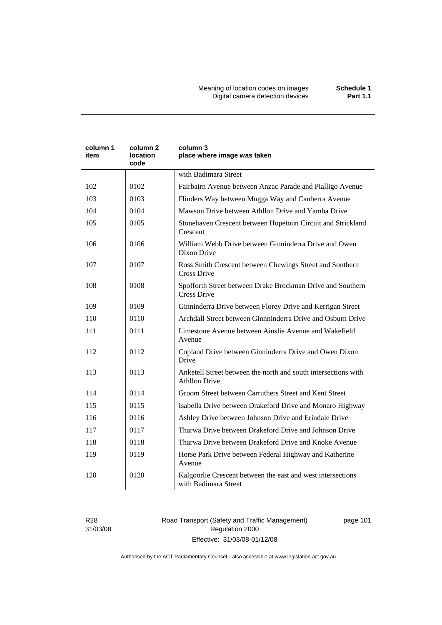Meaning of location codes on images **Schedule 1**  Digital camera detection devices **Part 1.1** 

| column 1<br>item | column 2<br>location<br>code | column 3<br>place where image was taken                                                |
|------------------|------------------------------|----------------------------------------------------------------------------------------|
|                  |                              | with Badimara Street                                                                   |
| 102              | 0102                         | Fairbairn Avenue between Anzac Parade and Pialligo Avenue                              |
| 103              | 0103                         | Flinders Way between Mugga Way and Canberra Avenue                                     |
| 104              | 0104                         | Mawson Drive between Athllon Drive and Yamba Drive                                     |
| 105              | 0105                         | Stonehaven Crescent between Hopetoun Circuit and Strickland<br>Crescent                |
| 106              | 0106                         | William Webb Drive between Ginninderra Drive and Owen<br>Dixon Drive                   |
| 107              | 0107                         | Ross Smith Crescent between Chewings Street and Southern<br><b>Cross Drive</b>         |
| 108              | 0108                         | Spofforth Street between Drake Brockman Drive and Southern<br><b>Cross Drive</b>       |
| 109              | 0109                         | Ginninderra Drive between Florey Drive and Kerrigan Street                             |
| 110              | 0110                         | Archdall Street between Ginnninderra Drive and Osburn Drive                            |
| 111              | 0111                         | Limestone Avenue between Ainslie Avenue and Wakefield<br>Avenue                        |
| 112              | 0112                         | Copland Drive between Ginninderra Drive and Owen Dixon<br>Drive                        |
| 113              | 0113                         | Anketell Street between the north and south intersections with<br><b>Athllon Drive</b> |
| 114              | 0114                         | Groom Street between Carruthers Street and Kent Street                                 |
| 115              | 0115                         | Isabella Drive between Drakeford Drive and Monaro Highway                              |
| 116              | 0116                         | Ashley Drive between Johnson Drive and Erindale Drive                                  |
| 117              | 0117                         | Tharwa Drive between Drakeford Drive and Johnson Drive                                 |
| 118              | 0118                         | Tharwa Drive between Drakeford Drive and Knoke Avenue                                  |
| 119              | 0119                         | Horse Park Drive between Federal Highway and Katherine<br>Avenue                       |
| 120              | 0120                         | Kalgoorlie Crescent between the east and west intersections<br>with Badimara Street    |

R28 31/03/08 Road Transport (Safety and Traffic Management) Regulation 2000 Effective: 31/03/08-01/12/08

page 101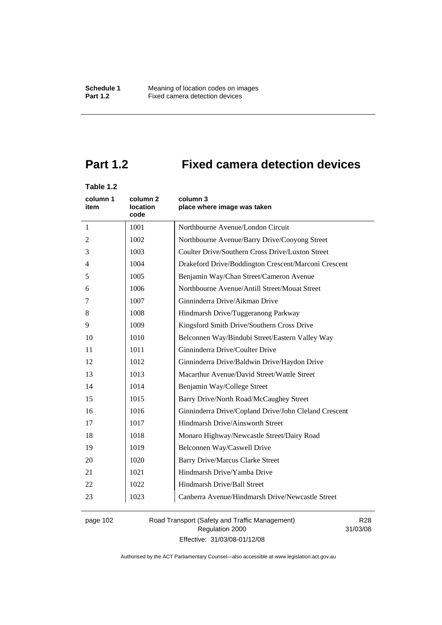# **Part 1.2 Fixed camera detection devices**

# **Table 1.2**

| column 1<br>item | column 2<br><b>location</b><br>code | column 3<br>place where image was taken               |
|------------------|-------------------------------------|-------------------------------------------------------|
| 1                | 1001                                | Northbourne Avenue/London Circuit                     |
| 2                | 1002                                | Northbourne Avenue/Barry Drive/Cooyong Street         |
| 3                | 1003                                | Coulter Drive/Southern Cross Drive/Luxton Street      |
| $\overline{4}$   | 1004                                | Drakeford Drive/Boddington Crescent/Marconi Crescent  |
| 5                | 1005                                | Benjamin Way/Chan Street/Cameron Avenue               |
| 6                | 1006                                | Northbourne Avenue/Antill Street/Mouat Street         |
| 7                | 1007                                | Ginninderra Drive/Aikman Drive                        |
| 8                | 1008                                | Hindmarsh Drive/Tuggeranong Parkway                   |
| 9                | 1009                                | Kingsford Smith Drive/Southern Cross Drive            |
| 10               | 1010                                | Belconnen Way/Bindubi Street/Eastern Valley Way       |
| 11               | 1011                                | Ginninderra Drive/Coulter Drive                       |
| 12               | 1012                                | Ginninderra Drive/Baldwin Drive/Haydon Drive          |
| 13               | 1013                                | Macarthur Avenue/David Street/Wattle Street           |
| 14               | 1014                                | Benjamin Way/College Street                           |
| 15               | 1015                                | Barry Drive/North Road/McCaughey Street               |
| 16               | 1016                                | Ginninderra Drive/Copland Drive/John Cleland Crescent |
| 17               | 1017                                | Hindmarsh Drive/Ainsworth Street                      |
| 18               | 1018                                | Monaro Highway/Newcastle Street/Dairy Road            |
| 19               | 1019                                | Belconnen Way/Caswell Drive                           |
| 20               | 1020                                | <b>Barry Drive/Marcus Clarke Street</b>               |
| 21               | 1021                                | Hindmarsh Drive/Yamba Drive                           |
| 22               | 1022                                | Hindmarsh Drive/Ball Street                           |
| 23               | 1023                                | Canberra Avenue/Hindmarsh Drive/Newcastle Street      |

page 102 Road Transport (Safety and Traffic Management) Regulation 2000 Effective: 31/03/08-01/12/08

R28 31/03/08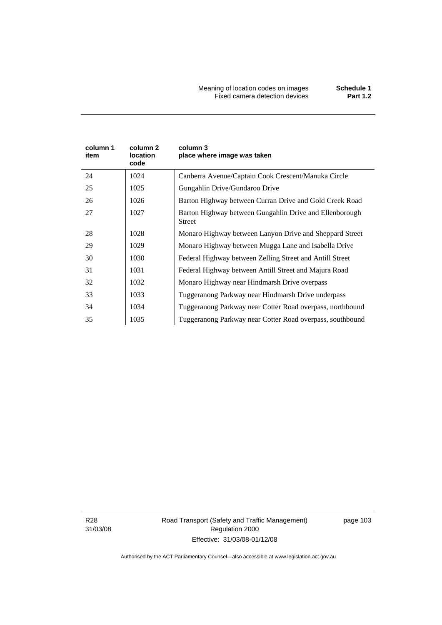| column 1<br>item | column 2<br>location<br>code | column 3<br>place where image was taken                                  |
|------------------|------------------------------|--------------------------------------------------------------------------|
| 24               | 1024                         | Canberra Avenue/Captain Cook Crescent/Manuka Circle                      |
| 25               | 1025                         | Gungahlin Drive/Gundaroo Drive                                           |
| 26               | 1026                         | Barton Highway between Curran Drive and Gold Creek Road                  |
| 27               | 1027                         | Barton Highway between Gungahlin Drive and Ellenborough<br><b>Street</b> |
| 28               | 1028                         | Monaro Highway between Lanyon Drive and Sheppard Street                  |
| 29               | 1029                         | Monaro Highway between Mugga Lane and Isabella Drive                     |
| 30               | 1030                         | Federal Highway between Zelling Street and Antill Street                 |
| 31               | 1031                         | Federal Highway between Antill Street and Majura Road                    |
| 32               | 1032                         | Monaro Highway near Hindmarsh Drive overpass                             |
| 33               | 1033                         | Tuggeranong Parkway near Hindmarsh Drive underpass                       |
| 34               | 1034                         | Tuggeranong Parkway near Cotter Road overpass, northbound                |
| 35               | 1035                         | Tuggeranong Parkway near Cotter Road overpass, southbound                |

R28 31/03/08 Road Transport (Safety and Traffic Management) Regulation 2000 Effective: 31/03/08-01/12/08

page 103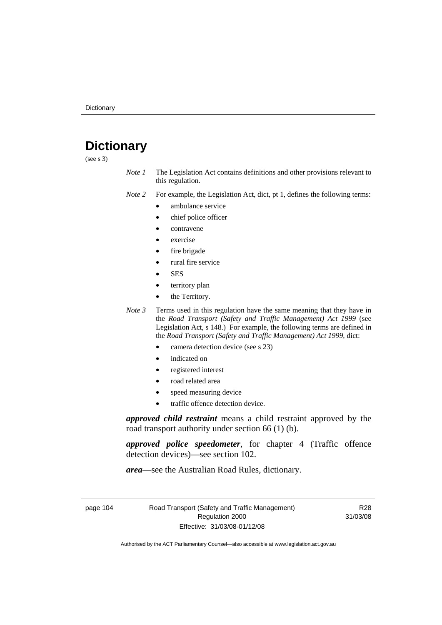# **Dictionary**

(see s 3)

*Note 1* The Legislation Act contains definitions and other provisions relevant to this regulation.

*Note 2* For example, the Legislation Act, dict, pt 1, defines the following terms:

- ambulance service
	- chief police officer
- contravene
- exercise
- fire brigade
- rural fire service
- SES
- territory plan
- the Territory.
- *Note 3* Terms used in this regulation have the same meaning that they have in the *Road Transport (Safety and Traffic Management) Act 1999* (see Legislation Act, s 148.) For example, the following terms are defined in the *Road Transport (Safety and Traffic Management) Act 1999*, dict:
	- camera detection device (see s 23)
	- indicated on
	- registered interest
	- road related area
	- speed measuring device
	- traffic offence detection device.

*approved child restraint* means a child restraint approved by the road transport authority under section 66 (1) (b).

*approved police speedometer*, for chapter 4 (Traffic offence detection devices)—see section 102.

*area*—see the Australian Road Rules, dictionary.

page 104 Road Transport (Safety and Traffic Management) Regulation 2000 Effective: 31/03/08-01/12/08

R28 31/03/08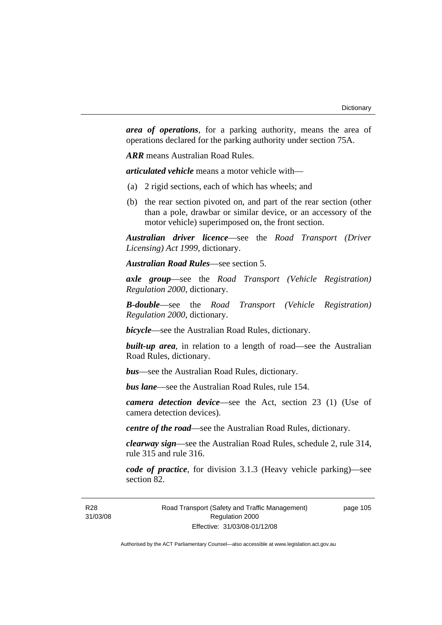*area of operations*, for a parking authority, means the area of operations declared for the parking authority under section 75A.

*ARR* means Australian Road Rules.

*articulated vehicle* means a motor vehicle with—

- (a) 2 rigid sections, each of which has wheels; and
- (b) the rear section pivoted on, and part of the rear section (other than a pole, drawbar or similar device, or an accessory of the motor vehicle) superimposed on, the front section.

*Australian driver licence*—see the *Road Transport (Driver Licensing) Act 1999*, dictionary.

*Australian Road Rules*—see section 5.

*axle group*—see the *Road Transport (Vehicle Registration) Regulation 2000*, dictionary.

*B-double*—see the *Road Transport (Vehicle Registration) Regulation 2000*, dictionary.

*bicycle*—see the Australian Road Rules, dictionary.

**built-up area**, in relation to a length of road—see the Australian Road Rules, dictionary.

*bus*—see the Australian Road Rules, dictionary.

*bus lane*—see the Australian Road Rules, rule 154.

*camera detection device*—see the Act, section 23 (1) (Use of camera detection devices).

*centre of the road*—see the Australian Road Rules, dictionary.

*clearway sign*—see the Australian Road Rules, schedule 2, rule 314, rule 315 and rule 316.

*code of practice*, for division 3.1.3 (Heavy vehicle parking)—see section 82.

page 105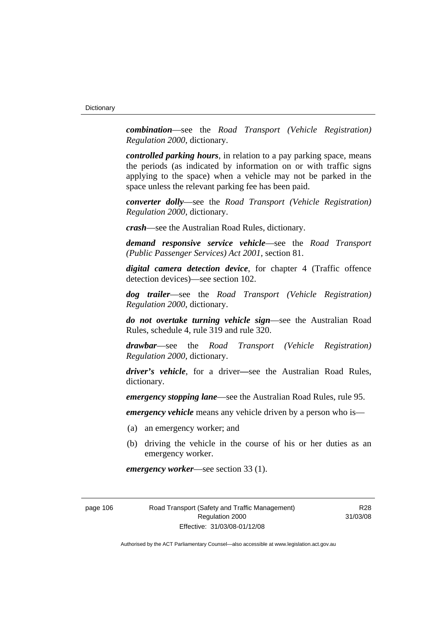*combination*—see the *Road Transport (Vehicle Registration) Regulation 2000*, dictionary.

*controlled parking hours*, in relation to a pay parking space, means the periods (as indicated by information on or with traffic signs applying to the space) when a vehicle may not be parked in the space unless the relevant parking fee has been paid.

*converter dolly*—see the *Road Transport (Vehicle Registration) Regulation 2000*, dictionary.

*crash*—see the Australian Road Rules, dictionary.

*demand responsive service vehicle*—see the *Road Transport (Public Passenger Services) Act 2001*, section 81.

*digital camera detection device*, for chapter 4 (Traffic offence detection devices)—see section 102.

*dog trailer*—see the *Road Transport (Vehicle Registration) Regulation 2000*, dictionary.

*do not overtake turning vehicle sign*—see the Australian Road Rules, schedule 4, rule 319 and rule 320.

*drawbar*—see the *Road Transport (Vehicle Registration) Regulation 2000*, dictionary.

*driver's vehicle*, for a driver*—*see the Australian Road Rules, dictionary.

*emergency stopping lane*—see the Australian Road Rules, rule 95.

*emergency vehicle* means any vehicle driven by a person who is—

- (a) an emergency worker; and
- (b) driving the vehicle in the course of his or her duties as an emergency worker.

*emergency worker*—see section 33 (1).

page 106 Road Transport (Safety and Traffic Management) Regulation 2000 Effective: 31/03/08-01/12/08

R<sub>28</sub> 31/03/08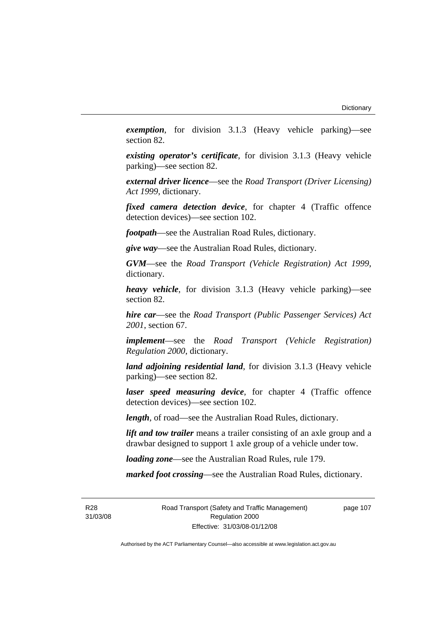*exemption*, for division 3.1.3 (Heavy vehicle parking)—see section 82.

*existing operator's certificate*, for division 3.1.3 (Heavy vehicle parking)—see section 82.

*external driver licence*—see the *Road Transport (Driver Licensing) Act 1999*, dictionary.

*fixed camera detection device*, for chapter 4 (Traffic offence detection devices)—see section 102.

*footpath*—see the Australian Road Rules, dictionary.

*give way*—see the Australian Road Rules, dictionary.

*GVM*—see the *Road Transport (Vehicle Registration) Act 1999*, dictionary.

*heavy vehicle*, for division 3.1.3 (Heavy vehicle parking)—see section 82.

*hire car*—see the *Road Transport (Public Passenger Services) Act 2001*, section 67.

*implement*—see the *Road Transport (Vehicle Registration) Regulation 2000*, dictionary.

*land adjoining residential land*, for division 3.1.3 (Heavy vehicle parking)—see section 82.

*laser speed measuring device*, for chapter 4 (Traffic offence detection devices)—see section 102.

*length*, of road—see the Australian Road Rules, dictionary.

*lift and tow trailer* means a trailer consisting of an axle group and a drawbar designed to support 1 axle group of a vehicle under tow.

*loading zone*—see the Australian Road Rules, rule 179.

*marked foot crossing*—see the Australian Road Rules, dictionary.

R28 31/03/08 Road Transport (Safety and Traffic Management) Regulation 2000 Effective: 31/03/08-01/12/08

page 107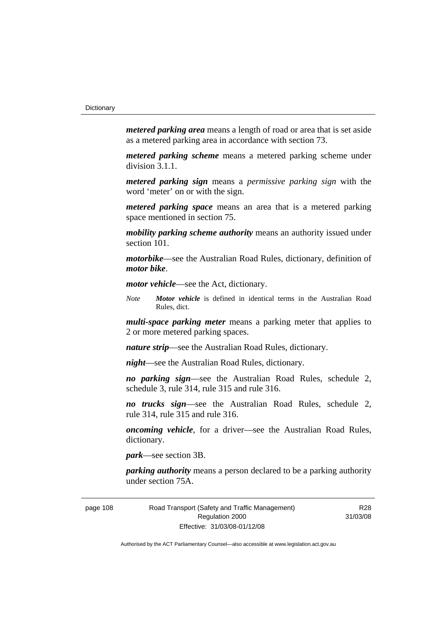*metered parking area* means a length of road or area that is set aside as a metered parking area in accordance with section 73.

*metered parking scheme* means a metered parking scheme under division 3.1.1.

*metered parking sign* means a *permissive parking sign* with the word 'meter' on or with the sign.

*metered parking space* means an area that is a metered parking space mentioned in section 75.

*mobility parking scheme authority* means an authority issued under section 101.

*motorbike*—see the Australian Road Rules, dictionary, definition of *motor bike*.

*motor vehicle*—see the Act, dictionary.

*Note Motor vehicle* is defined in identical terms in the Australian Road Rules, dict.

*multi-space parking meter* means a parking meter that applies to 2 or more metered parking spaces.

*nature strip*—see the Australian Road Rules, dictionary.

*night*—see the Australian Road Rules, dictionary.

*no parking sign*—see the Australian Road Rules, schedule 2, schedule 3, rule 314, rule 315 and rule 316.

*no trucks sign*—see the Australian Road Rules, schedule 2, rule 314, rule 315 and rule 316.

*oncoming vehicle*, for a driver—see the Australian Road Rules, dictionary.

*park*—see section 3B.

*parking authority* means a person declared to be a parking authority under section 75A.

page 108 Road Transport (Safety and Traffic Management) Regulation 2000 Effective: 31/03/08-01/12/08

R28 31/03/08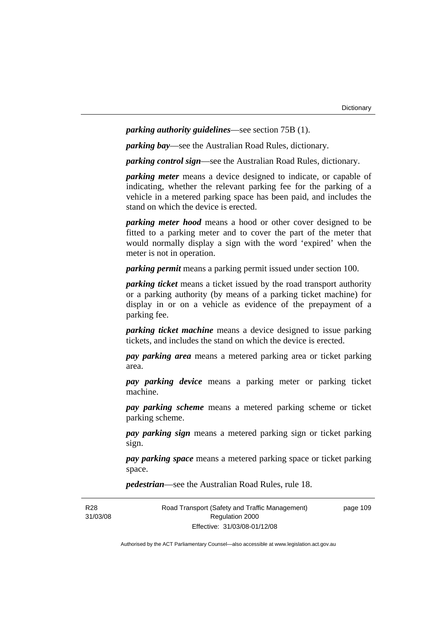*parking authority guidelines*—see section 75B (1).

*parking bay*—see the Australian Road Rules, dictionary.

*parking control sign*—see the Australian Road Rules, dictionary.

*parking meter* means a device designed to indicate, or capable of indicating, whether the relevant parking fee for the parking of a vehicle in a metered parking space has been paid, and includes the stand on which the device is erected.

*parking meter hood* means a hood or other cover designed to be fitted to a parking meter and to cover the part of the meter that would normally display a sign with the word 'expired' when the meter is not in operation.

*parking permit* means a parking permit issued under section 100.

*parking ticket* means a ticket issued by the road transport authority or a parking authority (by means of a parking ticket machine) for display in or on a vehicle as evidence of the prepayment of a parking fee.

*parking ticket machine* means a device designed to issue parking tickets, and includes the stand on which the device is erected.

*pay parking area* means a metered parking area or ticket parking area.

*pay parking device* means a parking meter or parking ticket machine.

*pay parking scheme* means a metered parking scheme or ticket parking scheme.

*pay parking sign* means a metered parking sign or ticket parking sign.

*pay parking space* means a metered parking space or ticket parking space.

*pedestrian*—see the Australian Road Rules, rule 18.

R28 31/03/08 Road Transport (Safety and Traffic Management) Regulation 2000 Effective: 31/03/08-01/12/08

page 109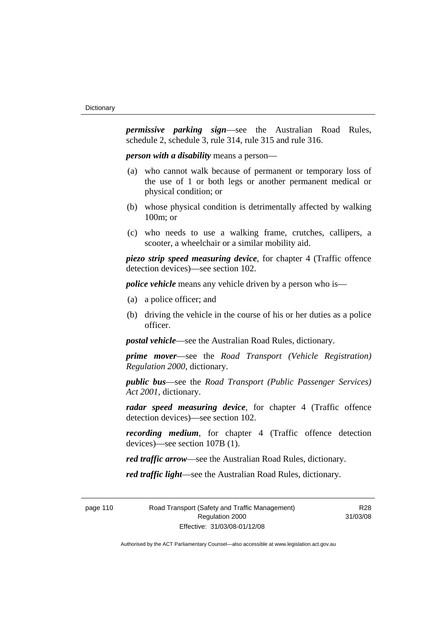*permissive parking sign*—see the Australian Road Rules, schedule 2, schedule 3, rule 314, rule 315 and rule 316.

*person with a disability* means a person—

- (a) who cannot walk because of permanent or temporary loss of the use of 1 or both legs or another permanent medical or physical condition; or
- (b) whose physical condition is detrimentally affected by walking 100m; or
- (c) who needs to use a walking frame, crutches, callipers, a scooter, a wheelchair or a similar mobility aid.

*piezo strip speed measuring device*, for chapter 4 (Traffic offence detection devices)—see section 102.

*police vehicle* means any vehicle driven by a person who is—

- (a) a police officer; and
- (b) driving the vehicle in the course of his or her duties as a police officer.

*postal vehicle*—see the Australian Road Rules, dictionary.

*prime mover*—see the *Road Transport (Vehicle Registration) Regulation 2000*, dictionary.

*public bus*—see the *Road Transport (Public Passenger Services) Act 2001*, dictionary.

*radar speed measuring device*, for chapter 4 (Traffic offence detection devices)—see section 102.

*recording medium*, for chapter 4 (Traffic offence detection devices)—see section 107B (1).

*red traffic arrow*—see the Australian Road Rules, dictionary.

*red traffic light*—see the Australian Road Rules, dictionary.

page 110 Road Transport (Safety and Traffic Management) Regulation 2000 Effective: 31/03/08-01/12/08

R<sub>28</sub> 31/03/08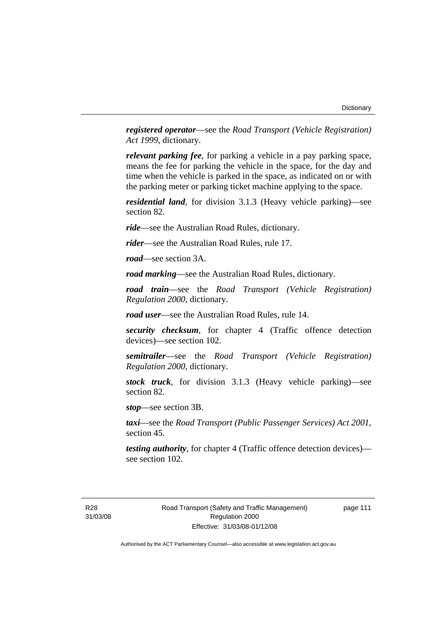*registered operator*—see the *Road Transport (Vehicle Registration) Act 1999*, dictionary.

*relevant parking fee*, for parking a vehicle in a pay parking space, means the fee for parking the vehicle in the space, for the day and time when the vehicle is parked in the space, as indicated on or with the parking meter or parking ticket machine applying to the space.

*residential land*, for division 3.1.3 (Heavy vehicle parking)—see section 82.

*ride*—see the Australian Road Rules, dictionary.

*rider*—see the Australian Road Rules, rule 17.

*road*—see section 3A.

*road marking*—see the Australian Road Rules, dictionary.

*road train*—see the *Road Transport (Vehicle Registration) Regulation 2000*, dictionary.

*road user*—see the Australian Road Rules, rule 14.

*security checksum*, for chapter 4 (Traffic offence detection devices)—see section 102.

*semitrailer*—see the *Road Transport (Vehicle Registration) Regulation 2000*, dictionary.

*stock truck*, for division 3.1.3 (Heavy vehicle parking)—see section 82.

*stop*—see section 3B.

*taxi*—see the *Road Transport (Public Passenger Services) Act 2001*, section 45.

*testing authority*, for chapter 4 (Traffic offence detection devices) see section 102.

R28 31/03/08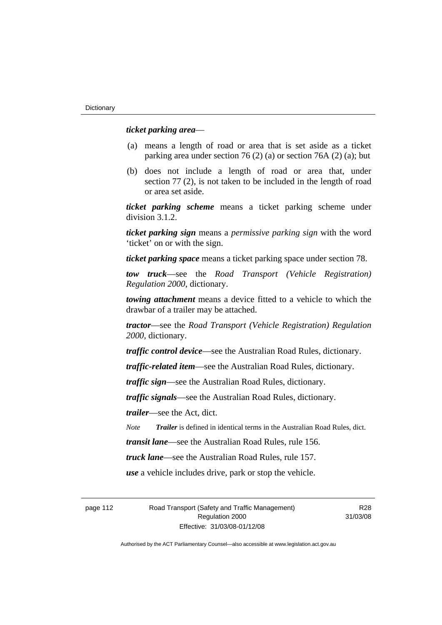### *ticket parking area*—

- (a) means a length of road or area that is set aside as a ticket parking area under section 76 (2) (a) or section 76A (2) (a); but
- (b) does not include a length of road or area that, under section 77 (2), is not taken to be included in the length of road or area set aside.

*ticket parking scheme* means a ticket parking scheme under division 3.1.2.

*ticket parking sign* means a *permissive parking sign* with the word 'ticket' on or with the sign.

*ticket parking space* means a ticket parking space under section 78.

*tow truck*—see the *Road Transport (Vehicle Registration) Regulation 2000*, dictionary.

*towing attachment* means a device fitted to a vehicle to which the drawbar of a trailer may be attached.

*tractor*—see the *Road Transport (Vehicle Registration) Regulation 2000*, dictionary.

*traffic control device*—see the Australian Road Rules, dictionary.

*traffic-related item*—see the Australian Road Rules, dictionary.

*traffic sign*—see the Australian Road Rules, dictionary.

*traffic signals*—see the Australian Road Rules, dictionary.

*trailer*—see the Act, dict.

*Note Trailer* is defined in identical terms in the Australian Road Rules, dict.

*transit lane*—see the Australian Road Rules, rule 156.

*truck lane*—see the Australian Road Rules, rule 157.

*use* a vehicle includes drive, park or stop the vehicle.

page 112 Road Transport (Safety and Traffic Management) Regulation 2000 Effective: 31/03/08-01/12/08

R<sub>28</sub> 31/03/08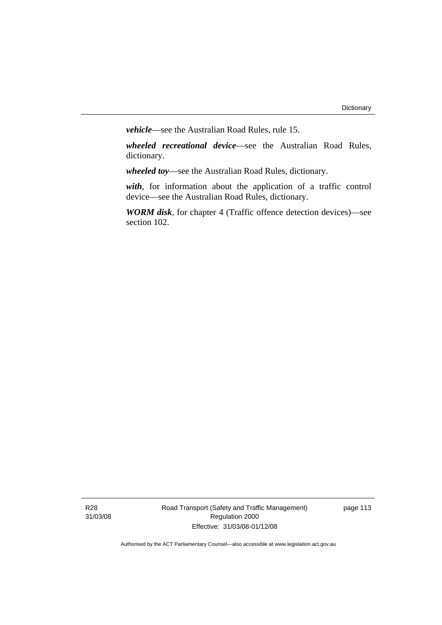*vehicle*—see the Australian Road Rules, rule 15.

*wheeled recreational device*—see the Australian Road Rules, dictionary.

*wheeled toy*—see the Australian Road Rules, dictionary.

*with*, for information about the application of a traffic control device—see the Australian Road Rules, dictionary.

*WORM disk*, for chapter 4 (Traffic offence detection devices)—see section 102.

R28 31/03/08 Road Transport (Safety and Traffic Management) Regulation 2000 Effective: 31/03/08-01/12/08

page 113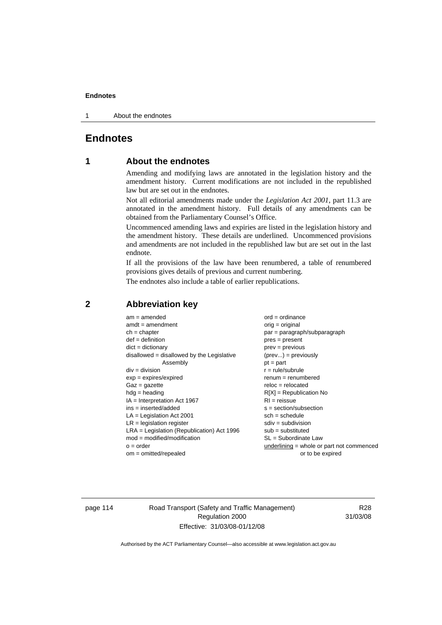1 About the endnotes

# **Endnotes**

# **1 About the endnotes**

Amending and modifying laws are annotated in the legislation history and the amendment history. Current modifications are not included in the republished law but are set out in the endnotes.

Not all editorial amendments made under the *Legislation Act 2001*, part 11.3 are annotated in the amendment history. Full details of any amendments can be obtained from the Parliamentary Counsel's Office.

Uncommenced amending laws and expiries are listed in the legislation history and the amendment history. These details are underlined. Uncommenced provisions and amendments are not included in the republished law but are set out in the last endnote.

If all the provisions of the law have been renumbered, a table of renumbered provisions gives details of previous and current numbering.

The endnotes also include a table of earlier republications.

| $am = amended$                               | $ord = ordinance$                         |
|----------------------------------------------|-------------------------------------------|
| $amdt = amendment$                           | $orig = original$                         |
| $ch = chapter$                               | par = paragraph/subparagraph              |
| $def = definition$                           | $pres = present$                          |
| $dict = dictionary$                          | $prev = previous$                         |
| disallowed = disallowed by the Legislative   | $(\text{prev}) = \text{previously}$       |
| Assembly                                     | $pt = part$                               |
| $div = division$                             | $r = rule/subrule$                        |
| $exp = expires/expired$                      | $renum = renumbered$                      |
| $Gaz = gazette$                              | $reloc = relocated$                       |
| $hdg =$ heading                              | $R[X]$ = Republication No                 |
| $IA = Interpretation Act 1967$               | $RI = reissue$                            |
| $ins = inserted/added$                       | $s = section/subsection$                  |
| $LA =$ Legislation Act 2001                  | $sch = schedule$                          |
| $LR =$ legislation register                  | $sdiv = subdivision$                      |
| $LRA =$ Legislation (Republication) Act 1996 | $sub = substituted$                       |
| $mod = modified/modification$                | SL = Subordinate Law                      |
| $o = order$                                  | underlining = whole or part not commenced |
| $om = omitted/repealed$                      | or to be expired                          |
|                                              |                                           |

# **2 Abbreviation key**

page 114 Road Transport (Safety and Traffic Management) Regulation 2000 Effective: 31/03/08-01/12/08

R28 31/03/08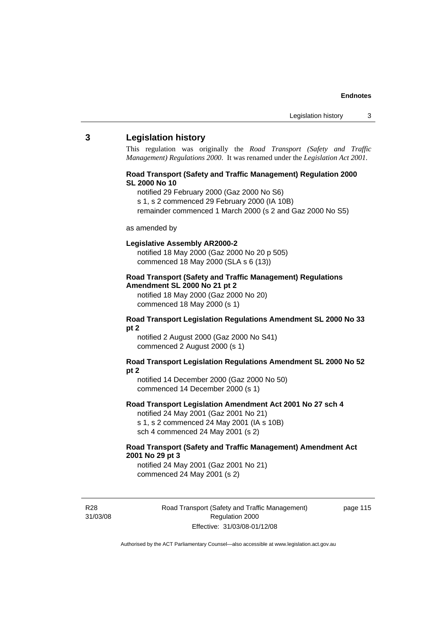### **3 Legislation history**

This regulation was originally the *Road Transport (Safety and Traffic Management) Regulations 2000*. It was renamed under the *Legislation Act 2001*.

### **Road Transport (Safety and Traffic Management) Regulation 2000 SL 2000 No 10**

- notified 29 February 2000 (Gaz 2000 No S6)
- s 1, s 2 commenced 29 February 2000 (IA 10B)
- remainder commenced 1 March 2000 (s 2 and Gaz 2000 No S5)

#### as amended by

#### **Legislative Assembly AR2000-2**

notified 18 May 2000 (Gaz 2000 No 20 p 505) commenced 18 May 2000 (SLA s 6 (13))

### **Road Transport (Safety and Traffic Management) Regulations Amendment SL 2000 No 21 pt 2**

notified 18 May 2000 (Gaz 2000 No 20) commenced 18 May 2000 (s 1)

#### **Road Transport Legislation Regulations Amendment SL 2000 No 33 pt 2**

notified 2 August 2000 (Gaz 2000 No S41) commenced 2 August 2000 (s 1)

#### **Road Transport Legislation Regulations Amendment SL 2000 No 52 pt 2**

notified 14 December 2000 (Gaz 2000 No 50) commenced 14 December 2000 (s 1)

### **Road Transport Legislation Amendment Act 2001 No 27 sch 4**

notified 24 May 2001 (Gaz 2001 No 21) s 1, s 2 commenced 24 May 2001 (IA s 10B) sch 4 commenced 24 May 2001 (s 2)

# **Road Transport (Safety and Traffic Management) Amendment Act 2001 No 29 pt 3**

notified 24 May 2001 (Gaz 2001 No 21) commenced 24 May 2001 (s 2)

R28 31/03/08 Road Transport (Safety and Traffic Management) Regulation 2000 Effective: 31/03/08-01/12/08

page 115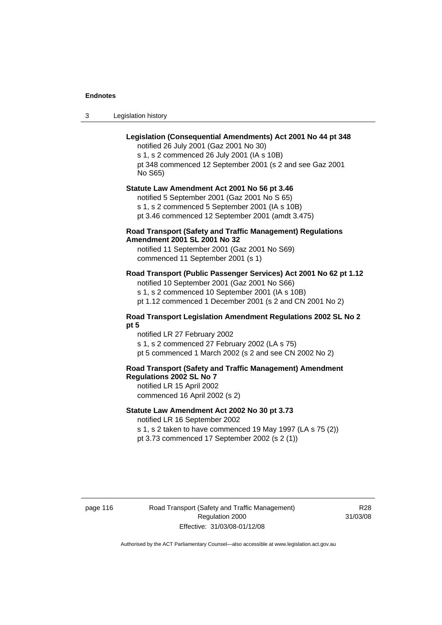3 Legislation history

# **Legislation (Consequential Amendments) Act 2001 No 44 pt 348**

notified 26 July 2001 (Gaz 2001 No 30) s 1, s 2 commenced 26 July 2001 (IA s 10B) pt 348 commenced 12 September 2001 (s 2 and see Gaz 2001 No S65)

# **Statute Law Amendment Act 2001 No 56 pt 3.46**

notified 5 September 2001 (Gaz 2001 No S 65) s 1, s 2 commenced 5 September 2001 (IA s 10B) pt 3.46 commenced 12 September 2001 (amdt 3.475)

# **Road Transport (Safety and Traffic Management) Regulations Amendment 2001 SL 2001 No 32**

notified 11 September 2001 (Gaz 2001 No S69) commenced 11 September 2001 (s 1)

# **Road Transport (Public Passenger Services) Act 2001 No 62 pt 1.12**

notified 10 September 2001 (Gaz 2001 No S66) s 1, s 2 commenced 10 September 2001 (IA s 10B)

pt 1.12 commenced 1 December 2001 (s 2 and CN 2001 No 2)

### **Road Transport Legislation Amendment Regulations 2002 SL No 2 pt 5**

notified LR 27 February 2002 s 1, s 2 commenced 27 February 2002 (LA s 75) pt 5 commenced 1 March 2002 (s 2 and see CN 2002 No 2)

# **Road Transport (Safety and Traffic Management) Amendment Regulations 2002 SL No 7**

notified LR 15 April 2002 commenced 16 April 2002 (s 2)

#### **Statute Law Amendment Act 2002 No 30 pt 3.73**

notified LR 16 September 2002

s 1, s 2 taken to have commenced 19 May 1997 (LA s 75 (2)) pt 3.73 commenced 17 September 2002 (s 2 (1))

page 116 Road Transport (Safety and Traffic Management) Regulation 2000 Effective: 31/03/08-01/12/08

R<sub>28</sub> 31/03/08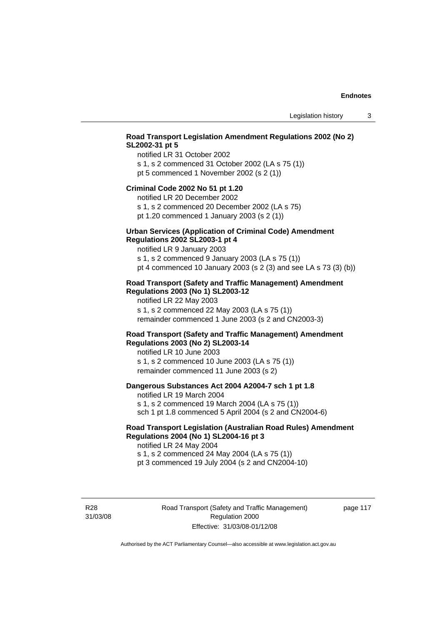# **Road Transport Legislation Amendment Regulations 2002 (No 2) SL2002-31 pt 5**

notified LR 31 October 2002 s 1, s 2 commenced 31 October 2002 (LA s 75 (1)) pt 5 commenced 1 November 2002 (s 2 (1))

#### **Criminal Code 2002 No 51 pt 1.20**

notified LR 20 December 2002

s 1, s 2 commenced 20 December 2002 (LA s 75) pt 1.20 commenced 1 January 2003 (s 2 (1))

# **Urban Services (Application of Criminal Code) Amendment**

#### **Regulations 2002 SL2003-1 pt 4**

notified LR 9 January 2003 s 1, s 2 commenced 9 January 2003 (LA s 75 (1))

pt 4 commenced 10 January 2003 (s 2 (3) and see LA s 73 (3) (b))

# **Road Transport (Safety and Traffic Management) Amendment Regulations 2003 (No 1) SL2003-12**

notified LR 22 May 2003 s 1, s 2 commenced 22 May 2003 (LA s 75 (1)) remainder commenced 1 June 2003 (s 2 and CN2003-3)

### **Road Transport (Safety and Traffic Management) Amendment Regulations 2003 (No 2) SL2003-14**

notified LR 10 June 2003 s 1, s 2 commenced 10 June 2003 (LA s 75 (1)) remainder commenced 11 June 2003 (s 2)

### **Dangerous Substances Act 2004 A2004-7 sch 1 pt 1.8**

notified LR 19 March 2004 s 1, s 2 commenced 19 March 2004 (LA s 75 (1)) sch 1 pt 1.8 commenced 5 April 2004 (s 2 and CN2004-6)

# **Road Transport Legislation (Australian Road Rules) Amendment Regulations 2004 (No 1) SL2004-16 pt 3**

notified LR 24 May 2004 s 1, s 2 commenced 24 May 2004 (LA s 75 (1)) pt 3 commenced 19 July 2004 (s 2 and CN2004-10)

R28 31/03/08 Road Transport (Safety and Traffic Management) Regulation 2000 Effective: 31/03/08-01/12/08

page 117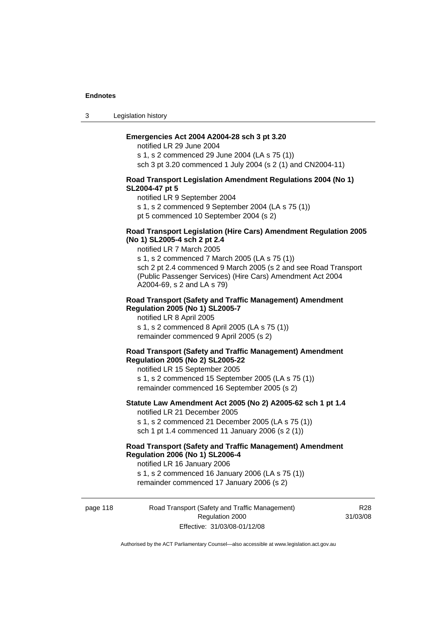3 Legislation history

### **Emergencies Act 2004 A2004-28 sch 3 pt 3.20**

notified LR 29 June 2004 s 1, s 2 commenced 29 June 2004 (LA s 75 (1)) sch 3 pt 3.20 commenced 1 July 2004 (s 2 (1) and CN2004-11)

#### **Road Transport Legislation Amendment Regulations 2004 (No 1) SL2004-47 pt 5**

notified LR 9 September 2004

s 1, s 2 commenced 9 September 2004 (LA s 75 (1))

pt 5 commenced 10 September 2004 (s 2)

### **Road Transport Legislation (Hire Cars) Amendment Regulation 2005 (No 1) SL2005-4 sch 2 pt 2.4**

notified LR 7 March 2005

s 1, s 2 commenced 7 March 2005 (LA s 75 (1)) sch 2 pt 2.4 commenced 9 March 2005 (s 2 and see Road Transport (Public Passenger Services) (Hire Cars) Amendment Act 2004 A2004-69, s 2 and LA s 79)

#### **Road Transport (Safety and Traffic Management) Amendment Regulation 2005 (No 1) SL2005-7**

notified LR 8 April 2005 s 1, s 2 commenced 8 April 2005 (LA s 75 (1)) remainder commenced 9 April 2005 (s 2)

#### **Road Transport (Safety and Traffic Management) Amendment Regulation 2005 (No 2) SL2005-22**

notified LR 15 September 2005 s 1, s 2 commenced 15 September 2005 (LA s 75 (1)) remainder commenced 16 September 2005 (s 2)

### **Statute Law Amendment Act 2005 (No 2) A2005-62 sch 1 pt 1.4**  notified LR 21 December 2005

s 1, s 2 commenced 21 December 2005 (LA s 75 (1)) sch 1 pt 1.4 commenced 11 January 2006 (s 2 (1))

# **Road Transport (Safety and Traffic Management) Amendment Regulation 2006 (No 1) SL2006-4**

notified LR 16 January 2006 s 1, s 2 commenced 16 January 2006 (LA s 75 (1)) remainder commenced 17 January 2006 (s 2)

page 118 Road Transport (Safety and Traffic Management) Regulation 2000 Effective: 31/03/08-01/12/08

R<sub>28</sub> 31/03/08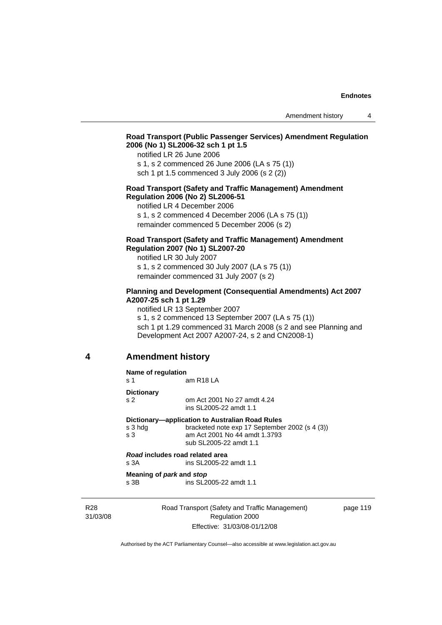# **Road Transport (Public Passenger Services) Amendment Regulation 2006 (No 1) SL2006-32 sch 1 pt 1.5**

notified LR 26 June 2006

s 1, s 2 commenced 26 June 2006 (LA s 75 (1)) sch 1 pt 1.5 commenced 3 July 2006 (s 2 (2))

#### **Road Transport (Safety and Traffic Management) Amendment Regulation 2006 (No 2) SL2006-51**

notified LR 4 December 2006

s 1, s 2 commenced 4 December 2006 (LA s 75 (1)) remainder commenced 5 December 2006 (s 2)

# **Road Transport (Safety and Traffic Management) Amendment Regulation 2007 (No 1) SL2007-20**

notified LR 30 July 2007 s 1, s 2 commenced 30 July 2007 (LA s 75 (1)) remainder commenced 31 July 2007 (s 2)

# **Planning and Development (Consequential Amendments) Act 2007 A2007-25 sch 1 pt 1.29**

notified LR 13 September 2007

s 1, s 2 commenced 13 September 2007 (LA s 75 (1)) sch 1 pt 1.29 commenced 31 March 2008 (s 2 and see Planning and Development Act 2007 A2007-24, s 2 and CN2008-1)

### **4 Amendment history**

| Name of regulation<br>s 1 | am R18 LA                                                                                                 |
|---------------------------|-----------------------------------------------------------------------------------------------------------|
| <b>Dictionary</b>         |                                                                                                           |
| S <sub>2</sub>            | om Act 2001 No 27 amdt 4.24<br>ins SL2005-22 amdt 1.1                                                     |
|                           | Dictionary—application to Australian Road Rules                                                           |
| s 3 hda<br>s 3            | bracketed note exp 17 September 2002 (s 4 (3))<br>am Act 2001 No 44 amdt 1.3793<br>sub SL2005-22 amdt 1.1 |
|                           | Road includes road related area                                                                           |
| s 3A                      | ins SL2005-22 amdt 1.1                                                                                    |
|                           | Meaning of park and stop                                                                                  |
| s 3B                      | ins SL2005-22 amdt 1.1                                                                                    |
|                           |                                                                                                           |
|                           | Road Transport (Safety and Traffic Management)                                                            |

R28 31/03/08

Road Transport (Safety and Traffic Management) Regulation 2000 Effective: 31/03/08-01/12/08

page 119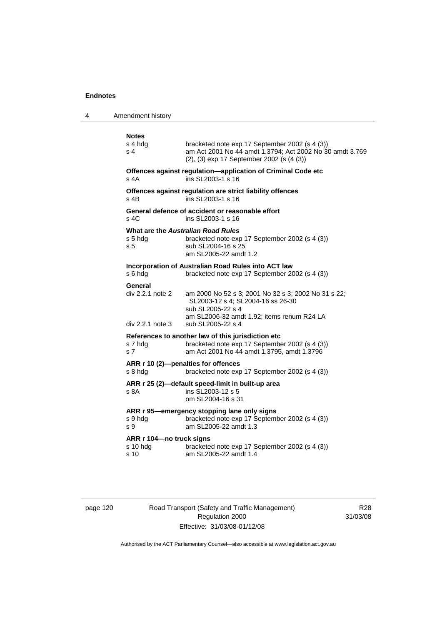4

| Amendment history                                               |                                                                                                                                                                                  |
|-----------------------------------------------------------------|----------------------------------------------------------------------------------------------------------------------------------------------------------------------------------|
| <b>Notes</b><br>s 4 hda<br>s 4                                  | bracketed note exp 17 September 2002 (s 4 (3))<br>am Act 2001 No 44 amdt 1.3794; Act 2002 No 30 amdt 3.769<br>(2), (3) exp 17 September 2002 (s (4 (3))                          |
| s 4A                                                            | Offences against regulation-application of Criminal Code etc<br>ins SL2003-1 s 16                                                                                                |
| $s$ 4B                                                          | Offences against regulation are strict liability offences<br>ins SL2003-1 s 16                                                                                                   |
| s 4C                                                            | General defence of accident or reasonable effort<br>ins SL2003-1 s 16                                                                                                            |
| What are the Australian Road Rules<br>s 5 hdg<br>s <sub>5</sub> | bracketed note exp 17 September 2002 (s 4 (3))<br>sub SL2004-16 s 25<br>am SL2005-22 amdt 1.2                                                                                    |
| s 6 hda                                                         | Incorporation of Australian Road Rules into ACT law<br>bracketed note exp 17 September 2002 (s 4 (3))                                                                            |
| General<br>div 2.2.1 note 2<br>div 2.2.1 note 3                 | am 2000 No 52 s 3; 2001 No 32 s 3; 2002 No 31 s 22;<br>SL2003-12 s 4; SL2004-16 ss 26-30<br>sub SL2005-22 s 4<br>am SL2006-32 amdt 1.92; items renum R24 LA<br>sub SL2005-22 s 4 |
| s 7 hdg<br>s 7                                                  | References to another law of this jurisdiction etc<br>bracketed note exp 17 September 2002 (s 4 (3))<br>am Act 2001 No 44 amdt 1.3795, amdt 1.3796                               |
| s 8 hda                                                         | ARR r 10 (2)-penalties for offences<br>bracketed note exp 17 September 2002 (s 4 (3))                                                                                            |
| s 8A                                                            | ARR r 25 (2)-default speed-limit in built-up area<br>ins SL2003-12 s 5<br>om SL2004-16 s 31                                                                                      |
| s 9 hdg<br>s 9                                                  | ARR r 95—emergency stopping lane only signs<br>bracketed note exp 17 September 2002 (s 4 (3))<br>am SL2005-22 amdt 1.3                                                           |
| ARR r 104—no truck signs<br>s 10 hdg<br>s 10                    | bracketed note exp 17 September 2002 (s 4 (3))<br>am SL2005-22 amdt 1.4                                                                                                          |
|                                                                 |                                                                                                                                                                                  |

page 120 Road Transport (Safety and Traffic Management) Regulation 2000 Effective: 31/03/08-01/12/08

R28 31/03/08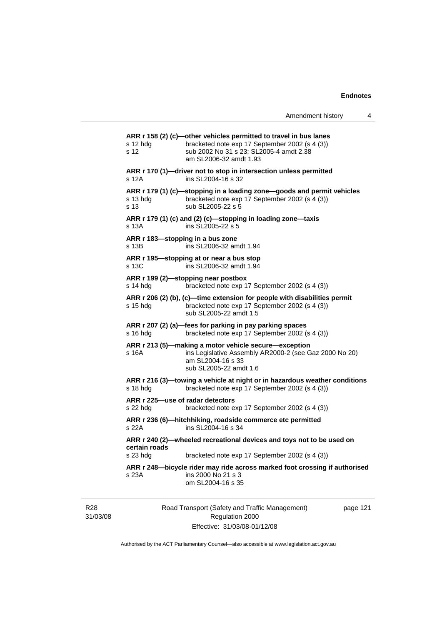|                                              | Amendment history                                                                                                                                                                        | 4 |
|----------------------------------------------|------------------------------------------------------------------------------------------------------------------------------------------------------------------------------------------|---|
| s 12 hda<br>s 12                             | ARR r 158 (2) (c)-other vehicles permitted to travel in bus lanes<br>bracketed note exp 17 September 2002 (s 4 (3))<br>sub 2002 No 31 s 23; SL2005-4 amdt 2.38<br>am SL2006-32 amdt 1.93 |   |
| s 12A                                        | ARR r 170 (1)—driver not to stop in intersection unless permitted<br>ins SL2004-16 s 32                                                                                                  |   |
| s 13 hdg<br>s 13                             | ARR r 179 (1) (c)-stopping in a loading zone-goods and permit vehicles<br>bracketed note exp 17 September 2002 (s 4 (3))<br>sub SL2005-22 s 5                                            |   |
| s 13A                                        | ARR r 179 (1) (c) and (2) (c)-stopping in loading zone-taxis<br>ins SL2005-22 s 5                                                                                                        |   |
| s 13B                                        | ARR r 183-stopping in a bus zone<br>ins SL2006-32 amdt 1.94                                                                                                                              |   |
| s 13C                                        | ARR r 195—stopping at or near a bus stop<br>ins SL2006-32 amdt 1.94                                                                                                                      |   |
| s 14 hdg                                     | ARR r 199 (2)-stopping near postbox<br>bracketed note exp 17 September 2002 (s 4 (3))                                                                                                    |   |
| s 15 hda                                     | ARR r 206 (2) (b), (c)—time extension for people with disabilities permit<br>bracketed note exp 17 September 2002 (s 4 (3))<br>sub SL2005-22 amdt 1.5                                    |   |
| $s$ 16 hdg                                   | ARR r 207 (2) (a)-fees for parking in pay parking spaces<br>bracketed note exp 17 September 2002 (s 4 (3))                                                                               |   |
| s 16A                                        | ARR r 213 (5)—making a motor vehicle secure—exception<br>ins Legislative Assembly AR2000-2 (see Gaz 2000 No 20)<br>am SL2004-16 s 33<br>sub SL2005-22 amdt 1.6                           |   |
| s 18 hdg                                     | ARR r 216 (3)—towing a vehicle at night or in hazardous weather conditions<br>bracketed note exp 17 September 2002 (s 4 (3))                                                             |   |
| ARR r 225—use of radar detectors<br>s 22 hdg | bracketed note exp 17 September 2002 (s 4 (3))                                                                                                                                           |   |
| s 22A                                        | ARR r 236 (6)-hitchhiking, roadside commerce etc permitted<br>ins SL2004-16 s 34                                                                                                         |   |
| certain roads<br>s 23 hdg                    | ARR r 240 (2)-wheeled recreational devices and toys not to be used on<br>bracketed note exp 17 September 2002 (s 4 (3))                                                                  |   |
| s 23A                                        | ARR r 248—bicycle rider may ride across marked foot crossing if authorised<br>ins 2000 No 21 s 3<br>om SL2004-16 s 35                                                                    |   |
|                                              |                                                                                                                                                                                          |   |

R28 31/03/08 Road Transport (Safety and Traffic Management) Regulation 2000 Effective: 31/03/08-01/12/08

page 121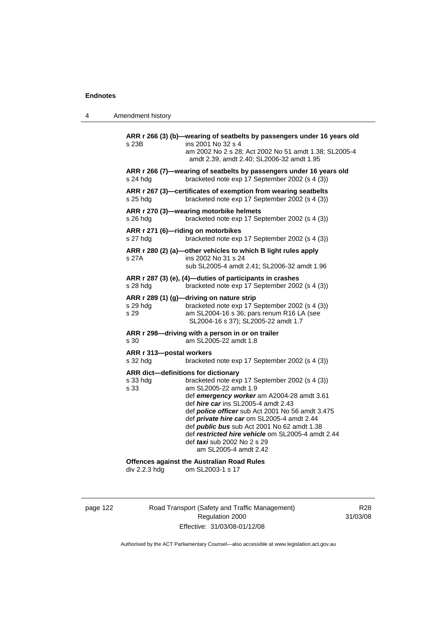| 4 | Amendment history |
|---|-------------------|
|---|-------------------|

| s 23B                                                   | ARR r 266 (3) (b)—wearing of seatbelts by passengers under 16 years old<br>ins 2001 No 32 s 4<br>am 2002 No 2 s 28; Act 2002 No 51 amdt 1.38; SL2005-4<br>amdt 2.39, amdt 2.40; SL2006-32 amdt 1.95                                                                                                                                                                                                                                                    |
|---------------------------------------------------------|--------------------------------------------------------------------------------------------------------------------------------------------------------------------------------------------------------------------------------------------------------------------------------------------------------------------------------------------------------------------------------------------------------------------------------------------------------|
| s 24 hdg                                                | ARR r 266 (7)—wearing of seatbelts by passengers under 16 years old<br>bracketed note exp 17 September 2002 (s 4 (3))                                                                                                                                                                                                                                                                                                                                  |
| s 25 hdg                                                | ARR r 267 (3)-certificates of exemption from wearing seatbelts<br>bracketed note exp 17 September 2002 (s 4 (3))                                                                                                                                                                                                                                                                                                                                       |
| s 26 hdg                                                | ARR r 270 (3)-wearing motorbike helmets<br>bracketed note exp 17 September 2002 (s 4 (3))                                                                                                                                                                                                                                                                                                                                                              |
| s 27 hda                                                | ARR r 271 (6)-riding on motorbikes<br>bracketed note exp 17 September 2002 (s 4 (3))                                                                                                                                                                                                                                                                                                                                                                   |
| s 27A                                                   | ARR r 280 (2) (a)-other vehicles to which B light rules apply<br>ins 2002 No 31 s 24<br>sub SL2005-4 amdt 2.41; SL2006-32 amdt 1.96                                                                                                                                                                                                                                                                                                                    |
| s 28 hdg                                                | ARR r 287 (3) (e), (4)-duties of participants in crashes<br>bracketed note exp 17 September 2002 (s 4 (3))                                                                                                                                                                                                                                                                                                                                             |
| s 29 hdg<br>s 29                                        | ARR r 289 (1) (g)-driving on nature strip<br>bracketed note exp 17 September 2002 (s 4 (3))<br>am SL2004-16 s 36; pars renum R16 LA (see<br>SL2004-16 s 37); SL2005-22 amdt 1.7                                                                                                                                                                                                                                                                        |
| s 30                                                    | ARR r 298-driving with a person in or on trailer<br>am SL2005-22 amdt 1.8                                                                                                                                                                                                                                                                                                                                                                              |
| ARR r 313-postal workers<br>s 32 hdg                    | bracketed note exp 17 September 2002 (s 4 (3))                                                                                                                                                                                                                                                                                                                                                                                                         |
| ARR dict-definitions for dictionary<br>s 33 hdg<br>s 33 | bracketed note exp 17 September 2002 (s 4 (3))<br>am SL2005-22 amdt 1.9<br>def emergency worker am A2004-28 amdt 3.61<br>def <i>hire car</i> ins SL2005-4 amdt 2.43<br>def <i>police officer</i> sub Act 2001 No 56 amdt 3.475<br>def private hire car om SL2005-4 amdt 2.44<br>def <i>public bus</i> sub Act 2001 No 62 amdt 1.38<br>def restricted hire vehicle om SL2005-4 amdt 2.44<br>def <i>taxi</i> sub 2002 No 2 s 29<br>am SL2005-4 amdt 2.42 |
| div 2.2.3 hdg                                           | <b>Offences against the Australian Road Rules</b><br>om SL2003-1 s 17                                                                                                                                                                                                                                                                                                                                                                                  |

page 122 Road Transport (Safety and Traffic Management) Regulation 2000 Effective: 31/03/08-01/12/08

R28 31/03/08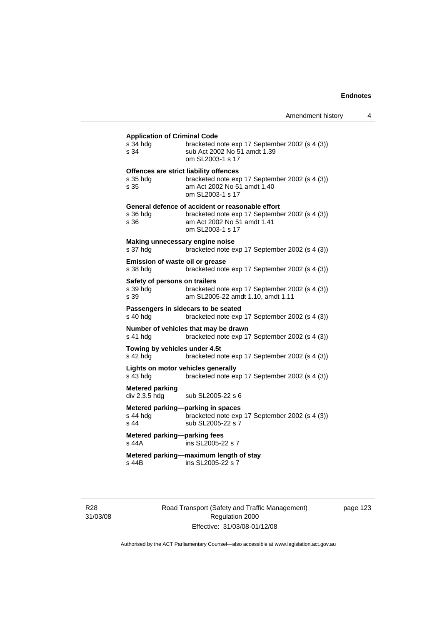# **Application of Criminal Code**

| <b>Application of Orminial Ocuc</b><br>s 34 hdg<br>s 34 | bracketed note exp 17 September 2002 (s 4 (3))<br>sub Act 2002 No 51 amdt 1.39<br>om SL2003-1 s 17                                                    |
|---------------------------------------------------------|-------------------------------------------------------------------------------------------------------------------------------------------------------|
| s 35 hdg<br>s 35                                        | Offences are strict liability offences<br>bracketed note exp 17 September 2002 (s 4 (3))<br>am Act 2002 No 51 amdt 1.40<br>om SL2003-1 s 17           |
| s 36 hdg<br>s 36                                        | General defence of accident or reasonable effort<br>bracketed note exp 17 September 2002 (s 4 (3))<br>am Act 2002 No 51 amdt 1.41<br>om SL2003-1 s 17 |
| Making unnecessary engine noise<br>s 37 hdg             | bracketed note exp 17 September 2002 (s 4 (3))                                                                                                        |
| Emission of waste oil or grease<br>s 38 hdg             | bracketed note exp 17 September 2002 (s 4 (3))                                                                                                        |
| Safety of persons on trailers<br>s 39 hdg<br>s 39       | bracketed note exp 17 September 2002 (s 4 (3))<br>am SL2005-22 amdt 1.10, amdt 1.11                                                                   |
| s 40 hdg                                                | Passengers in sidecars to be seated<br>bracketed note exp 17 September 2002 (s 4 (3))                                                                 |
| s 41 hdg                                                | Number of vehicles that may be drawn<br>bracketed note exp 17 September 2002 (s 4 (3))                                                                |
| Towing by vehicles under 4.5t<br>s 42 hdg               | bracketed note exp 17 September 2002 (s 4 (3))                                                                                                        |
| Lights on motor vehicles generally<br>s 43 hdg          | bracketed note exp 17 September 2002 (s 4 (3))                                                                                                        |
| <b>Metered parking</b><br>div 2.3.5 hdg                 | sub SL2005-22 s 6                                                                                                                                     |
| s 44 hdg<br>s 44                                        | Metered parking-parking in spaces<br>bracketed note exp 17 September 2002 (s 4 (3))<br>sub SL2005-22 s 7                                              |
| Metered parking-parking fees<br>s 44A                   | ins SL2005-22 s 7                                                                                                                                     |
| s 44B                                                   | Metered parking-maximum length of stay<br>ins SL2005-22 s 7                                                                                           |

R28 31/03/08 Road Transport (Safety and Traffic Management) Regulation 2000 Effective: 31/03/08-01/12/08

page 123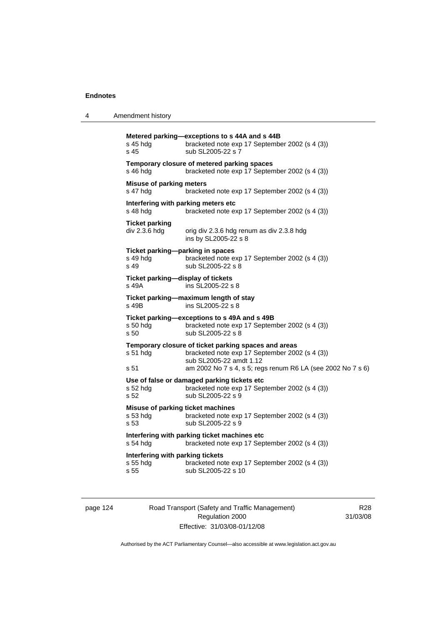| 4 | Amendment history |
|---|-------------------|
|   |                   |

| s 45 hda<br>s 45                                      | Metered parking-exceptions to s 44A and s 44B<br>bracketed note exp 17 September 2002 (s 4 (3))<br>sub SL2005-22 s 7                                                                             |
|-------------------------------------------------------|--------------------------------------------------------------------------------------------------------------------------------------------------------------------------------------------------|
| s 46 hdg                                              | Temporary closure of metered parking spaces<br>bracketed note exp 17 September 2002 (s 4 (3))                                                                                                    |
| <b>Misuse of parking meters</b><br>s 47 hdg           | bracketed note exp 17 September 2002 (s 4 (3))                                                                                                                                                   |
| Interfering with parking meters etc<br>s 48 hdg       | bracketed note exp 17 September 2002 (s 4 (3))                                                                                                                                                   |
| <b>Ticket parking</b><br>div 2.3.6 hdg                | orig div 2.3.6 hdg renum as div 2.3.8 hdg<br>ins by SL2005-22 s 8                                                                                                                                |
| Ticket parking-parking in spaces<br>s 49 hdg<br>s 49  | bracketed note exp 17 September 2002 (s 4 (3))<br>sub SL2005-22 s 8                                                                                                                              |
| Ticket parking-display of tickets<br>s 49A            | ins SL2005-22 s 8                                                                                                                                                                                |
| s 49B                                                 | Ticket parking-maximum length of stay<br>ins SL2005-22 s 8                                                                                                                                       |
| s 50 hdg<br>s <sub>50</sub>                           | Ticket parking-exceptions to s 49A and s 49B<br>bracketed note exp 17 September 2002 (s 4 (3))<br>sub SL2005-22 s 8                                                                              |
| s 51 hdg<br>s 51                                      | Temporary closure of ticket parking spaces and areas<br>bracketed note exp 17 September 2002 (s 4 (3))<br>sub SL2005-22 amdt 1.12<br>am 2002 No 7 s 4, s 5; regs renum R6 LA (see 2002 No 7 s 6) |
| s 52 hdg<br>s 52                                      | Use of false or damaged parking tickets etc<br>bracketed note exp 17 September 2002 (s 4 (3))<br>sub SL2005-22 s 9                                                                               |
| Misuse of parking ticket machines<br>s 53 hdg<br>s 53 | bracketed note exp 17 September 2002 (s 4 (3))<br>sub SL2005-22 s 9                                                                                                                              |
| $s$ 54 hdg                                            | Interfering with parking ticket machines etc<br>bracketed note exp 17 September 2002 (s 4 (3))                                                                                                   |
| Interfering with parking tickets<br>s 55 hdg<br>s 55  | bracketed note exp 17 September 2002 (s 4 (3))<br>sub SL2005-22 s 10                                                                                                                             |

page 124 Road Transport (Safety and Traffic Management) Regulation 2000 Effective: 31/03/08-01/12/08

R28 31/03/08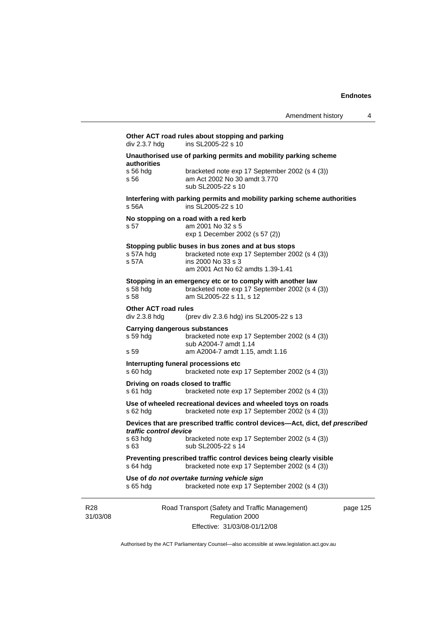# 31/03/08 Road Transport (Safety and Traffic Management) Regulation 2000 Effective: 31/03/08-01/12/08 page 125 **Other ACT road rules about stopping and parking**   $div 2.3.7$  hdg ins SL2005-22 s 10 **Unauthorised use of parking permits and mobility parking scheme authorities**  s 56 hdg bracketed note exp 17 September 2002 (s 4 (3)) s 56 am Act 2002 No 30 amdt 3.770 sub SL2005-22 s 10 **Interfering with parking permits and mobility parking scheme authorities**  s 56A ins SL2005-22 s 10 **No stopping on a road with a red kerb**  s 57 am 2001 No 32 s 5 exp 1 December 2002 (s 57 (2)) **Stopping public buses in bus zones and at bus stops**  s 57A hdg bracketed note exp 17 September 2002 (s 4 (3)) s 57A ins 2000 No 33 s 3 am 2001 Act No 62 amdts 1.39-1.41 **Stopping in an emergency etc or to comply with another law**  s 58 hdg bracketed note exp 17 September 2002 (s 4 (3))<br>s 58 **bracketed note 52 s** 11, s 12 am SL2005-22 s 11, s 12 **Other ACT road rules**  div 2.3.8 hdg (prev div 2.3.6 hdg) ins SL2005-22 s 13 **Carrying dangerous substances**  s 59 hdg bracketed note exp 17 September 2002 (s 4 (3)) sub A2004-7 amdt 1.14 s 59 am A2004-7 amdt 1.15, amdt 1.16 **Interrupting funeral processions etc**  s 60 hdg bracketed note exp 17 September 2002 (s 4 (3)) **Driving on roads closed to traffic**  s 61 hdg bracketed note exp 17 September 2002 (s 4 (3)) **Use of wheeled recreational devices and wheeled toys on roads**  s 62 hdg bracketed note exp 17 September 2002 (s 4 (3)) **Devices that are prescribed traffic control devices—Act, dict, def** *prescribed traffic control device* bracketed note exp 17 September 2002 (s 4 (3)) s 63 sub SL2005-22 s 14 **Preventing prescribed traffic control devices being clearly visible**  s 64 hdg bracketed note exp 17 September 2002 (s 4 (3)) **Use of** *do not overtake turning vehicle sign*  s 65 hdg bracketed note exp 17 September 2002 (s 4 (3))

Authorised by the ACT Parliamentary Counsel—also accessible at www.legislation.act.gov.au

R28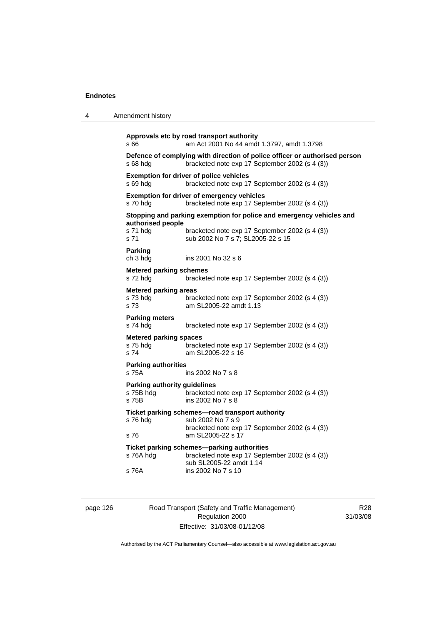| 4 | Amendment history                                         |                                                                                                                                                             |
|---|-----------------------------------------------------------|-------------------------------------------------------------------------------------------------------------------------------------------------------------|
|   | s 66                                                      | Approvals etc by road transport authority<br>am Act 2001 No 44 amdt 1.3797, amdt 1.3798                                                                     |
|   | s 68 hdg                                                  | Defence of complying with direction of police officer or authorised person<br>bracketed note exp 17 September 2002 (s 4 (3))                                |
|   | s 69 hdg                                                  | <b>Exemption for driver of police vehicles</b><br>bracketed note exp 17 September 2002 (s 4 (3))                                                            |
|   | s 70 hdg                                                  | <b>Exemption for driver of emergency vehicles</b><br>bracketed note exp 17 September 2002 (s 4 (3))                                                         |
|   | authorised people<br>s 71 hdg<br>s 71                     | Stopping and parking exemption for police and emergency vehicles and<br>bracketed note exp 17 September 2002 (s 4 (3))<br>sub 2002 No 7 s 7; SL2005-22 s 15 |
|   | <b>Parking</b><br>ch 3 hdg                                | ins 2001 No 32 s 6                                                                                                                                          |
|   | <b>Metered parking schemes</b><br>s 72 hdg                | bracketed note exp 17 September 2002 (s 4 (3))                                                                                                              |
|   | <b>Metered parking areas</b><br>s 73 hda<br>s 73          | bracketed note exp 17 September 2002 (s 4 (3))<br>am SL2005-22 amdt 1.13                                                                                    |
|   | <b>Parking meters</b><br>s 74 hdg                         | bracketed note exp 17 September 2002 (s 4 (3))                                                                                                              |
|   | <b>Metered parking spaces</b><br>s 75 hdg<br>s 74         | bracketed note exp 17 September 2002 (s 4 (3))<br>am SL2005-22 s 16                                                                                         |
|   | <b>Parking authorities</b><br>s 75A                       | ins 2002 No 7 s 8                                                                                                                                           |
|   | <b>Parking authority guidelines</b><br>s 75B hdg<br>s 75B | bracketed note exp 17 September 2002 (s 4 (3))<br>ins 2002 No 7 s 8                                                                                         |
|   | s 76 hdg                                                  | Ticket parking schemes—road transport authority<br>sub 2002 No 7 s 9<br>bracketed note exp 17 September 2002 (s 4 (3))                                      |
|   | s 76                                                      | am SL2005-22 s 17                                                                                                                                           |
|   | s 76A hdg                                                 | Ticket parking schemes-parking authorities<br>bracketed note exp 17 September 2002 (s 4 (3))<br>sub SL2005-22 amdt 1.14                                     |
|   | s 76A                                                     | ins 2002 No 7 s 10                                                                                                                                          |

page 126 Road Transport (Safety and Traffic Management) Regulation 2000 Effective: 31/03/08-01/12/08

R28 31/03/08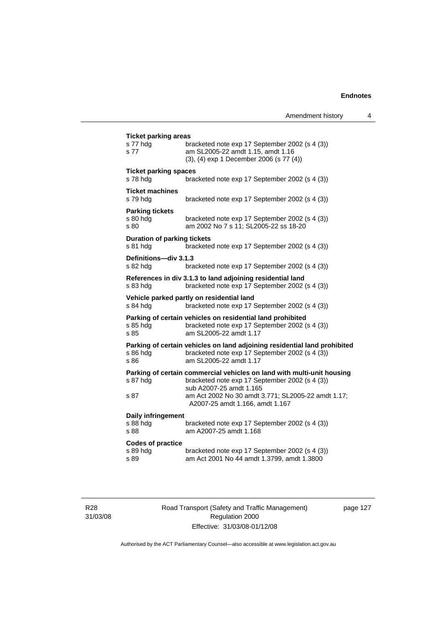| <b>Ticket parking areas</b><br>s 77 hdg<br>s 77      | bracketed note exp 17 September 2002 (s 4 (3))<br>am SL2005-22 amdt 1.15, amdt 1.16<br>(3), (4) exp 1 December 2006 (s 77 (4))                                                                            |
|------------------------------------------------------|-----------------------------------------------------------------------------------------------------------------------------------------------------------------------------------------------------------|
| <b>Ticket parking spaces</b><br>s 78 hda             | bracketed note exp 17 September 2002 (s 4 (3))                                                                                                                                                            |
| <b>Ticket machines</b><br>s 79 hdg                   | bracketed note exp 17 September 2002 (s 4 (3))                                                                                                                                                            |
| <b>Parking tickets</b><br>s 80 hdg<br>s 80           | bracketed note exp 17 September 2002 (s 4 (3))<br>am 2002 No 7 s 11; SL2005-22 ss 18-20                                                                                                                   |
| <b>Duration of parking tickets</b><br>s 81 hdg       | bracketed note exp 17 September 2002 (s 4 (3))                                                                                                                                                            |
| Definitions-div 3.1.3<br>s 82 hdg                    | bracketed note exp 17 September 2002 (s 4 (3))                                                                                                                                                            |
| s 83 hdg                                             | References in div 3.1.3 to land adjoining residential land<br>bracketed note exp 17 September 2002 (s 4 (3))                                                                                              |
| s 84 hdg                                             | Vehicle parked partly on residential land<br>bracketed note exp 17 September 2002 (s 4 (3))                                                                                                               |
| s 85 hda<br>s 85                                     | Parking of certain vehicles on residential land prohibited<br>bracketed note exp 17 September 2002 (s 4 (3))<br>am SL2005-22 amdt 1.17                                                                    |
| s 86 hdg<br>s 86                                     | Parking of certain vehicles on land adjoining residential land prohibited<br>bracketed note exp 17 September 2002 (s 4 (3))<br>am SL2005-22 amdt 1.17                                                     |
| s 87 hdg<br>s 87                                     | Parking of certain commercial vehicles on land with multi-unit housing<br>bracketed note exp 17 September 2002 (s 4 (3))<br>sub A2007-25 amdt 1.165<br>am Act 2002 No 30 amdt 3.771; SL2005-22 amdt 1.17; |
| Daily infringement<br>s 88 hdg                       | A2007-25 amdt 1.166, amdt 1.167<br>bracketed note exp 17 September 2002 (s 4 (3))                                                                                                                         |
| s 88<br><b>Codes of practice</b><br>s 89 hdg<br>s 89 | am A2007-25 amdt 1.168<br>bracketed note exp 17 September 2002 (s 4 (3))<br>am Act 2001 No 44 amdt 1.3799, amdt 1.3800                                                                                    |
|                                                      |                                                                                                                                                                                                           |

R28 31/03/08 Road Transport (Safety and Traffic Management) Regulation 2000 Effective: 31/03/08-01/12/08

page 127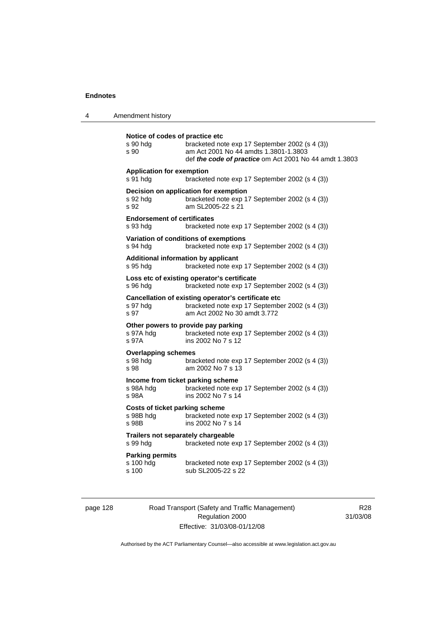4 Amendment history

| s 90                                                        | bracketed note exp 17 September 2002 (s 4 (3))<br>am Act 2001 No 44 amdts 1.3801-1.3803<br>def the code of practice om Act 2001 No 44 amdt 1.3803 |
|-------------------------------------------------------------|---------------------------------------------------------------------------------------------------------------------------------------------------|
| <b>Application for exemption</b><br>s 91 hdg                | bracketed note exp 17 September 2002 (s 4 (3))                                                                                                    |
| s 92 hda<br>s 92                                            | Decision on application for exemption<br>bracketed note exp 17 September 2002 (s 4 (3))<br>am SL2005-22 s 21                                      |
| <b>Endorsement of certificates</b><br>s 93 hda              | bracketed note exp 17 September 2002 (s 4 (3))                                                                                                    |
| s 94 hda                                                    | Variation of conditions of exemptions<br>bracketed note exp 17 September 2002 (s 4 (3))                                                           |
| s 95 hda                                                    | Additional information by applicant<br>bracketed note exp 17 September 2002 (s 4 (3))                                                             |
| s 96 hdg                                                    | Loss etc of existing operator's certificate<br>bracketed note exp 17 September 2002 (s 4 (3))                                                     |
| s 97 hdg<br>s 97                                            | Cancellation of existing operator's certificate etc<br>bracketed note exp 17 September 2002 (s 4 (3))<br>am Act 2002 No 30 amdt 3.772             |
| s 97A hdg<br>s 97A                                          | Other powers to provide pay parking<br>bracketed note exp 17 September 2002 (s 4 (3))<br>ins 2002 No 7 s 12                                       |
| <b>Overlapping schemes</b><br>s 98 hdg<br>s 98              | bracketed note exp 17 September 2002 (s 4 (3))<br>am 2002 No 7 s 13                                                                               |
| s 98A hdg<br>s 98A                                          | Income from ticket parking scheme<br>bracketed note exp 17 September 2002 (s 4 (3))<br>ins 2002 No 7 s 14                                         |
| <b>Costs of ticket parking scheme</b><br>s 98B hdg<br>s 98B | bracketed note exp 17 September 2002 (s 4 (3))<br>ins 2002 No 7 s 14                                                                              |
| Trailers not separately chargeable<br>s 99 hdg              | bracketed note exp 17 September 2002 (s 4 (3))                                                                                                    |
| <b>Parking permits</b><br>s 100 hdg<br>s 100                | bracketed note exp 17 September 2002 (s 4 (3))<br>sub SL2005-22 s 22                                                                              |

page 128 Road Transport (Safety and Traffic Management) Regulation 2000 Effective: 31/03/08-01/12/08

R28 31/03/08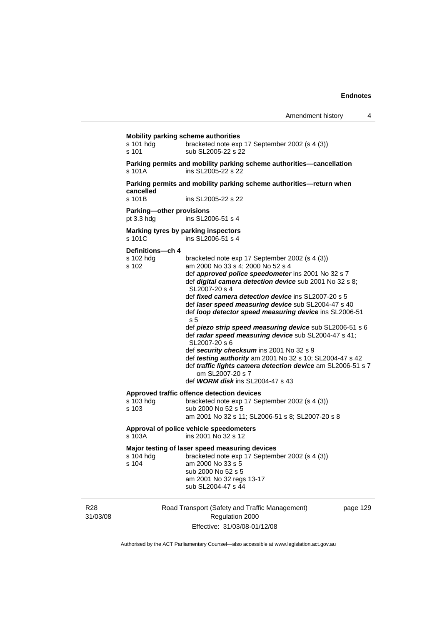#### **Mobility parking scheme authorities**

| s 101 hdg | bracketed note exp 17 September 2002 (s 4 (3)) |
|-----------|------------------------------------------------|
| s 101     | sub SL2005-22 s 22                             |

**Parking permits and mobility parking scheme authorities—cancellation**  ins SL2005-22 s 22

**Parking permits and mobility parking scheme authorities—return when cancelled** 

ins SL2005-22 s 22

#### **Parking—other provisions**

pt 3.3 hdg ins SL2006-51 s 4

**Marking tyres by parking inspectors**<br>s 101C ins SL2006-51 s 4

ins SL2006-51 s 4

#### **Definitions—ch 4**

| s 102 hdg<br>s 102 | bracketed note exp 17 September 2002 (s 4 (3))<br>am 2000 No 33 s 4; 2000 No 52 s 4 |
|--------------------|-------------------------------------------------------------------------------------|
|                    |                                                                                     |
|                    | def <b>approved police speedometer</b> ins 2001 No 32 s 7                           |
|                    | def digital camera detection device sub 2001 No 32 s 8;<br>SL2007-20 s 4            |
|                    | def fixed camera detection device ins SL2007-20 s 5                                 |
|                    | def laser speed measuring device sub SL2004-47 s 40                                 |
|                    | def loop detector speed measuring device ins SL2006-51<br>s <sub>5</sub>            |
|                    | def piezo strip speed measuring device sub SL2006-51 s 6                            |
|                    | def radar speed measuring device sub SL2004-47 s 41;                                |
|                    | SL2007-20 s 6                                                                       |
|                    | def security checksum ins 2001 No 32 s 9                                            |
|                    | def <i>testing authority</i> am 2001 No 32 s 10; SL2004-47 s 42                     |
|                    | def traffic lights camera detection device am SL2006-51 s 7                         |
|                    | om SL2007-20 s 7                                                                    |
|                    | def <b>WORM disk</b> ins $SL2004-47$ s 43                                           |
|                    | Approved traffic offence detection devices                                          |
| s 103 hda          | bracketed note exp 17 September 2002 (s 4 (3))                                      |
| s 103              | sub 2000 No 52 s 5                                                                  |
|                    | am 2001 No 32 s 11; SL2006-51 s 8; SL2007-20 s 8                                    |
|                    |                                                                                     |

**Approval of police vehicle speedometers**  ins 2001 No 32 s 12

#### **Major testing of laser speed measuring devices**

| s 104 hda | bracketed note exp 17 September 2002 (s 4 (3)) |
|-----------|------------------------------------------------|
| s 104     | am 2000 No 33 s 5                              |
|           | sub 2000 No 52 s 5                             |
|           | am 2001 No 32 regs 13-17                       |
|           | sub SL2004-47 s 44                             |

R28 31/03/08 Road Transport (Safety and Traffic Management) Regulation 2000 Effective: 31/03/08-01/12/08

page 129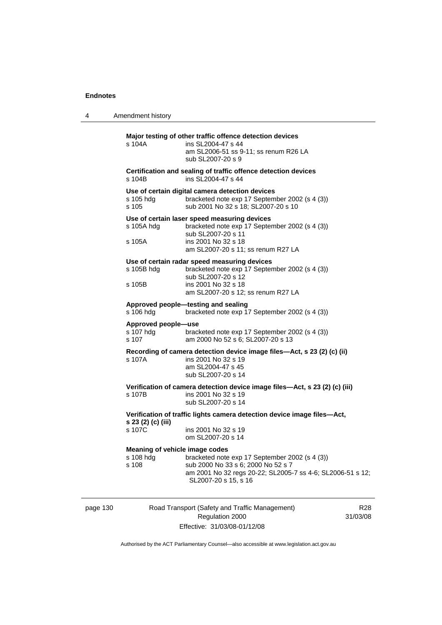4 Amendment history

| s 104A                                               | Major testing of other traffic offence detection devices<br>ins SL2004-47 s 44<br>am SL2006-51 ss 9-11; ss renum R26 LA<br>sub SL2007-20 s 9                                      |
|------------------------------------------------------|-----------------------------------------------------------------------------------------------------------------------------------------------------------------------------------|
| s 104B                                               | Certification and sealing of traffic offence detection devices<br>ins SL2004-47 s 44                                                                                              |
| s 105 hdg<br>s 105                                   | Use of certain digital camera detection devices<br>bracketed note exp 17 September 2002 (s 4 (3))<br>sub 2001 No 32 s 18; SL2007-20 s 10                                          |
| s 105A hdg<br>s 105A                                 | Use of certain laser speed measuring devices<br>bracketed note exp 17 September 2002 (s 4 (3))<br>sub SL2007-20 s 11<br>ins 2001 No 32 s 18<br>am SL2007-20 s 11; ss renum R27 LA |
| s 105B hdg<br>s 105B                                 | Use of certain radar speed measuring devices<br>bracketed note exp 17 September 2002 (s 4 (3))<br>sub SL2007-20 s 12<br>ins 2001 No 32 s 18<br>am SL2007-20 s 12; ss renum R27 LA |
| s 106 hdg                                            | Approved people-testing and sealing<br>bracketed note exp 17 September 2002 (s 4 (3))                                                                                             |
| Approved people-use<br>s 107 hdg<br>s 107            | bracketed note exp 17 September 2002 (s 4 (3))<br>am 2000 No 52 s 6; SL2007-20 s 13                                                                                               |
| s 107A                                               | Recording of camera detection device image files-Act, s 23 (2) (c) (ii)<br>ins 2001 No 32 s 19<br>am SL2004-47 s 45<br>sub SL2007-20 s 14                                         |
| s 107B                                               | Verification of camera detection device image files-Act, s 23 (2) (c) (iii)<br>ins 2001 No 32 s 19<br>sub SL2007-20 s 14                                                          |
| s 23 (2) (c) (iii)                                   | Verification of traffic lights camera detection device image files-Act,                                                                                                           |
| s 107C                                               | ins 2001 No 32 s 19<br>om SL2007-20 s 14                                                                                                                                          |
| Meaning of vehicle image codes<br>s 108 hdg<br>s 108 | bracketed note exp 17 September 2002 (s 4 (3))<br>sub 2000 No 33 s 6; 2000 No 52 s 7<br>am 2001 No 32 regs 20-22; SL2005-7 ss 4-6; SL2006-51 s 12;<br>SL2007-20 s 15, s 16        |

page 130 Road Transport (Safety and Traffic Management) Regulation 2000 Effective: 31/03/08-01/12/08

R28 31/03/08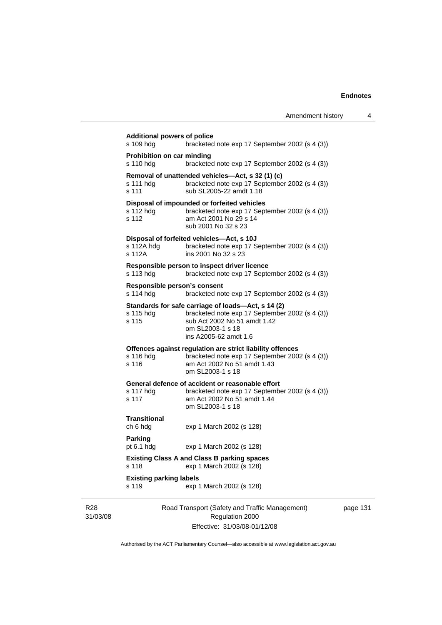|                                                 | Amendment history                                                                                                                                                                 | 4        |
|-------------------------------------------------|-----------------------------------------------------------------------------------------------------------------------------------------------------------------------------------|----------|
| <b>Additional powers of police</b><br>s 109 hdg | bracketed note exp 17 September 2002 (s 4 (3))                                                                                                                                    |          |
| <b>Prohibition on car minding</b><br>s 110 hdg  | bracketed note exp 17 September 2002 (s 4 (3))                                                                                                                                    |          |
| s 111 hdg<br>s 111                              | Removal of unattended vehicles—Act, s 32 (1) (c)<br>bracketed note exp 17 September 2002 (s 4 (3))<br>sub SL2005-22 amdt 1.18                                                     |          |
| s 112 hdg<br>s 112                              | Disposal of impounded or forfeited vehicles<br>bracketed note exp 17 September 2002 (s 4 (3))<br>am Act 2001 No 29 s 14<br>sub 2001 No 32 s 23                                    |          |
| s 112A hdg<br>s 112A                            | Disposal of forfeited vehicles—Act, s 10J<br>bracketed note exp 17 September 2002 (s 4 (3))<br>ins 2001 No 32 s 23                                                                |          |
| s 113 hdg                                       | Responsible person to inspect driver licence<br>bracketed note exp 17 September 2002 (s 4 (3))                                                                                    |          |
| Responsible person's consent<br>s 114 hdg       | bracketed note exp 17 September 2002 (s 4 (3))                                                                                                                                    |          |
| s 115 hdg<br>s 115                              | Standards for safe carriage of loads-Act, s 14 (2)<br>bracketed note exp 17 September 2002 (s 4 (3))<br>sub Act 2002 No 51 amdt 1.42<br>om SL2003-1 s 18<br>ins A2005-62 amdt 1.6 |          |
| s 116 hdg<br>s 116                              | Offences against regulation are strict liability offences<br>bracketed note exp 17 September 2002 (s 4 (3))<br>am Act 2002 No 51 amdt 1.43<br>om SL2003-1 s 18                    |          |
| s 117 hdg<br>s 117                              | General defence of accident or reasonable effort<br>bracketed note exp 17 September 2002 (s 4 (3))<br>am Act 2002 No 51 amdt 1.44<br>om SL2003-1 s 18                             |          |
| <b>Transitional</b><br>ch 6 hdg                 | exp 1 March 2002 (s 128)                                                                                                                                                          |          |
| Parking<br>pt 6.1 hdg                           | exp 1 March 2002 (s 128)                                                                                                                                                          |          |
| s 118                                           | <b>Existing Class A and Class B parking spaces</b><br>exp 1 March 2002 (s 128)                                                                                                    |          |
| <b>Existing parking labels</b><br>s 119         | exp 1 March 2002 (s 128)                                                                                                                                                          |          |
|                                                 | Road Transport (Safety and Traffic Management)<br>Regulation 2000                                                                                                                 | page 131 |

Effective: 31/03/08-01/12/08

R28 31/03/08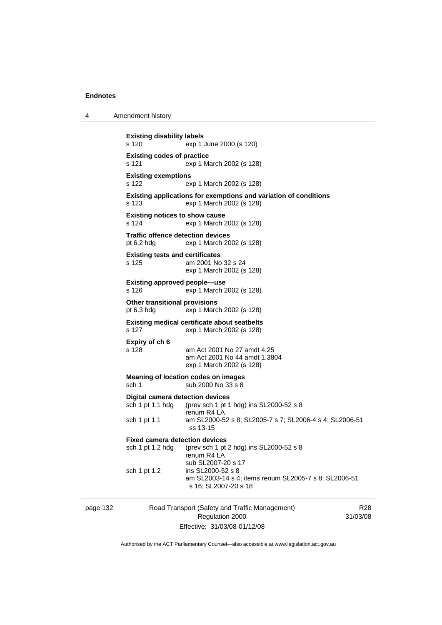4 Amendment history

page 132 Road Transport (Safety and Traffic Management) R28 **Existing disability labels**  s 120 exp 1 June 2000 (s 120) **Existing codes of practice**  s 121 exp 1 March 2002 (s 128) **Existing exemptions**  s 122 exp 1 March 2002 (s 128) **Existing applications for exemptions and variation of conditions**  s 123 exp 1 March 2002 (s 128) **Existing notices to show cause**  s 124 exp 1 March 2002 (s 128) **Traffic offence detection devices**  pt 6.2 hdg exp 1 March 2002 (s 128) **Existing tests and certificates**  s 125 am 2001 No 32 s 24 exp 1 March 2002 (s 128) **Existing approved people—use**  s 126 exp 1 March 2002 (s 128) **Other transitional provisions**  pt 6.3 hdg exp 1 March 2002 (s 128) **Existing medical certificate about seatbelts**  s 127 exp 1 March 2002 (s 128) **Expiry of ch 6**  s 128 am Act 2001 No 27 amdt 4.25 am Act 2001 No 44 amdt 1.3804 exp 1 March 2002 (s 128) **Meaning of location codes on images**  sch 1 sub 2000 No 33 s 8 **Digital camera detection devices**  sch 1 pt 1.1 hdg (prev sch 1 pt 1 hdg) ins SL2000-52 s 8 renum R4 LA sch 1 pt 1.1 am SL2000-52 s 8; SL2005-7 s 7; SL2006-4 s 4; SL2006-51 ss 13-15 **Fixed camera detection devices**  sch 1 pt 1.2 hdg (prev sch 1 pt 2 hdg) ins SL2000-52 s 8 renum R4 LA sub SL2007-20 s 17 sch 1 pt 1.2 ins SL2000-52 s 8 am SL2003-14 s 4; items renum SL2005-7 s 8; SL2006-51 s 16; SL2007-20 s 18

Regulation 2000 Effective: 31/03/08-01/12/08

31/03/08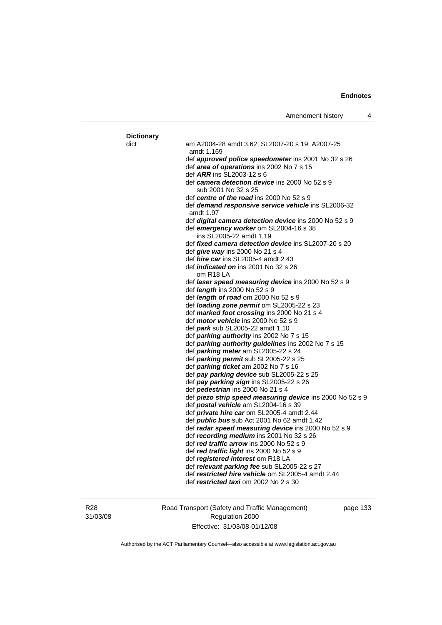| <b>Dictionary</b> |                                                                                             |
|-------------------|---------------------------------------------------------------------------------------------|
| dict              | am A2004-28 amdt 3.62; SL2007-20 s 19; A2007-25<br>amdt 1.169                               |
|                   | def approved police speedometer ins 2001 No 32 s 26                                         |
|                   | def area of operations ins 2002 No 7 s 15                                                   |
|                   | def ARR ins SL2003-12 s 6                                                                   |
|                   | def camera detection device ins 2000 No 52 s 9<br>sub 2001 No 32 s 25                       |
|                   | def centre of the road ins 2000 No 52 s 9                                                   |
|                   | def <b>demand responsive service vehicle</b> ins SL2006-32<br>amdt 1.97                     |
|                   | def <i>digital camera detection device</i> ins 2000 No 52 s 9                               |
|                   | def emergency worker om SL2004-16 s 38<br>ins SL2005-22 amdt 1.19                           |
|                   | def fixed camera detection device ins SL2007-20 s 20                                        |
|                   | def <i>give way</i> ins 2000 No 21 s 4                                                      |
|                   | def hire car ins SL2005-4 amdt 2.43                                                         |
|                   | def <i>indicated on</i> ins 2001 No 32 s 26<br>om R18 LA                                    |
|                   | def laser speed measuring device ins 2000 No 52 s 9                                         |
|                   | def <i>length</i> ins 2000 No 52 s 9                                                        |
|                   | def length of road om 2000 No 52 s 9                                                        |
|                   | def loading zone permit om SL2005-22 s 23                                                   |
|                   | def marked foot crossing ins 2000 No 21 s 4                                                 |
|                   | def <i>motor vehicle</i> ins 2000 No 52 s 9<br>def <b>park</b> sub SL2005-22 amdt 1.10      |
|                   | def parking authority ins 2002 No 7 s 15                                                    |
|                   | def parking authority guidelines ins 2002 No 7 s 15                                         |
|                   | def parking meter am SL2005-22 s 24                                                         |
|                   | def parking permit sub SL2005-22 s 25                                                       |
|                   | def parking ticket am 2002 No 7 s 16                                                        |
|                   | def pay parking device sub SL2005-22 s 25                                                   |
|                   | def pay parking sign ins SL2005-22 s 26                                                     |
|                   | def <i>pedestrian</i> ins 2000 No 21 s 4                                                    |
|                   | def piezo strip speed measuring device ins 2000 No 52 s 9                                   |
|                   | def postal vehicle am SL2004-16 s 39                                                        |
|                   | def <i>private hire car</i> om SL2005-4 amdt 2.44                                           |
|                   | def public bus sub Act 2001 No 62 amdt 1.42                                                 |
|                   | def radar speed measuring device ins 2000 No 52 s 9                                         |
|                   | def <i>recording medium</i> ins 2001 No 32 s 26                                             |
|                   | def <i>red traffic arrow</i> ins 2000 No 52 s 9<br>def red traffic light ins 2000 No 52 s 9 |
|                   | def <i>registered interest</i> om R18 LA                                                    |
|                   | def relevant parking fee sub SL2005-22 s 27                                                 |
|                   | def restricted hire vehicle om SL2005-4 amdt 2.44                                           |
|                   | def <i>restricted taxi</i> om 2002 No 2 s 30                                                |
|                   |                                                                                             |

R28 31/03/08 Road Transport (Safety and Traffic Management) Regulation 2000 Effective: 31/03/08-01/12/08

page 133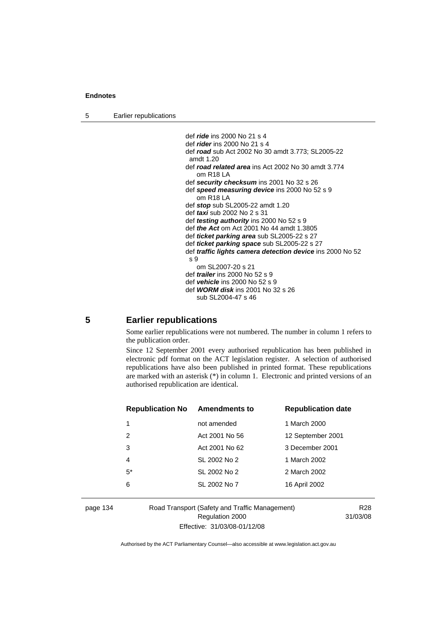5 Earlier republications

```
 def ride ins 2000 No 21 s 4 
def rider ins 2000 No 21 s 4 
def road sub Act 2002 No 30 amdt 3.773; SL2005-22 
amdt 1.20 
def road related area ins Act 2002 No 30 amdt 3.774 
   om R18 LA 
def security checksum ins 2001 No 32 s 26 
def speed measuring device ins 2000 No 52 s 9 
   om R18 LA 
def stop sub SL2005-22 amdt 1.20 
def taxi sub 2002 No 2 s 31 
def testing authority ins 2000 No 52 s 9 
def the Act om Act 2001 No 44 amdt 1.3805 
def ticket parking area sub SL2005-22 s 27 
def ticket parking space sub SL2005-22 s 27 
def traffic lights camera detection device ins 2000 No 52 
s 9 
   om SL2007-20 s 21 
def trailer ins 2000 No 52 s 9 
def vehicle ins 2000 No 52 s 9 
def WORM disk ins 2001 No 32 s 26 
   sub SL2004-47 s 46
```
# **5 Earlier republications**

Some earlier republications were not numbered. The number in column 1 refers to the publication order.

Since 12 September 2001 every authorised republication has been published in electronic pdf format on the ACT legislation register. A selection of authorised republications have also been published in printed format. These republications are marked with an asterisk (\*) in column 1. Electronic and printed versions of an authorised republication are identical.

| <b>Republication No</b> | <b>Amendments to</b> | <b>Republication date</b> |
|-------------------------|----------------------|---------------------------|
| 1                       | not amended          | 1 March 2000              |
| 2                       | Act 2001 No 56       | 12 September 2001         |
| 3                       | Act 2001 No 62       | 3 December 2001           |
| 4                       | SL 2002 No 2         | 1 March 2002              |
| $5^*$                   | SL 2002 No 2         | 2 March 2002              |
| 6                       | SL 2002 No 7         | 16 April 2002             |
|                         |                      |                           |

# page 134 Road Transport (Safety and Traffic Management) Regulation 2000 Effective: 31/03/08-01/12/08

R28 31/03/08